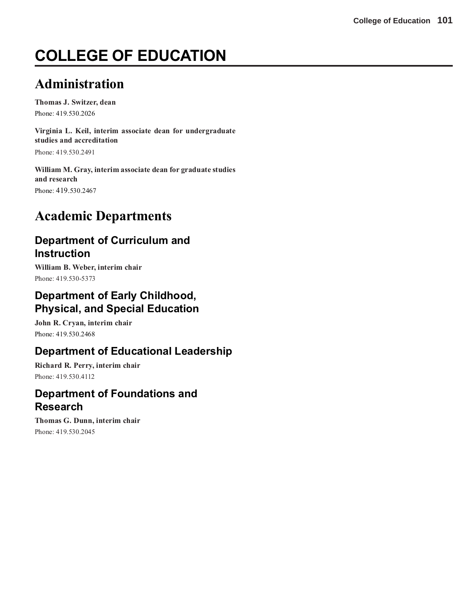# **COLLEGE OF EDUCATION**

# **Administration**

**Thomas J. Switzer, dean** Phone: 419.530.2026

**Virginia L. Keil, interim associate dean for undergraduate studies and accreditation**

Phone: 419.530.2491

**William M. Gray, interim associate dean for graduate studies and research** Phone: 419.530.2467

# **Academic Departments**

## **Department of Curriculum and Instruction**

**William B. Weber, interim chair** Phone: 419.530-5373

## **Department of Early Childhood, Physical, and Special Education**

**John R. Cryan, interim chair** Phone: 419.530.2468

## **Department of Educational Leadership**

**Richard R. Perry, interim chair** Phone: 419.530.4112

## **Department of Foundations and Research**

**Thomas G. Dunn, interim chair** Phone: 419.530.2045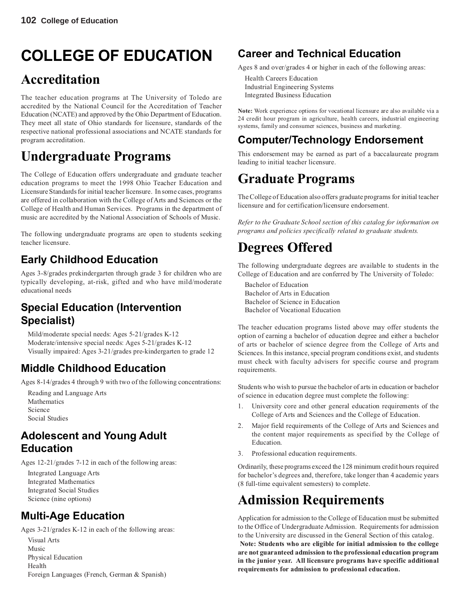# **COLLEGE OF EDUCATION**

# **Accreditation**

The teacher education programs at The University of Toledo are accredited by the National Council for the Accreditation of Teacher Education (NCATE) and approved by the Ohio Department of Education. They meet all state of Ohio standards for licensure, standards of the respective national professional associations and NCATE standards for program accreditation.

# **Undergraduate Programs**

The College of Education offers undergraduate and graduate teacher education programs to meet the 1998 Ohio Teacher Education and Licensure Standards for initial teacher licensure. In some cases, programs are offered in collaboration with the College of Arts and Sciences or the College of Health and Human Services. Programs in the department of music are accredited by the National Association of Schools of Music.

The following undergraduate programs are open to students seeking teacher licensure.

## **Early Childhood Education**

Ages 3-8/grades prekindergarten through grade 3 for children who are typically developing, at-risk, gifted and who have mild/moderate educational needs

## **Special Education (Intervention Specialist)**

Mild/moderate special needs: Ages 5-21/grades K-12 Moderate/intensive special needs: Ages 5-21/grades K-12 Visually impaired: Ages 3-21/grades pre-kindergarten to grade 12

## **Middle Childhood Education**

Ages 8-14/grades 4 through 9 with two of the following concentrations:

Reading and Language Arts Mathematics Science Social Studies

## **Adolescent and Young Adult Education**

Ages 12-21/grades 7-12 in each of the following areas:

Integrated Language Arts Integrated Mathematics Integrated Social Studies Science (nine options)

## **Multi-Age Education**

Ages 3-21/grades K-12 in each of the following areas: Visual Arts

Music Physical Education Health Foreign Languages (French, German & Spanish)

## **Career and Technical Education**

Ages 8 and over/grades 4 or higher in each of the following areas:

Health Careers Education Industrial Engineering Systems Integrated Business Education

**Note:** Work experience options for vocational licensure are also available via a 24 credit hour program in agriculture, health careers, industrial engineering systems, family and consumer sciences, business and marketing.

## **Computer/Technology Endorsement**

This endorsement may be earned as part of a baccalaureate program leading to initial teacher licensure.

# **Graduate Programs**

The College of Education also offers graduate programs for initial teacher licensure and for certification/licensure endorsement.

*Refer to the Graduate School section of this catalog for information on programs and policies specifically related to graduate students.*

# **Degrees Offered**

The following undergraduate degrees are available to students in the College of Education and are conferred by The University of Toledo:

Bachelor of Education Bachelor of Arts in Education Bachelor of Science in Education Bachelor of Vocational Education

The teacher education programs listed above may offer students the option of earning a bachelor of education degree and either a bachelor of arts or bachelor of science degree from the College of Arts and Sciences. In this instance, special program conditions exist, and students must check with faculty advisers for specific course and program requirements.

Students who wish to pursue the bachelor of arts in education or bachelor of science in education degree must complete the following:

- 1. University core and other general education requirements of the College of Arts and Sciences and the College of Education.
- 2. Major field requirements of the College of Arts and Sciences and the content major requirements as specified by the College of Education.
- 3. Professional education requirements.

Ordinarily, these programs exceed the 128 minimum credit hours required for bachelor's degrees and, therefore, take longer than 4 academic years (8 full-time equivalent semesters) to complete.

# **Admission Requirements**

Application for admission to the College of Education must be submitted to the Office of Undergraduate Admission. Requirements for admission to the University are discussed in the General Section of this catalog. **Note: Students who are eligible for initial admission to the college are not guaranteed admission to the professional education program in the junior year. All licensure programs have specific additional requirements for admission to professional education.**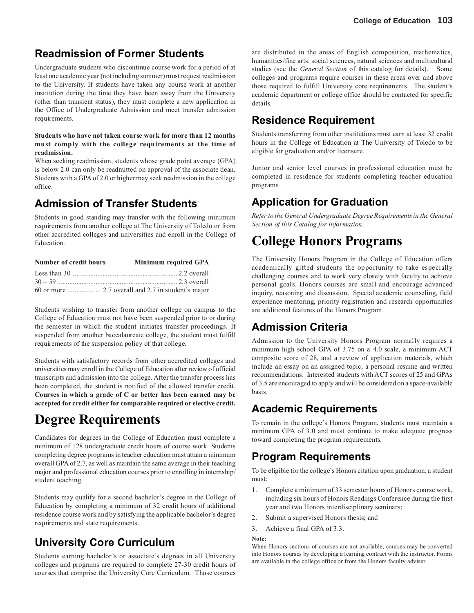## **Readmission of Former Students**

Undergraduate students who discontinue course work for a period of at least one academic year (not including summer) must request readmission to the University. If students have taken any course work at another institution during the time they have been away from the University (other than transient status), they must complete a new application in the Office of Undergraduate Admission and meet transfer admission requirements.

### **Students who have not taken course work for more than 12 months must comply with the college requirements at the time of readmission.**

When seeking readmission, students whose grade point average (GPA) is below 2.0 can only be readmitted on approval of the associate dean. Students with a GPA of 2.0 or higher may seek readmission in the college office.

## **Admission of Transfer Students**

Students in good standing may transfer with the following minimum requirements from another college at The University of Toledo or from other accredited colleges and universities and enroll in the College of Education.

| Number of credit hours | <b>Minimum required GPA</b> |
|------------------------|-----------------------------|
|                        |                             |
|                        |                             |
|                        |                             |

Students wishing to transfer from another college on campus to the College of Education must not have been suspended prior to or during the semester in which the student initiates transfer proceedings. If suspended from another baccalaureate college, the student must fulfill requirements of the suspension policy of that college.

Students with satisfactory records from other accredited colleges and universities may enroll in the College of Education after review of official transcripts and admission into the college. After the transfer process has been completed, the student is notified of the allowed transfer credit. **Courses in which a grade of C or better has been earned may be accepted for credit either for comparable required or elective credit.**

# **Degree Requirements**

Candidates for degrees in the College of Education must complete a minimum of 128 undergraduate credit hours of course work. Students completing degree programs in teacher education must attain a minimum overall GPA of 2.7, as well as maintain the same average in their teaching major and professional education courses prior to enrolling in internship/ student teaching.

Students may qualify for a second bachelor's degree in the College of Education by completing a minimum of 32 credit hours of additional residence course work and by satisfying the applicable bachelor's degree requirements and state requirements.

## **University Core Curriculum**

Students earning bachelor's or associate's degrees in all University colleges and programs are required to complete 27-30 credit hours of courses that comprise the University Core Curriculum. Those courses are distributed in the areas of English composition, mathematics, humanities/fine arts, social sciences, natural sciences and multicultural studies (see the *General Section* of this catalog for details). Some colleges and programs require courses in these areas over and above those required to fulfill University core requirements. The student's academic department or college office should be contacted for specific details.

## **Residence Requirement**

Students transferring from other institutions must earn at least 32 credit hours in the College of Education at The University of Toledo to be eligible for graduation and/or licensure.

Junior and senior level courses in professional education must be completed in residence for students completing teacher education programs.

## **Application for Graduation**

*Refer to the General Undergraduate Degree Requirements in the General Section of this Catalog for information.*

# **College Honors Programs**

The University Honors Program in the College of Education offers academically gifted students the opportunity to take especially challenging courses and to work very closely with faculty to achieve personal goals. Honors courses are small and encourage advanced inquiry, reasoning and discussion. Special academic counseling, field experience mentoring, priority registration and research opportunities are additional features of the Honors Program.

## **Admission Criteria**

Admission to the University Honors Program normally requires a minimum high school GPA of 3.75 on a 4.0 scale, a minimum ACT composite score of 28, and a review of application materials, which include an essay on an assigned topic, a personal resume and written recommendations. Interested students with ACT scores of 25 and GPAs of 3.5 are encouraged to apply and will be considered on a space-available basis.

## **Academic Requirements**

To remain in the college's Honors Program, students must maintain a minimum GPA of 3.0 and must continue to make adequate progress toward completing the program requirements.

## **Program Requirements**

To be eligible for the college's Honors citation upon graduation, a student must:

- 1. Complete a minimum of 33 semester hours of Honors course work, including six hours of Honors Readings Conference during the first year and two Honors interdisciplinary seminars;
- 2. Submit a supervised Honors thesis; and
- 3. Achieve a final GPA of 3.3.

### **Note:**

When Honors sections of courses are not available, courses may be converted into Honors courses by developing a learning contract with the instructor. Forms are available in the college office or from the Honors faculty adviser.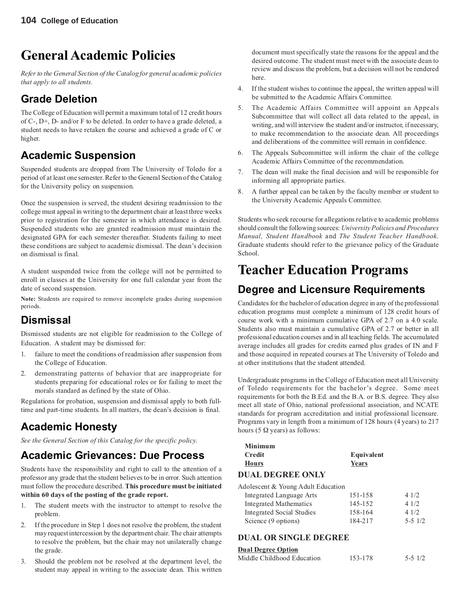# **General Academic Policies**

*Refer to the General Section of the Catalog for general academic policies that apply to all students.*

## **Grade Deletion**

The College of Education will permit a maximum total of 12 credit hours of C-, D+, D- and/or F to be deleted. In order to have a grade deleted, a student needs to have retaken the course and achieved a grade of C or higher.

## **Academic Suspension**

Suspended students are dropped from The University of Toledo for a period of at least one semester. Refer to the General Section of the Catalog for the University policy on suspension.

Once the suspension is served, the student desiring readmission to the college must appeal in writing to the department chair at least three weeks prior to registration for the semester in which attendance is desired. Suspended students who are granted readmission must maintain the designated GPA for each semester thereafter. Students failing to meet these conditions are subject to academic dismissal. The dean's decision on dismissal is final.

A student suspended twice from the college will not be permitted to enroll in classes at the University for one full calendar year from the date of second suspension.

**Note:** Students are required to remove incomplete grades during suspension periods.

## **Dismissal**

Dismissed students are not eligible for readmission to the College of Education. A student may be dismissed for:

- 1. failure to meet the conditions of readmission after suspension from the College of Education.
- 2. demonstrating patterns of behavior that are inappropriate for students preparing for educational roles or for failing to meet the morals standard as defined by the state of Ohio.

Regulations for probation, suspension and dismissal apply to both fulltime and part-time students. In all matters, the dean's decision is final.

## **Academic Honesty**

*See the General Section of this Catalog for the specific policy.*

## **Academic Grievances: Due Process**

Students have the responsibility and right to call to the attention of a professor any grade that the student believes to be in error. Such attention must follow the procedure described. **This procedure must be initiated within 60 days of the posting of the grade report.**

- 1. The student meets with the instructor to attempt to resolve the problem.
- 2. If the procedure in Step 1 does not resolve the problem, the student may request intercession by the department chair. The chair attempts to resolve the problem, but the chair may not unilaterally change the grade.
- 3. Should the problem not be resolved at the department level, the student may appeal in writing to the associate dean. This written

document must specifically state the reasons for the appeal and the desired outcome. The student must meet with the associate dean to review and discuss the problem, but a decision will not be rendered here.

- 4. If the student wishes to continue the appeal, the written appeal will be submitted to the Academic Affairs Committee.
- 5. The Academic Affairs Committee will appoint an Appeals Subcommittee that will collect all data related to the appeal, in writing, and will interview the student and/or instructor, if necessary, to make recommendation to the associate dean. All proceedings and deliberations of the committee will remain in confidence.
- 6. The Appeals Subcommittee will inform the chair of the college Academic Affairs Committee of the recommendation.
- 7. The dean will make the final decision and will be responsible for informing all appropriate parties.
- 8. A further appeal can be taken by the faculty member or student to the University Academic Appeals Committee.

Students who seek recourse for allegations relative to academic problems should consult the following sources: *University Policies and Procedures Manual, Student Handbook* and *The Student Teacher Handbook*. Graduate students should refer to the grievance policy of the Graduate School.

# **Teacher Education Programs**

## **Degree and Licensure Requirements**

Candidates for the bachelor of education degree in any of the professional education programs must complete a minimum of 128 credit hours of course work with a minimum cumulative GPA of 2.7 on a 4.0 scale. Students also must maintain a cumulative GPA of 2.7 or better in all professional education courses and in all teaching fields. The accumulated average includes all grades for credits earned plus grades of IN and F and those acquired in repeated courses at The University of Toledo and at other institutions that the student attended.

Undergraduate programs in the College of Education meet all University of Toledo requirements for the bachelor's degree. Some meet requirements for both the B.Ed. and the B.A. or B.S. degree. They also meet all state of Ohio, national professional association, and NCATE standards for program accreditation and initial professional licensure. Programs vary in length from a minimum of 128 hours (4 years) to 217 hours (5  $\Omega$  years) as follows:

| <b>Minimum</b>                     |            |         |
|------------------------------------|------------|---------|
| Credit                             | Equivalent |         |
| <b>Hours</b>                       | Years      |         |
| <b>DUAL DEGREE ONLY</b>            |            |         |
| Adolescent & Young Adult Education |            |         |
| <b>Integrated Language Arts</b>    | 151-158    | 41/2    |
| <b>Integrated Mathematics</b>      | 145-152    | 41/2    |
| <b>Integrated Social Studies</b>   | 158-164    | 41/2    |
| Science (9 options)                | 184-217    | 5-5 1/2 |

### **DUAL OR SINGLE DEGREE**

### **Dual Degree Option**

| Middle Childhood Education | 153-178 | $5 - 51/2$ |
|----------------------------|---------|------------|
|                            |         |            |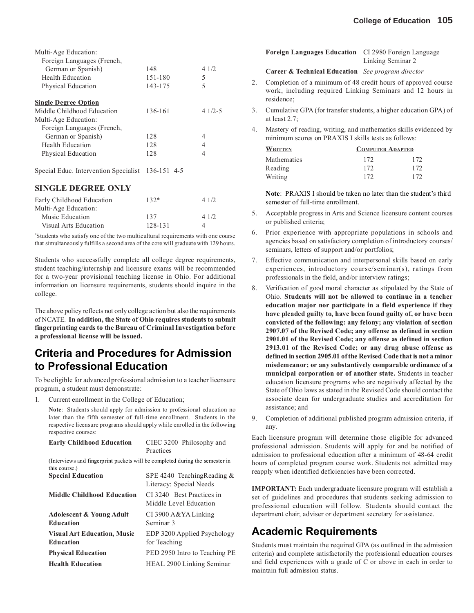| Multi-Age Education:                              |         |          |
|---------------------------------------------------|---------|----------|
| Foreign Languages (French,                        |         |          |
| German or Spanish)                                | 148     | 41/2     |
| Health Education                                  | 151-180 | 5        |
| Physical Education                                | 143-175 | 5        |
| <b>Single Degree Option</b>                       |         |          |
| Middle Childhood Education                        | 136-161 | $41/2-5$ |
| Multi-Age Education:                              |         |          |
| Foreign Languages (French,                        |         |          |
| German or Spanish)                                | 128     | 4        |
| Health Education                                  | 128     | 4        |
| Physical Education                                | 128     | 4        |
| Special Educ. Intervention Specialist 136-151 4-5 |         |          |
| <b>SINGLE DEGREE ONLY</b>                         |         |          |
| Early Childhood Education                         | $132*$  | 4 1/2    |

| 41/2 |
|------|
|      |
|      |

\* Students who satisfy one of the two multicultural requirements with one course that simultaneously fulfills a second area of the core will graduate with 129 hours.

Students who successfully complete all college degree requirements, student teaching/internship and licensure exams will be recommended for a two-year provisional teaching license in Ohio. For additional information on licensure requirements, students should inquire in the college.

The above policy reflects not only college action but also the requirements of NCATE. **In addition, the State of Ohio requires students to submit fingerprinting cards to the Bureau of Criminal Investigation before a professional license will be issued.**

## **Criteria and Procedures for Admission to Professional Education**

To be eligible for advanced professional admission to a teacher licensure program, a student must demonstrate:

1. Current enrollment in the College of Education;

**Note**: Students should apply for admission to professional education no later than the fifth semester of full-time enrollment. Students in the respective licensure programs should apply while enrolled in the following respective courses:

| <b>Early Childhood Education</b>                                                              | CIEC 3200 Philosophy and<br>Practices                    |
|-----------------------------------------------------------------------------------------------|----------------------------------------------------------|
| (Interviews and fingerprint packets will be completed during the semester in<br>this course.) |                                                          |
| <b>Special Education</b>                                                                      | SPE 4240 Teaching Reading $&$<br>Literacy: Special Needs |
| <b>Middle Childhood Education</b>                                                             | CI 3240 Best Practices in<br>Middle Level Education      |
| <b>Adolescent &amp; Young Adult</b><br><b>Education</b>                                       | CI 3900 A&YA Linking<br>Seminar 3                        |
| <b>Visual Art Education, Music</b><br><b>Education</b>                                        | EDP 3200 Applied Psychology<br>for Teaching              |
| <b>Physical Education</b>                                                                     | PED 2950 Intro to Teaching PE                            |
| <b>Health Education</b>                                                                       | HEAL 2900 Linking Seminar                                |
|                                                                                               |                                                          |

|    | <b>Foreign Languages Education</b> CI 2980 Foreign Language                                                                              | Linking Seminar 2       |     |
|----|------------------------------------------------------------------------------------------------------------------------------------------|-------------------------|-----|
|    | <b>Career &amp; Technical Education</b> See program director                                                                             |                         |     |
| 2. | Completion of a minimum of 48 credit hours of approved course<br>work, including required Linking Seminars and 12 hours in<br>residence; |                         |     |
| 3. | Cumulative GPA (for transfer students, a higher education GPA) of<br>at least $2.7$ ;                                                    |                         |     |
| 4. | Mastery of reading, writing, and mathematics skills evidenced by<br>minimum scores on PRAXIS I skills tests as follows:                  |                         |     |
|    | <b>WRITTEN</b>                                                                                                                           | <b>COMPUTER ADAPTED</b> |     |
|    | <b>Mathematics</b>                                                                                                                       | 172                     | 172 |
|    | Reading                                                                                                                                  | 172                     | 172 |

**Note**: PRAXIS I should be taken no later than the student's third semester of full-time enrollment.

5. Acceptable progress in Arts and Science licensure content courses or published criteria;

Writing 172 172

- 6. Prior experience with appropriate populations in schools and agencies based on satisfactory completion of introductory courses/ seminars, letters of support and/or portfolios;
- 7. Effective communication and interpersonal skills based on early experiences, introductory course/seminar(s), ratings from professionals in the field, and/or interview ratings;
- 8. Verification of good moral character as stipulated by the State of Ohio. **Students will not be allowed to continue in a teacher education major nor participate in a field experience if they have pleaded guilty to, have been found guilty of, or have been convicted of the following: any felony; any violation of section 2907.07 of the Revised Code; any offense as defined in section 2901.01 of the Revised Code; any offense as defined in section 2913.01 of the Revised Code; or any drug abuse offense as defined in section 2905.01 of the Revised Code that is not a minor misdemeanor; or any substantively comparable ordinance of a municipal corporation or of another state.** Students in teacher education licensure programs who are negatively affected by the State of Ohio laws as stated in the Revised Code should contact the associate dean for undergraduate studies and accreditation for assistance; and
- 9. Completion of additional published program admission criteria, if any.

Each licensure program will determine those eligible for advanced professional admission. Students will apply for and be notified of admission to professional education after a minimum of 48-64 credit hours of completed program course work. Students not admitted may reapply when identified deficiencies have been corrected.

**IMPORTANT:** Each undergraduate licensure program will establish a set of guidelines and procedures that students seeking admission to professional education will follow. Students should contact the department chair, adviser or department secretary for assistance.

## **Academic Requirements**

Students must maintain the required GPA (as outlined in the admission criteria) and complete satisfactorily the professional education courses and field experiences with a grade of C or above in each in order to maintain full admission status.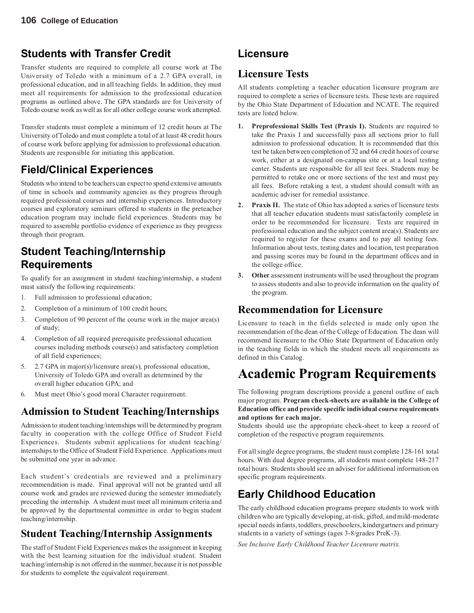## **Students with Transfer Credit**

Transfer students are required to complete all course work at The University of Toledo with a minimum of a 2.7 GPA overall, in professional education, and in all teaching fields. In addition, they must meet all requirements for admission to the professional education programs as outlined above. The GPA standards are for University of Toledo course work as well as for all other college course work attempted.

Transfer students must complete a minimum of 12 credit hours at The University of Toledo and must complete a total of at least 48 credit hours of course work before applying for admission to professional education. Students are responsible for initiating this application.

## **Field/Clinical Experiences**

Students who intend to be teachers can expect to spend extensive amounts of time in schools and community agencies as they progress through required professional courses and internship experiences. Introductory courses and exploratory seminars offered to students in the preteacher education program may include field experiences. Students may be required to assemble portfolio evidence of experience as they progress through their program.

## **Student Teaching/Internship Requirements**

To qualify for an assignment in student teaching/internship, a student must satisfy the following requirements:

- 1. Full admission to professional education;
- 2. Completion of a minimum of 100 credit hours;
- 3. Completion of 90 percent of the course work in the major area(s) of study;
- 4. Completion of all required prerequisite professional education courses including methods course(s) and satisfactory completion of all field experiences;
- 5. 2.7 GPA in major(s)/licensure area(s), professional education, University of Toledo GPA and overall as determined by the overall higher education GPA; and
- 6. Must meet Ohio's good moral Character requirement.

## **Admission to Student Teaching/Internships**

Admission to student teaching/internships will be determined by program faculty in cooperation with the college Office of Student Field Experiences. Students submit applications for student teaching/ internships to the Office of Student Field Experience. Applications must be submitted one year in advance.

Each student's credentials are reviewed and a preliminary recommendation is made. Final approval will not be granted until all course work and grades are reviewed during the semester immediately preceding the internship. A student must meet all minimum criteria and be approved by the departmental committee in order to begin student teaching/internship.

## **Student Teaching/Internship Assignments**

The staff of Student Field Experiences makes the assignment in keeping with the best learning situation for the individual student. Student teaching/internship is not offered in the summer, because it is not possible for students to complete the equivalent requirement.

## **Licensure**

## **Licensure Tests**

All students completing a teacher education licensure program are required to complete a series of licensure tests. These tests are required by the Ohio State Department of Education and NCATE. The required tests are listed below.

- **1. Preprofessional Skills Test (Praxis I).** Students are required to take the Praxis I and successfully pass all sections prior to full admission to professional education. It is recommended that this test be taken between completion of 32 and 64 credit hours of course work, either at a designated on-campus site or at a local testing center. Students are responsible for all test fees. Students may be permitted to retake one or more sections of the test and must pay all fees. Before retaking a test, a student should consult with an academic adviser for remedial assistance.
- **2. Praxis II.** The state of Ohio has adopted a series of licensure tests that all teacher education students must satisfactorily complete in order to be recommended for licensure. Tests are required in professional education and the subject content area(s). Students are required to register for these exams and to pay all testing fees. Information about tests, testing dates and location, test preparation and passing scores may be found in the department offices and in the college office.
- **3. Other** assessment instruments will be used throughout the program to assess students and also to provide information on the quality of the program.

## **Recommendation for Licensure**

Licensure to teach in the fields selected is made only upon the recommendation of the dean of the College of Education. The dean will recommend licensure to the Ohio State Department of Education only in the teaching fields in which the student meets all requirements as defined in this Catalog.

# **Academic Program Requirements**

The following program descriptions provide a general outline of each major program. **Program check-sheets are available in the College of Education office and provide specific individual course requirements and options for each major.**

Students should use the appropriate check-sheet to keep a record of completion of the respective program requirements.

For all single degree programs, the student must complete 128-161 total hours. With dual degree programs, all students must complete 148-217 total hours. Students should see an adviser for additional information on specific program requirements.

## **Early Childhood Education**

The early childhood education programs prepare students to work with children who are typically developing, at-risk, gifted, and mild-moderate special needs infants, toddlers, preschoolers, kindergartners and primary students in a variety of settings (ages 3-8/grades PreK-3).

*See Inclusive Early Childhood Teacher Licensure matrix.*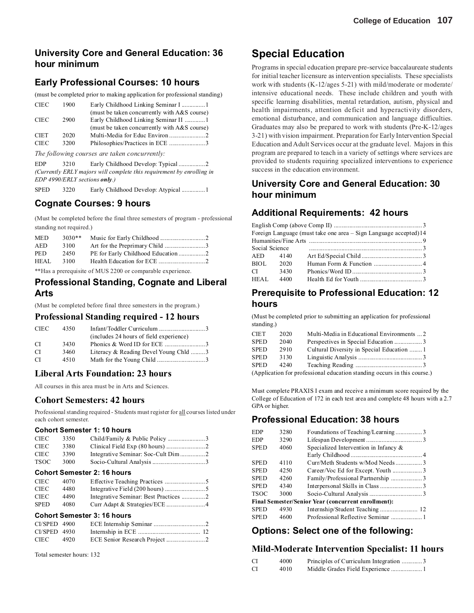## **University Core and General Education: 36 hour minimum**

## **Early Professional Courses: 10 hours**

(must be completed prior to making application for professional standing)

| <b>CIEC</b> | 1900 | Early Childhood Linking Seminar I  1           |
|-------------|------|------------------------------------------------|
|             |      | (must be taken concurrently with A&S course)   |
| <b>CIEC</b> | 2900 | Early Childhood Linking Seminar II  1          |
|             |      | (must be taken concurrently with $A&S$ course) |
| <b>CIET</b> | 2020 |                                                |
| <b>CIEC</b> | 3200 |                                                |

*The following courses are taken concurrently:*

EDP 3210 Early Childhood Develop: Typical .................2 *(Currently ERLY majors will complete this requirement by enrolling in EDP 4990/ERLY sections only.)*

SPED 3220 Early Childhood Develop: Atypical .................1

### **Cognate Courses: 9 hours**

(Must be completed before the final three semesters of program - professional standing not required.)

| <b>MED</b>         | $3030**$ |                                                                                                                                                                                                                                                                                                   |
|--------------------|----------|---------------------------------------------------------------------------------------------------------------------------------------------------------------------------------------------------------------------------------------------------------------------------------------------------|
| AED                | 3100     |                                                                                                                                                                                                                                                                                                   |
| <b>PED</b>         | 2450     |                                                                                                                                                                                                                                                                                                   |
| HEAL.              | 3100     |                                                                                                                                                                                                                                                                                                   |
| and a state of the |          | $\mathbf{r}$ , as $\mathbf{r}$ and $\mathbf{r}$ and $\mathbf{r}$ , and $\mathbf{r}$ are $\mathbf{r}$ and $\mathbf{r}$ and $\mathbf{r}$ are $\mathbf{r}$ and $\mathbf{r}$ are $\mathbf{r}$ and $\mathbf{r}$ are $\mathbf{r}$ and $\mathbf{r}$ are $\mathbf{r}$ and $\mathbf{r}$ are $\mathbf{r}$ a |

\*\*Has a prerequisite of MUS 2200 or comparable experience.

### **Professional Standing, Cognate and Liberal Arts**

(Must be completed before final three semesters in the program.)

### **Professional Standing required - 12 hours**

| <b>CIEC</b>   | 4350 |                                         |  |
|---------------|------|-----------------------------------------|--|
|               |      | (includes 24 hours of field experience) |  |
| CI.           | 3430 |                                         |  |
| CI.           | 3460 | Literacy & Reading Devel Young Chld 3   |  |
| <sup>CI</sup> | 4510 |                                         |  |

### **Liberal Arts Foundation: 23 hours**

All courses in this area must be in Arts and Sciences.

### **Cohort Semesters: 42 hours**

Professional standing required - Students must register for all courses listed under each cohort semester.

### **Cohort Semester 1: 10 hours**

| <b>CIEC</b>                        | 3350 |                                       |
|------------------------------------|------|---------------------------------------|
| <b>CIEC</b>                        | 3380 |                                       |
| <b>CIEC</b>                        | 3390 |                                       |
| <b>TSOC</b>                        | 3000 |                                       |
|                                    |      | <b>Cohort Semester 2: 16 hours</b>    |
| <b>CIEC</b>                        | 4070 |                                       |
| <b>CIEC</b>                        | 4480 |                                       |
| <b>CIEC</b>                        | 4490 | Integrative Seminar: Best Practices 2 |
| <b>SPED</b>                        | 4080 |                                       |
| <b>Cohort Semester 3: 16 hours</b> |      |                                       |

| CI/SPED 4900   |        |  |
|----------------|--------|--|
| $CI/SPED$ 4930 |        |  |
| CIEC –         | - 4920 |  |

Total semester hours: 132

## **Special Education**

Programs in special education prepare pre-service baccalaureate students for initial teacher licensure as intervention specialists. These specialists work with students (K-12/ages 5-21) with mild/moderate or moderate/ intensive educational needs. These include children and youth with specific learning disabilities, mental retardation, autism, physical and health impairments, attention deficit and hyperactivity disorders, emotional disturbance, and communication and language difficulties. Graduates may also be prepared to work with students (Pre-K-12/ages 3-21) with vision impairment. Preparation for Early Intervention Special Education and Adult Services occur at the graduate level. Majors in this program are prepared to teach in a variety of settings where services are provided to students requiring specialized interventions to experience success in the education environment.

## **University Core and General Education: 30 hour minimum**

## **Additional Requirements: 42 hours**

English Comp (above Comp II) .........................................................3 Foreign Language (must take one area – Sign Language accepted)14 Humanities/Fine Arts ......................................................................... 9 Social Science ......................................................................... 3 AED 4140 Art Ed/Special Child .......................................3 BIOL 2020 Human Form & Function ............................... 4 CI 3430 Phonics/Word ID .............................................3 HEAL 4400 Health Ed for Youth ........................................ 3

## **Prerequisite to Professional Education: 12 hours**

(Must be completed prior to submitting an application for professional standing.)

| <b>CIET</b> | 2020 | Multi-Media in Educational Environments  2                               |  |
|-------------|------|--------------------------------------------------------------------------|--|
| <b>SPED</b> | 2040 |                                                                          |  |
| <b>SPED</b> | 2910 | Cultural Diversity in Special Education 1                                |  |
| <b>SPED</b> | 3130 |                                                                          |  |
| <b>SPED</b> | 4240 |                                                                          |  |
|             |      | (Application for professional education standing occurs in this course.) |  |

Must complete PRAXIS I exam and receive a minimum score required by the College of Education of 172 in each test area and complete 48 hours with a 2.7 GPA or higher.

### **Professional Education: 38 hours**

| <b>EDP</b>  | 3280 | Foundations of Teaching/Learning3                          |
|-------------|------|------------------------------------------------------------|
| EDP         | 3290 |                                                            |
| <b>SPED</b> | 4060 | Specialized Intervention in Infancy &                      |
|             |      |                                                            |
| SPED        | 4110 | Curr/Meth Students w/Mod Needs 3                           |
| <b>SPED</b> | 4250 | Career/Voc Ed for Except. Youth 3                          |
| <b>SPED</b> | 4260 | Family/Professional Partnership 3                          |
| SPED        | 4340 |                                                            |
| TSOC        | 3000 |                                                            |
|             |      | <b>Final Semester/Senior Year (concurrent enrollment):</b> |
| <b>SPED</b> | 4930 |                                                            |
| <b>SPED</b> | 4600 | Professional Reflective Seminar 1                          |
|             |      |                                                            |

## **Options: Select one of the following:**

### **Mild-Moderate Intervention Specialist: 11 hours**

| CI        | 4000 | Principles of Curriculum Integration 3 |  |
|-----------|------|----------------------------------------|--|
| <b>CI</b> | 4010 |                                        |  |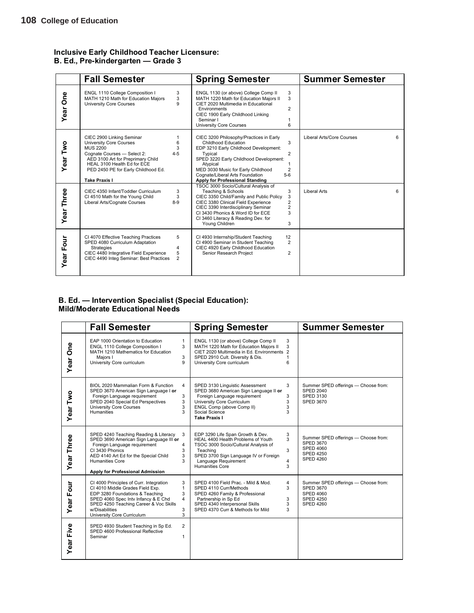### **Inclusive Early Childhood Teacher Licensure: B. Ed., Pre-kindergarten — Grade 3**

|                  | <b>Fall Semester</b>                                                                                                                                                                                                                                                  | <b>Spring Semester</b>                                                                                                                                                                                                                                                                                                                 | <b>Summer Semester</b>         |
|------------------|-----------------------------------------------------------------------------------------------------------------------------------------------------------------------------------------------------------------------------------------------------------------------|----------------------------------------------------------------------------------------------------------------------------------------------------------------------------------------------------------------------------------------------------------------------------------------------------------------------------------------|--------------------------------|
| Year One         | ENGL 1110 College Composition I<br>3<br>MATH 1210 Math for Education Majors<br>3<br>9<br>University Core Courses                                                                                                                                                      | 3<br>ENGL 1130 (or above) College Comp II<br>MATH 1220 Math for Education Majors II<br>3<br>CIET 2020 Multimedia in Educational<br>$\overline{2}$<br>Environments<br>CIEC 1900 Early Childhood Linking<br>Seminar I<br><b>University Core Courses</b><br>6                                                                             |                                |
| Year Two         | CIEC 2900 Linking Seminar<br><b>University Core Courses</b><br>6<br>3<br><b>MUS 2200</b><br>$4 - 5$<br>Cognate Courses - Select 2:<br>AED 3100 Art for Preprimary Child<br>HEAL 3100 Health Ed for ECE<br>PED 2450 PE for Early Childhood Ed.<br><b>Take Praxis I</b> | CIEC 3200 Philosophy/Practices in Early<br>3<br>Childhood Education<br>EDP 3210 Early Childhood Development:<br>$\overline{2}$<br>Typical<br>SPED 3220 Early Childhood Development:<br>Atypical<br>$\overline{2}$<br>MED 3030 Music for Early Childhood<br>$5-6$<br>Cognate/Liberal Arts Foundation<br>Apply for Professional Standing | Liberal Arts/Core Courses<br>6 |
| Year Three       | CIEC 4350 Infant/Toddler Curriculum<br>3<br>3<br>CI 4510 Math for the Young Child<br>$8-9$<br>Liberal Arts/Cognate Courses                                                                                                                                            | TSOC 3000 Socio/Cultural Analysis of<br>3<br>Teaching & Schools<br>CIEC 3350 Child/Family and Public Policy<br>3<br>2<br>CIEC 3380 Clinical Field Experience<br>2<br>CIEC 3390 Interdisciplinary Seminar<br>3<br>CI 3430 Phonics & Word ID for ECE<br>CI 3460 Literacy & Reading Dev. for<br>3<br>Young Children                       | <b>Liberal Arts</b><br>6       |
| <b>Year Four</b> | CI 4070 Effective Teaching Practices<br>5<br>SPED 4080 Curriculum Adaptation<br><b>Strategies</b><br>4<br>CIEC 4480 Integrative Field Experience<br>5<br>CIEC 4490 Integ Seminar: Best Practices<br>$\overline{2}$                                                    | CI 4930 Internship/Student Teaching<br>12<br>CI 4900 Seminar in Student Teaching<br>$\overline{2}$<br>CIEC 4920 Early Childhood Education<br>$\overline{2}$<br>Senior Research Project                                                                                                                                                 |                                |

### **B. Ed. — Intervention Specialist (Special Education): Mild/Moderate Educational Needs**

|                  | <b>Fall Semester</b>                                                                                                                                                                                                                                                                     | <b>Spring Semester</b>                                                                                                                                                                                                                               | <b>Summer Semester</b>                                                                                               |
|------------------|------------------------------------------------------------------------------------------------------------------------------------------------------------------------------------------------------------------------------------------------------------------------------------------|------------------------------------------------------------------------------------------------------------------------------------------------------------------------------------------------------------------------------------------------------|----------------------------------------------------------------------------------------------------------------------|
| Year One         | EAP 1000 Orientation to Education<br>1<br>3<br>ENGL 1110 College Composition I<br>MATH 1210 Mathematics for Education<br>3<br>Maiors I<br>University Core curriculum<br>9                                                                                                                | ENGL 1130 (or above) College Comp II<br>3<br>MATH 1220 Math for Education Majors II<br>3<br>CIET 2020 Multimedia in Ed. Environments 2<br>SPED 2910 Cult. Diversity & Dis.<br>1<br>University Core curriculum<br>6                                   |                                                                                                                      |
| Year Two         | BIOL 2020 Mammalian Form & Function<br>$\overline{4}$<br>SPED 3670 American Sign Language I or<br>Foreign Language requirement<br>3<br>SPED 2040 Special Ed Perspectives<br>3<br>University Core Courses<br>3<br><b>Humanities</b><br>3                                                  | SPED 3130 Linguistic Assessment<br>3<br>SPED 3680 American Sign Language II or<br>Foreign Language requirement<br>3<br>University Core Curriculum<br>3<br>3<br>ENGL Comp (above Comp II)<br>Social Science<br>3<br><b>Take Praxis I</b>              | Summer SPED offerings - Choose from:<br><b>SPED 2040</b><br><b>SPED 3130</b><br><b>SPED 3670</b>                     |
| Year Three       | SPED 4240 Teaching Reading & Literacy<br>3<br>SPED 3690 American Sign Language III or<br>Foreign Language requirement<br>4<br>CI 3430 Phonics<br>3<br>AED 4140 Art Ed for the Special Child<br>3<br>Humanities Core<br>3<br>Apply for Professional Admission                             | EDP 3290 Life Span Growth & Dev.<br>3<br>HEAL 4400 Health Problems of Youth<br>3<br>TSOC 3000 Socio/Cultural Analysis of<br>3<br>Teaching<br>SPED 3700 Sign Language IV or Foreign<br>Language Requirement<br>$\overline{4}$<br>Humanities Core<br>3 | Summer SPED offerings - Choose from:<br><b>SPED 3670</b><br><b>SPED 4060</b><br><b>SPED 4250</b><br><b>SPED 4260</b> |
| <b>Year Four</b> | CI 4000 Principles of Curr. Integration<br>3<br>CI 4010 Middle Grades Field Exp.<br>$\mathbf{1}$<br>EDP 3280 Foundations & Teaching<br>3<br>SPED 4060 Spec Intv Infancy & E Chd<br>4<br>SPED 4250 Teaching Career & Voc Skills<br>w/Disabilities<br>3<br>University Core Curriculum<br>3 | SPED 4100 Field Prac. - Mild & Mod.<br>4<br>3<br>SPED 4110 Curr/Methods<br>SPED 4260 Family & Professional<br>Partnership in Sp Ed<br>3<br>SPED 4340 Interpersonal Skills<br>3<br>SPED 4370 Curr & Methods for Mild<br>3                             | Summer SPED offerings - Choose from:<br><b>SPED 3670</b><br><b>SPED 4060</b><br><b>SPED 4250</b><br><b>SPED 4260</b> |
| <b>Year Five</b> | $\overline{2}$<br>SPED 4930 Student Teaching in Sp Ed.<br>SPED 4600 Professional Reflective<br>Seminar<br>1                                                                                                                                                                              |                                                                                                                                                                                                                                                      |                                                                                                                      |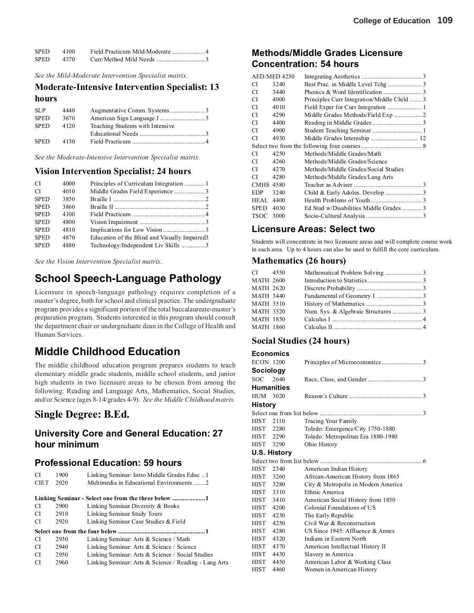| <b>SPED</b> | 4100 |  |
|-------------|------|--|
| <b>SPED</b> | 4370 |  |

*See the Mild-Moderate Intervention Specialist matrix.*

### **Moderate-Intensive Intervention Specialist: 13 hours**

| <b>SLP</b>  | 4440 |                                  |  |
|-------------|------|----------------------------------|--|
| <b>SPED</b> | 3670 |                                  |  |
| <b>SPED</b> | 4120 | Teaching Students with Intensive |  |
|             |      |                                  |  |
| <b>SPED</b> | 4130 |                                  |  |
|             |      |                                  |  |

*See the Moderate-Intensive Intervention Specialist matrix.*

### **Vision Intervention Specialist: 24 hours**

| <b>CI</b>   | 4000 | Principles of Curriculum Integration  1        |
|-------------|------|------------------------------------------------|
| <b>CI</b>   | 4010 | Middle Grades Field Experience 3               |
| <b>SPED</b> | 3850 |                                                |
| <b>SPED</b> | 3860 |                                                |
| <b>SPED</b> | 4100 |                                                |
| <b>SPED</b> | 4800 |                                                |
| <b>SPED</b> | 4810 |                                                |
| <b>SPED</b> | 4870 | Education of the Blind and Visually Impaired 3 |
| <b>SPED</b> | 4880 | Technology/Independent Liv Skills 3            |
|             |      |                                                |

*See the Vision Intervention Specialist matrix.*

## **School Speech-Language Pathology**

Licensure in speech-language pathology requires completion of a master's degree, both for school and clinical practice. The undergraduate program provides a significant portion of the total baccalaureate-master's preparation program. Students interested in this program should consult the department chair or undergraduate dean in the College of Health and Human Services.

## **Middle Childhood Education**

The middle childhood education program prepares students to teach elementary middle grade students, middle school students, and junior high students in two licensure areas to be chosen from among the following: Reading and Language Arts, Mathematics, Social Studies, and/or Science (ages 8-14/grades 4-9). *See the Middle Childhood matrix.*

## **Single Degree: B.Ed.**

## **University Core and General Education: 27 hour minimum**

### **Professional Education: 59 hours**

| <b>CI</b>   | 1900 | Linking Seminar: Intro Middle Grades Educ  1          |
|-------------|------|-------------------------------------------------------|
| <b>CIET</b> | 2020 | Multimedia in Educational Environments 2              |
|             |      |                                                       |
| CI.         | 2900 | Linking Seminar Diversity & Books                     |
| CI          | 2910 | Linking Seminar Study Tours                           |
| CI.         | 2920 | Linking Seminar Case Studies & Field                  |
|             |      |                                                       |
| CI.         | 2930 | Linking Seminar: Arts & Science / Math                |
| CI.         | 2940 | Linking Seminar: Arts & Science / Science             |
| CI.         | 2950 | Linking Seminar: Arts & Science / Social Studies      |
| CI.         | 2960 | Linking Seminar: Arts & Science / Reading - Lang Arts |

## **Methods/Middle Grades Licensure Concentration: 54 hours**

|                  | AED/MED 4230 |                                            |  |
|------------------|--------------|--------------------------------------------|--|
| СI               | 3240         |                                            |  |
| СI               | 3440         |                                            |  |
| СI               | 4000         | Principles Curr Integration/Middle Child 3 |  |
| СI               | 4010         |                                            |  |
| СI               | 4290         | Middle Grades Methods/Field Exp 2          |  |
| СI               | 4400         |                                            |  |
| СI               | 4900         |                                            |  |
| СI               | 4930         | Middle Grades Internship  12               |  |
|                  |              |                                            |  |
| СI               | 4250         | Methods/Middle Grades/Math                 |  |
| СI               | 4260         | Methods/Middle Grades/Science              |  |
| СI               | 4270         | Methods/Middle Grades/Social Studies       |  |
| СI               | 4280         | Methods/Middle Grades/Lang Arts            |  |
| <b>CMHS 4580</b> |              |                                            |  |
| <b>EDP</b>       | 3240         |                                            |  |
| <b>HEAL</b>      | 4400         |                                            |  |
| <b>SPED</b>      | 4030         | Ed Stud w/Disabilities Middle Grades 3     |  |
| TSOC             | 3000         |                                            |  |
|                  |              |                                            |  |

## **Licensure Areas: Select two**

Students will concentrate in two licensure areas and will complete course work in each area. Up to 4 hours can also be used to fulfill the core curriculum.

### **Mathematics (26 hours)**

| CI 4550          |  |  |
|------------------|--|--|
| <b>MATH 2600</b> |  |  |
| <b>MATH 2620</b> |  |  |
| MATH 3440        |  |  |
| <b>MATH 3510</b> |  |  |
| MATH 3520        |  |  |
| MATH 1850        |  |  |
| MATH 1860        |  |  |
|                  |  |  |

### **Social Studies (24 hours)**

## **Economics**

| <b>ECON 1200</b> |                   |                                     |  |
|------------------|-------------------|-------------------------------------|--|
| Sociology        |                   |                                     |  |
| <b>SOC</b>       | 2640              |                                     |  |
|                  | <b>Humanities</b> |                                     |  |
| HUM 3020         |                   |                                     |  |
| <b>History</b>   |                   |                                     |  |
|                  |                   |                                     |  |
| HIST 2110        |                   | Tracing Your Family                 |  |
| HIST 2280        |                   | Toledo: Emergence/City 1750-1880    |  |
| HIST 2290        |                   | Toledo: Metropolitan Era 1880-1980  |  |
| <b>HIST</b>      | 3290              | Ohio History                        |  |
|                  | U.S. History      |                                     |  |
|                  |                   |                                     |  |
| <b>HIST</b>      | 2340              | American Indian History             |  |
| <b>HIST</b>      | 3260              | African-American History from 1865  |  |
| HIST 3280        |                   | City & Metropolis in Modern America |  |
| <b>HIST</b>      | 3310              | Ethnic America                      |  |
| <b>HIST</b>      | 3410              | American Social History from 1850   |  |
| HIST             | 4200              | Colonial Foundations of US          |  |
| <b>HIST</b>      | 4230              | The Early Republic                  |  |
| <b>HIST</b>      | 4250              | Civil War & Reconstruction          |  |
| HIST             | 4280              | US Since 1945: Affluence & Annex    |  |
| <b>HIST</b>      | 4320              | Indians in Eastern North            |  |
| HIST             | 4370              | American Intellectual History II    |  |
| <b>HIST</b>      | 4430              | Slavery in America                  |  |
| <b>HIST</b>      | 4450              | American Labor & Working Class      |  |
| <b>HIST</b>      | 4460              | Women in American History           |  |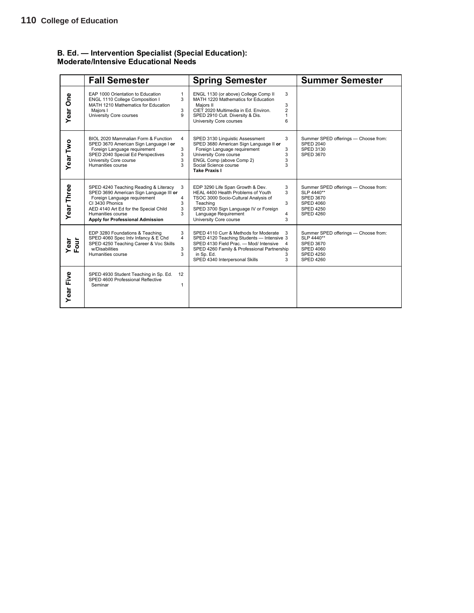### **B. Ed. — Intervention Specialist (Special Education): Moderate/Intensive Educational Needs**

|              | <b>Fall Semester</b>                                                                                                                                                                                                                                           | <b>Spring Semester</b>                                                                                                                                                                                                                                       | <b>Summer Semester</b>                                                                                                             |
|--------------|----------------------------------------------------------------------------------------------------------------------------------------------------------------------------------------------------------------------------------------------------------------|--------------------------------------------------------------------------------------------------------------------------------------------------------------------------------------------------------------------------------------------------------------|------------------------------------------------------------------------------------------------------------------------------------|
| Year One     | EAP 1000 Orientation to Education<br>$\mathbf{1}$<br>ENGL 1110 College Composition I<br>3<br>MATH 1210 Mathematics for Education<br>Majors I<br>3<br>University Core courses<br>9                                                                              | ENGL 1130 (or above) College Comp II<br>3<br>MATH 1220 Mathematics for Education<br>Majors II<br>3<br>$\overline{2}$<br>CIET 2020 Multimedia in Ed. Environ.<br>SPED 2910 Cult. Diversity & Dis.<br>1<br>6<br>University Core courses                        |                                                                                                                                    |
| Year Two     | BIOL 2020 Mammalian Form & Function<br>4<br>SPED 3670 American Sign Language I or<br>3<br>Foreign Language requirement<br>SPED 2040 Special Ed Perspectives<br>3<br>University Core course<br>3<br>Humanities course<br>3                                      | SPED 3130 Linguistic Assessment<br>3<br>SPED 3680 American Sign Language II or<br>Foreign Language requirement<br>3<br>University Core course<br>3<br>ENGL Comp (above Comp 2)<br>3<br>Social Science course<br>3<br><b>Take Praxis I</b>                    | Summer SPED offerings - Choose from:<br><b>SPED 2040</b><br><b>SPED 3130</b><br><b>SPED 3670</b>                                   |
| Year Three   | SPED 4240 Teaching Reading & Literacy<br>3<br>SPED 3690 American Sign Language III or<br>Foreign Language requirement<br>4<br>CI 3430 Phonics<br>3<br>AED 4140 Art Ed for the Special Child<br>3<br>Humanities course<br>3<br>Apply for Professional Admission | EDP 3290 Life Span Growth & Dev.<br>3<br>HEAL 4400 Health Problems of Youth<br>3<br>TSOC 3000 Socio-Cultural Analysis of<br>3<br>Teaching<br>SPED 3700 Sign Language IV or Foreign<br>Language Requirement<br>4<br>University Core course<br>3               | Summer SPED offerings - Choose from:<br>SLP 4440**<br><b>SPED 3670</b><br><b>SPED 4060</b><br><b>SPED 4250</b><br><b>SPED 4260</b> |
| Year<br>Four | EDP 3280 Foundations & Teaching<br>3<br>SPED 4060 Spec Intv Infancy & E Chd<br>4<br>SPED 4250 Teaching Career & Voc Skills<br>w/Disabilities<br>3<br>Humanities course<br>3                                                                                    | SPED 4110 Curr & Methods for Moderate<br>3<br>SPED 4120 Teaching Students - Intensive 3<br>SPED 4130 Field Prac. - Mod/ Intensive<br>$\overline{4}$<br>SPED 4260 Family & Professional Partnership<br>in Sp. Ed.<br>3<br>SPED 4340 Interpersonal Skills<br>3 | Summer SPED offerings - Choose from:<br>SLP 4440**<br><b>SPED 3670</b><br><b>SPED 4060</b><br><b>SPED 4250</b><br><b>SPED 4260</b> |
| Year Five    | SPED 4930 Student Teaching in Sp. Ed.<br>12<br>SPED 4600 Professional Reflective<br>Seminar<br>1                                                                                                                                                               |                                                                                                                                                                                                                                                              |                                                                                                                                    |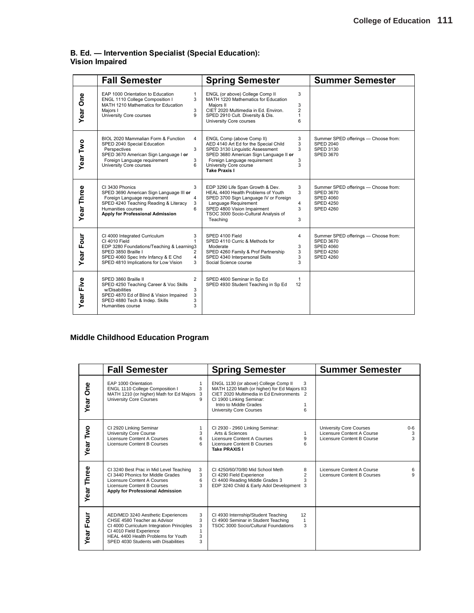### **B. Ed. — Intervention Specialist (Special Education): Vision Impaired**

|                   | <b>Fall Semester</b>                                                                                                                                                                                                                                  | <b>Spring Semester</b>                                                                                                                                                                                                                                           | <b>Summer Semester</b>                                                                                        |
|-------------------|-------------------------------------------------------------------------------------------------------------------------------------------------------------------------------------------------------------------------------------------------------|------------------------------------------------------------------------------------------------------------------------------------------------------------------------------------------------------------------------------------------------------------------|---------------------------------------------------------------------------------------------------------------|
| Year One          | EAP 1000 Orientation to Education<br>$\mathbf{1}$<br>ENGL 1110 College Composition I<br>3<br>MATH 1210 Mathematics for Education<br>3<br>Maiors I<br>University Core courses<br>9                                                                     | ENGL (or above) College Comp II<br>3<br>MATH 1220 Mathematics for Education<br>3<br>Majors II<br>$\overline{2}$<br>CIET 2020 Multimedia in Ed. Environ.<br>SPED 2910 Cult. Diversity & Dis.<br>1<br>University Core courses<br>6                                 |                                                                                                               |
| Year Two          | BIOL 2020 Mammalian Form & Function<br>$\overline{4}$<br>SPED 2040 Special Education<br>3<br>Perspectives<br>SPED 3670 American Sign Language I or<br>Foreign Language requirement<br>3<br>University Core courses<br>6                               | 3<br>ENGL Comp (above Comp II)<br>AED 4140 Art Ed for the Special Child<br>3<br>SPED 3130 Linguistic Assessment<br>3<br>SPED 3680 American Sign Language II or<br>Foreign Language requirement<br>3<br>University Core course<br>3<br><b>Take Praxis I</b>       | Summer SPED offerings - Choose from:<br><b>SPED 2040</b><br>SPED 3130<br><b>SPED 3670</b>                     |
| <b>Year Three</b> | 3<br>CI 3430 Phonics<br>SPED 3690 American Sign Language III or<br>Foreign Language requirement<br>4<br>SPED 4240 Teaching Reading & Literacy<br>3<br>Humanities courses<br>6<br>Apply for Professional Admission                                     | 3<br>EDP 3290 Life Span Growth & Dev.<br>HEAL 4400 Health Problems of Youth<br>3<br>SPED 3700 Sign Language IV or Foreign<br>Language Requirement<br>$\overline{4}$<br>SPED 4800 Vision Impairment<br>3<br>TSOC 3000 Socio-Cultural Analysis of<br>Teaching<br>3 | Summer SPED offerings - Choose from:<br><b>SPED 3670</b><br>SPED 4060<br><b>SPED 4250</b><br><b>SPED 4260</b> |
| Year Four         | CI 4000 Integrated Curriculum<br>3<br>CI 4010 Field<br>1<br>EDP 3280 Foundations/Teaching & Learning3<br>SPED 3850 Braille I<br>$\overline{2}$<br>SPED 4060 Spec Intv Infancy & E Chd<br>$\overline{4}$<br>SPED 4810 Implications for Low Vision<br>3 | SPED 4100 Field<br>4<br>SPED 4110 Curric & Methods for<br>Moderate<br>3<br>SPED 4260 Family & Prof Partnership<br>3<br>SPED 4340 Interpersonal Skills<br>3<br>Social Science course<br>3                                                                         | Summer SPED offerings - Choose from:<br>SPED 3670<br>SPED 4060<br><b>SPED 4250</b><br><b>SPED 4260</b>        |
| Year Five         | $\overline{2}$<br>SPED 3860 Braille II<br>SPED 4250 Teaching Career & Voc Skills<br>w/Disabilities<br>3<br>SPED 4870 Ed of Blind & Vision Impaired<br>3<br>3<br>SPED 4880 Tech & Indep. Skills<br>3<br>Humanities course                              | SPED 4600 Seminar in Sp Ed<br>$\mathbf{1}$<br>SPED 4930 Student Teaching in Sp Ed<br>12                                                                                                                                                                          |                                                                                                               |

## **Middle Childhood Education Program**

|                    | <b>Fall Semester</b>                                                                                                                                                                                                                                | <b>Spring Semester</b>                                                                                                                                                                                                       | <b>Summer Semester</b>                                                                                        |
|--------------------|-----------------------------------------------------------------------------------------------------------------------------------------------------------------------------------------------------------------------------------------------------|------------------------------------------------------------------------------------------------------------------------------------------------------------------------------------------------------------------------------|---------------------------------------------------------------------------------------------------------------|
| <b>One</b><br>Year | EAP 1000 Orientation<br>ENGL 1110 College Composition I<br>3<br>MATH 1210 (or higher) Math for Ed Majors 3<br><b>University Core Courses</b>                                                                                                        | ENGL 1130 (or above) College Comp II<br>3<br>MATH 1220 Math (or higher) for Ed Majors II3<br>CIET 2020 Multimedia in Ed Environments 2<br>CI 1900 Linking Seminar:<br>Intro to Middle Grades<br>6<br>University Core Courses |                                                                                                               |
| Year Two           | CI 2920 Linking Seminar<br>University Core Course<br>3<br>Licensure Content A Courses<br>6<br>Licensure Content B Courses<br>6                                                                                                                      | CI 2930 - 2960 Linking Seminar:<br>Arts & Sciences<br>1<br>Licensure Content A Courses<br>9<br>6<br>Licensure Content B Courses<br>Take PRAXIS I                                                                             | <b>University Core Courses</b><br>$0-6$<br>Licensure Content A Course<br>3<br>Licensure Content B Course<br>3 |
| Year Three         | CI 3240 Best Prac in Mid Level Teaching<br>3<br>CI 3440 Phonics for Middle Grades<br>3<br>Licensure Content A Courses<br>6<br>Licensure Content B Courses<br>3<br>Apply for Professional Admission                                                  | CI 4250/60/70/80 Mid School Meth<br>8<br>$\overline{2}$<br>CI 4290 Field Experience<br>3<br>CI 4400 Reading Middle Grades 3<br>EDP 3240 Child & Early Adol Development 3                                                     | Licensure Content A Course<br>6<br>9<br>Licensure Content B Courses                                           |
| Four<br>Year       | 3<br>AED/MED 3240 Aesthetic Experiences<br>3<br>CHSE 4580 Teacher as Advisor<br>CI 4000 Curriculum Integration Principles<br>3<br>CI 4010 Field Experience<br>HEAL 4400 Health Problems for Youth<br>3<br>3<br>SPED 4030 Students with Disabilities | CI 4930 Internship/Student Teaching<br>12<br>CI 4900 Seminar in Student Teaching<br>$\mathbf{1}$<br>TSOC 3000 Socio/Cultural Foundations<br>3                                                                                |                                                                                                               |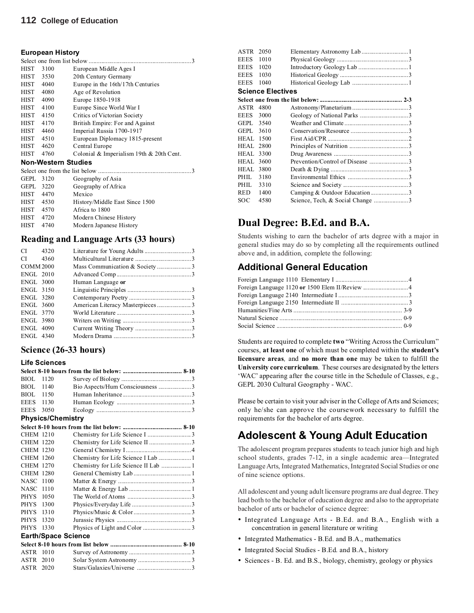### **112 College of Education**

### **European History**

| HIST      | 3100                       | European Middle Ages I                   |
|-----------|----------------------------|------------------------------------------|
| HIST      | 3530                       | 20th Century Germany                     |
| HIST 4040 |                            | Europe in the 16th/17th Centuries        |
| HIST 4080 |                            | Age of Revolution                        |
| HIST 4090 |                            | Europe 1850-1918                         |
| HIST 4100 |                            | Europe Since World War I                 |
| HIST 4150 |                            | Critics of Victorian Society             |
| HIST 4170 |                            | British Empire: For and Against          |
| HIST 4460 |                            | Imperial Russia 1700-1917                |
| HIST 4510 |                            | European Diplomacy 1815-present          |
| HIST 4620 |                            | Central Europe                           |
| HIST      | 4760                       | Colonial & Imperialism 19th & 20th Cent. |
|           | <b>Non-Western Studies</b> |                                          |
|           |                            |                                          |
| GEPL 3120 |                            | Geography of Asia                        |
| GEPL      | 3220                       | Geography of Africa                      |
| HIST      | 4470                       | Mexico                                   |
| HIST 4530 |                            | History/Middle East Since 1500           |
| HIST 4570 |                            | Africa to 1800                           |
| HIST 4720 |                            | Modern Chinese History                   |
| HIST      | 4740                       | Modern Japanese History                  |
|           |                            |                                          |

### **Reading and Language Arts (33 hours)**

| $CI$ 4320        |                   |  |
|------------------|-------------------|--|
| $CI$ 4360        |                   |  |
| <b>COMM 2000</b> |                   |  |
| <b>ENGL 2010</b> |                   |  |
| <b>ENGL 3000</b> | Human Language or |  |
| <b>ENGL 3150</b> |                   |  |
| <b>ENGL 3280</b> |                   |  |
| <b>ENGL 3600</b> |                   |  |
| <b>ENGL 3770</b> |                   |  |
| <b>ENGL 3980</b> |                   |  |
| <b>ENGL 4090</b> |                   |  |
| <b>ENGL 4340</b> |                   |  |
|                  |                   |  |

### **Science (26-33 hours)**

### **Life Sciences**

| BIOL             | 1120                     |                                     |  |
|------------------|--------------------------|-------------------------------------|--|
| BIOL             | 1140                     | Bio Aspects/Hum Consciousness 3     |  |
| BIOL             | 1150                     |                                     |  |
| <b>EEES</b>      | 1130                     |                                     |  |
| <b>EEES</b>      | 3050                     |                                     |  |
|                  | <b>Physics/Chemistry</b> |                                     |  |
|                  |                          |                                     |  |
| <b>CHEM 1210</b> |                          |                                     |  |
| <b>CHEM 1220</b> |                          |                                     |  |
| <b>CHEM 1230</b> |                          |                                     |  |
| <b>CHEM 1260</b> |                          | Chemistry for Life Science I Lab  1 |  |
| <b>CHEM 1270</b> |                          | Chemistry for Life Science II Lab 1 |  |
| <b>CHEM 1280</b> |                          |                                     |  |
| <b>NASC</b>      | 1100                     |                                     |  |
| <b>NASC</b>      | 1110                     |                                     |  |
| <b>PHYS</b>      | 1050                     |                                     |  |
| <b>PHYS</b>      | 1300                     |                                     |  |
| <b>PHYS</b>      | 1310                     |                                     |  |
| <b>PHYS</b>      | 1320                     |                                     |  |
| <b>PHYS</b>      | 1330                     |                                     |  |
|                  |                          | <b>Earth/Space Science</b>          |  |
|                  |                          |                                     |  |
| ASTR             | 1010                     |                                     |  |
| ASTR             | 2010                     |                                     |  |
| <b>ASTR</b>      | 2020                     |                                     |  |

| ASTR 2050        |                          |                               |  |
|------------------|--------------------------|-------------------------------|--|
| EEES             | 1010                     |                               |  |
| <b>EEES</b>      | 1020                     |                               |  |
| EEES             | 1030                     |                               |  |
| <b>EEES</b>      | 1040                     |                               |  |
|                  | <b>Science Electives</b> |                               |  |
|                  |                          |                               |  |
| ASTR             | 4800                     |                               |  |
| EEES             | 3000                     |                               |  |
| GEPL 3540        |                          |                               |  |
| GEPL 3610        |                          |                               |  |
| <b>HEAL 1500</b> |                          |                               |  |
| <b>HEAL 2800</b> |                          |                               |  |
| <b>HEAL 3300</b> |                          |                               |  |
| HEAL             | 3600                     |                               |  |
| HEAL.            | 3800                     |                               |  |
| PHIL.            | 3180                     |                               |  |
| PHIL             | 3310                     |                               |  |
| <b>RED</b>       | 1400                     | Camping & Outdoor Education 3 |  |
| SOC              | 4580                     |                               |  |
|                  |                          |                               |  |

## **Dual Degree: B.Ed. and B.A.**

Students wishing to earn the bachelor of arts degree with a major in general studies may do so by completing all the requirements outlined above and, in addition, complete the following:

## **Additional General Education**

Students are required to complete **two** "Writing Across the Curriculum" courses, **at least one** of which must be completed within the **student's licensure areas***,* and **no more than one** may be taken to fulfill the **University core curriculum**. These courses are designated by the letters 'WAC' appearing after the course title in the Schedule of Classes, e.g., GEPL 2030 Cultural Geography - WAC.

Please be certain to visit your adviser in the College of Arts and Sciences; only he/she can approve the coursework necessary to fulfill the requirements for the bachelor of arts degree.

## **Adolescent & Young Adult Education**

The adolescent program prepares students to teach junior high and high school students, grades 7-12, in a single academic area—Integrated Language Arts, Integrated Mathematics, Integrated Social Studies or one of nine science options.

All adolescent and young adult licensure programs are dual degree. They lead both to the bachelor of education degree and also to the appropriate bachelor of arts or bachelor of science degree:

- Integrated Language Arts B.Ed. and B.A., English with a concentration in general literature or writing
- Integrated Mathematics B.Ed. and B.A., mathematics
- Integrated Social Studies B.Ed. and B.A., history
- Sciences B. Ed. and B.S., biology, chemistry, geology or physics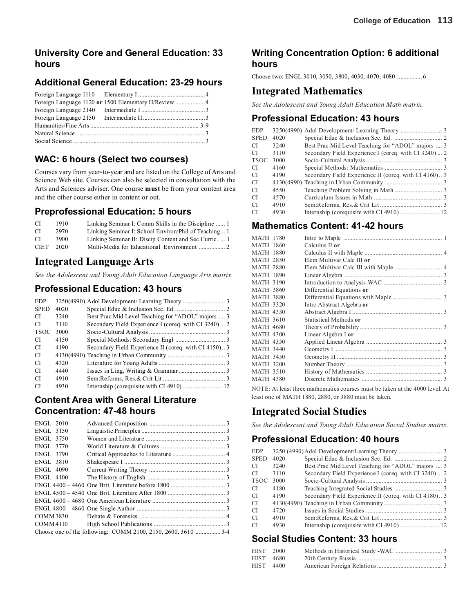## **University Core and General Education: 33 hours**

## **Additional General Education: 23-29 hours**

## **WAC: 6 hours (Select two courses)**

Courses vary from year-to-year and are listed on the College of Arts and Science Web site. Courses can also be selected in consultation with the Arts and Sciences adviser. One course **must** be from your content area and the other course either in content or out.

### **Preprofessional Education: 5 hours**

| CI.         | 1910. | Linking Seminar I: Comm Skills in the Discipline  1   |
|-------------|-------|-------------------------------------------------------|
| -CI         | 2970  | Linking Seminar I: School Environ/Phil of Teaching  1 |
| CI.         | 3900  | Linking Seminar II: Discip Content and Sec Curric.  1 |
| <b>CIET</b> | 2020  |                                                       |

## **Integrated Language Arts**

*See the Adolescent and Young Adult Education Language Arts matrix.*

## **Professional Education: 43 hours**

| <b>EDP</b>    |      |                                                       |
|---------------|------|-------------------------------------------------------|
| <b>SPED</b>   | 4020 |                                                       |
| CI.           | 3240 | Best Prac Mid Level Teaching for "ADOL" majors  3     |
| CI.           | 3110 | Secondary Field Experience I (coreq. with CI 3240)  2 |
| <b>TSOC</b>   | 3000 |                                                       |
| <b>CI</b>     | 4150 |                                                       |
| <b>CI</b>     | 4190 | Secondary Field Experience II (coreq. with CI 4150)3  |
| CI.           |      |                                                       |
| CI.           | 4320 |                                                       |
| CI.           | 4440 |                                                       |
| CI.           | 4910 |                                                       |
| <sup>CI</sup> | 4930 |                                                       |

## **Content Area with General Literature Concentration: 47-48 hours**

| ENGL 2010        |                                                              |  |
|------------------|--------------------------------------------------------------|--|
| <b>ENGL 3150</b> |                                                              |  |
| ENGL 3750        |                                                              |  |
| ENGL 3770        |                                                              |  |
| <b>ENGL 3790</b> |                                                              |  |
| <b>ENGL 3810</b> |                                                              |  |
| ENGL 4090        |                                                              |  |
| ENGL 4100        |                                                              |  |
|                  |                                                              |  |
|                  |                                                              |  |
|                  |                                                              |  |
|                  |                                                              |  |
| COMM 3830        |                                                              |  |
| COMM4110         |                                                              |  |
|                  | Choose one of the following: COMM 2100, 2150, 2600, 3610 3-4 |  |

## **Writing Concentration Option: 6 additional hours**

Choose two: ENGL 3010, 3050, 3800, 4030, 4070, 4080 ................ 6

## **Integrated Mathematics**

*See the Adolescent and Young Adult Education Math matrix.*

## **Professional Education: 43 hours**

| <b>EDP</b>  |      |                                                       |  |
|-------------|------|-------------------------------------------------------|--|
|             |      |                                                       |  |
| <b>SPED</b> | 4020 |                                                       |  |
| CI.         | 3240 | Best Prac Mid Level Teaching for "ADOL" majors  3     |  |
| CI          | 3110 | Secondary Field Experience I (coreq. with CI 3240)  2 |  |
| <b>TSOC</b> | 3000 |                                                       |  |
| CI.         | 4160 |                                                       |  |
| CI.         | 4190 | Secondary Field Experience II (coreq. with CI 4160)3  |  |
| CI          |      |                                                       |  |
| CI.         | 4550 |                                                       |  |
| <b>CI</b>   | 4570 |                                                       |  |
| <b>CI</b>   | 4910 |                                                       |  |
| <b>CI</b>   | 4930 |                                                       |  |
|             |      |                                                       |  |

## **Mathematics Content: 41-42 hours**

| <b>MATH 1780</b> |                           |  |
|------------------|---------------------------|--|
| <b>MATH 1860</b> | Calculus II or            |  |
| <b>MATH 1880</b> |                           |  |
| <b>MATH 2850</b> | Elem Multivar Calc III or |  |
| <b>MATH 2880</b> |                           |  |
| <b>MATH 1890</b> |                           |  |
| <b>MATH 3190</b> |                           |  |
| <b>MATH 3860</b> | Differential Equations or |  |
| <b>MATH 3880</b> |                           |  |
| <b>MATH 3320</b> | Intro Abstract Algebra or |  |
| <b>MATH 4330</b> |                           |  |
| <b>MATH 3610</b> | Statistical Methods or    |  |
| <b>MATH 4680</b> |                           |  |
| <b>MATH 4300</b> | Linear Algebra I or       |  |
| <b>MATH 4350</b> |                           |  |
| <b>MATH 3440</b> |                           |  |
| <b>MATH 3450</b> |                           |  |
| <b>MATH 3200</b> |                           |  |
| <b>MATH 3510</b> |                           |  |
| MATH 4380        |                           |  |
|                  |                           |  |

NOTE: At least three mathematics courses must be taken at the 4000 level. At least one of MATH 1880, 2880, or 3880 must be taken.

## **Integrated Social Studies**

*See the Adolescent and Young Adult Education Social Studies matrix.*

## **Professional Education: 40 hours**

| <b>EDP</b>  |      |                                                       |  |
|-------------|------|-------------------------------------------------------|--|
| <b>SPED</b> | 4020 |                                                       |  |
| CI.         | 3240 | Best Prac Mid Level Teaching for "ADOL" majors  3     |  |
| CI          | 3110 | Secondary Field Experience I (coreq. with CI 3240)  2 |  |
| <b>TSOC</b> | 3000 |                                                       |  |
| <b>CI</b>   | 4180 |                                                       |  |
| СI          | 4190 | Secondary Field Experience II (coreq. with CI 4180)3  |  |
| CI          |      |                                                       |  |
| СI          | 4720 |                                                       |  |
| СI          | 4910 |                                                       |  |
| СI          | 4930 |                                                       |  |
|             |      |                                                       |  |

## **Social Studies Content: 33 hours**

| HIST 2000 |  |  |
|-----------|--|--|
| HIST 4680 |  |  |
| HIST 4400 |  |  |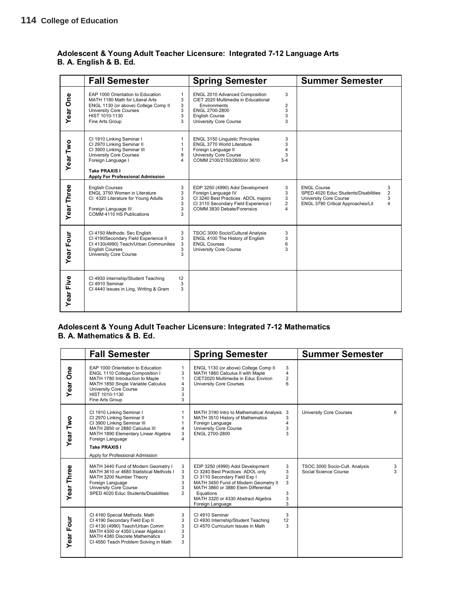### **Adolescent & Young Adult Teacher Licensure: Integrated 7-12 Language Arts B. A. English & B. Ed.**

|            | <b>Fall Semester</b>                                                                                                                                                                                |                            | <b>Spring Semester</b>                                                                                                                                              |                                    | <b>Summer Semester</b>                                                                                                                                     |
|------------|-----------------------------------------------------------------------------------------------------------------------------------------------------------------------------------------------------|----------------------------|---------------------------------------------------------------------------------------------------------------------------------------------------------------------|------------------------------------|------------------------------------------------------------------------------------------------------------------------------------------------------------|
| Year One   | EAP 1000 Orientation to Education<br>MATH 1180 Math for Liberal Arts<br>ENGL 1130 (or above) College Comp II<br><b>University Core Courses</b><br>HIST 1010-1130<br>Fine Arts Group                 | 1<br>3<br>3<br>3<br>3<br>3 | ENGL 2010 Advanced Composition<br>CIET 2020 Multimedia in Educational<br>Environments<br>ENGL 2700-2800<br><b>English Course</b><br>University Core Course          | 3<br>$\overline{2}$<br>3<br>3<br>3 |                                                                                                                                                            |
| Year Two   | CI 1910 Linking Seminar I<br>CI 2970 Linking Seminar II<br>CI 3900 Linking Seminar III<br><b>University Core Courses</b><br>Foreign Language I<br>Take PRAXIS I<br>Apply For Professional Admission | 1<br>1<br>1<br>9<br>4      | <b>ENGL 3150 Linguistic Principles</b><br>ENGL 3770 World Literature<br>Foreign Language II<br>University Core Course<br>COMM 2100/2150/2600/or 3610                | 3<br>3<br>4<br>3<br>$3 - 4$        |                                                                                                                                                            |
| Year Three | <b>English Courses</b><br>ENGL 3750 Women in Literature<br>CI 4320 Literature for Young Adults<br>Foreign Language III<br>COMM 4110 HS Publications                                                 | 3<br>3<br>3<br>3<br>3<br>3 | EDP 3250 (4990) Adol Development<br>Foreign Language IV<br>CI 3240 Best Practices ADOL majors<br>CI 3110 Secondary Field Experience I<br>COMM 3830 Debate/Forensics | 3<br>3<br>3<br>$\overline{2}$<br>4 | <b>ENGL Course</b><br>3<br>$\overline{2}$<br>SPED 4020 Educ Students/Disabilities<br>University Core Course<br>3<br>ENGL 3790 Critical Approaches/Lit<br>4 |
| Year Four  | CI 4150 Methods: Sec English<br>CI 4190Secondary Field Experience II<br>CI 4130(4990) Teach/Urban Communities<br><b>English Courses</b><br>University Core Course                                   | 3<br>3<br>3<br>3<br>3      | TSOC 3000 Socio/Cultural Analysis<br>ENGL 4100 The History of English<br><b>ENGL Courses</b><br>University Core Course                                              | 3<br>3<br>6<br>3                   |                                                                                                                                                            |
| Year Five  | CI 4930 Internship/Student Teaching<br>CI 4910 Seminar<br>CI 4440 Issues in Ling, Writing & Gram                                                                                                    | 12<br>3<br>3               |                                                                                                                                                                     |                                    |                                                                                                                                                            |

### **Adolescent & Young Adult Teacher Licensure: Integrated 7-12 Mathematics B. A. Mathematics & B. Ed.**

|            | <b>Fall Semester</b>                                                                                                                                                                                                                                                                                          | <b>Spring Semester</b>                                                                                                                                                                                                                                                                                      | <b>Summer Semester</b>                                            |
|------------|---------------------------------------------------------------------------------------------------------------------------------------------------------------------------------------------------------------------------------------------------------------------------------------------------------------|-------------------------------------------------------------------------------------------------------------------------------------------------------------------------------------------------------------------------------------------------------------------------------------------------------------|-------------------------------------------------------------------|
| Year One   | EAP 1000 Orientation to Education<br>$\mathbf{1}$<br>3<br>ENGL 1110 College Composition I<br>MATH 1780 Introduction to Maple<br>1<br>MATH 1850 Single Variable Calculus<br>$\overline{4}$<br>3<br>University Core Course<br>HIST 1010-1130<br>3<br>3<br>Fine Arts Group                                       | 3<br>ENGL 1130 (or above) College Comp II<br>4<br>MATH 1860 Calculus II with Maple<br>CIET2020 Multimedia in Educ Environ<br>$\overline{2}$<br><b>University Core Courses</b>                                                                                                                               |                                                                   |
| Year Two   | CI 1910 Linking Seminar I<br>$\mathbf{1}$<br>CI 2970 Linking Seminar II<br>$\mathbf{1}$<br>CI 3900 Linking Seminar III<br>MATH 2850 or 2880 Calculus III<br>$\overline{\mathbf{4}}$<br>3<br>MATH 1890 Elementary Linear Algebra<br>4<br>Foreign Language<br>Take PRAXIS I<br>Apply for Professional Admission | MATH 3190 Intro to Mathematical Analysis 3<br>MATH 3510 History of Mathematics<br>3<br>Foreign Language<br>4<br>University Core Course<br>3<br>ENGL 2700-2800<br>3                                                                                                                                          | <b>University Core Courses</b><br>6                               |
| Year Three | MATH 3440 Fund of Modern Geometry I<br>3<br>MATH 3610 or 4680 Statistical Methods I<br>3<br>3<br>MATH 3200 Number Theory<br>3<br>Foreign Language<br>3<br>University Core Course<br>SPED 4020 Educ Students/Disabilities<br>$\overline{2}$                                                                    | EDP 3250 (4990) Adol Development<br>3<br>3<br>CI 3240 Best Practices ADOL only<br>$\overline{2}$<br>CI 3110 Secondary Field Exp I<br>MATH 3450 Fund of Modern Geometry II<br>3<br>MATH 3860 or 3880 Elem Differential<br>3<br>Equations<br>3<br>MATH 3320 or 4330 Abstract Algebra<br>3<br>Foreign Language | TSOC 3000 Socio-Cult. Analysis<br>3<br>Social Science Course<br>3 |
| Year Four  | CI 4160 Special Methods: Math<br>3<br>CI 4190 Secondary Field Exp II<br>3<br>CI 4130 (4990) Teach/Urban Comm<br>3<br>3<br>MATH 4300 or 4350 Linear Algebra I<br>3<br>MATH 4380 Discrete Mathematics<br>3<br>CI 4550 Teach Problem Solving in Math                                                             | 3<br>CI 4910 Seminar<br>12<br>CI 4930 Internship/Student Teaching<br>3<br>CI 4570 Curriculum Issues in Math                                                                                                                                                                                                 |                                                                   |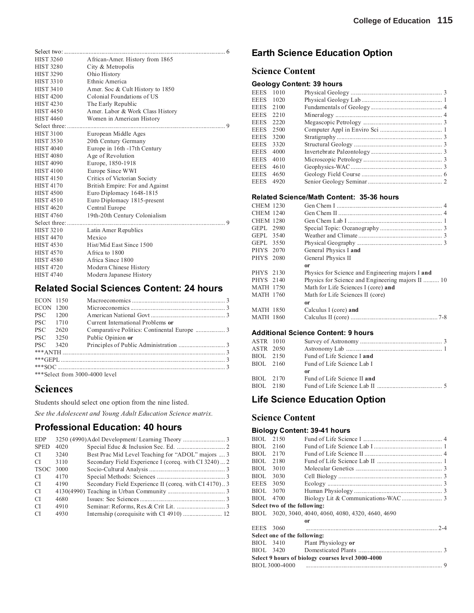| <b>HIST 3260</b> | African-Amer. History from 1865  |  |
|------------------|----------------------------------|--|
| <b>HIST 3280</b> | City & Metropolis                |  |
| <b>HIST 3290</b> | Ohio History                     |  |
| <b>HIST 3310</b> | Ethnic America                   |  |
| <b>HIST 3410</b> | Amer. Soc & Cult History to 1850 |  |
| <b>HIST 4200</b> | Colonial Foundations of US       |  |
| <b>HIST 4230</b> | The Early Republic               |  |
| <b>HIST 4450</b> | Amer. Labor & Work Class History |  |
| <b>HIST 4460</b> | Women in American History        |  |
| Select three:    |                                  |  |
| <b>HIST 3100</b> | European Middle Ages             |  |
| <b>HIST 3530</b> | 20th Century Germany             |  |
| <b>HIST 4040</b> | Europe in 16th -17th Century     |  |
| <b>HIST 4080</b> | Age of Revolution                |  |
| <b>HIST 4090</b> | Europe, 1850-1918                |  |
| <b>HIST 4100</b> | Europe Since WWI                 |  |
| <b>HIST 4150</b> | Critics of Victorian Society     |  |
| <b>HIST 4170</b> | British Empire: For and Against  |  |
| <b>HIST 4500</b> | Euro Diplomacy 1648-1815         |  |
| <b>HIST 4510</b> | Euro Diplomacy 1815-present      |  |
| <b>HIST 4620</b> | Central Europe                   |  |
| <b>HIST 4760</b> | 19th-20th Century Colonialism    |  |
|                  |                                  |  |
| <b>HIST 3210</b> | Latin Amer Republics             |  |
| <b>HIST 4470</b> | Mexico                           |  |
| <b>HIST 4530</b> | Hist/Mid East Since 1500         |  |
| <b>HIST 4570</b> | Africa to 1800                   |  |
| <b>HIST 4580</b> | Africa Since 1800                |  |
| <b>HIST 4720</b> | Modern Chinese History           |  |
| <b>HIST 4740</b> | Modern Japanese History          |  |
|                  |                                  |  |

## **Related Social Sciences Content: 24 hours**

| ECON 1150  |               |                                   |  |  |  |
|------------|---------------|-----------------------------------|--|--|--|
| ECON 1200  |               |                                   |  |  |  |
| <b>PSC</b> | 1200          |                                   |  |  |  |
| <b>PSC</b> | 1710          | Current International Problems or |  |  |  |
| <b>PSC</b> | 2620          |                                   |  |  |  |
| <b>PSC</b> | 3250          | Public Opinion or                 |  |  |  |
| PSC.       | 3420          |                                   |  |  |  |
|            |               |                                   |  |  |  |
|            |               |                                   |  |  |  |
|            |               |                                   |  |  |  |
|            | $\frac{1}{2}$ |                                   |  |  |  |

\*\*\*Select from 3000-4000 level

## **Sciences**

Students should select one option from the nine listed.

*See the Adolescent and Young Adult Education Science matrix.*

## **Professional Education: 40 hours**

| <b>EDP</b>    |      |                                                       |  |
|---------------|------|-------------------------------------------------------|--|
| <b>SPED</b>   | 4020 |                                                       |  |
| CI.           | 3240 | Best Prac Mid Level Teaching for "ADOL" majors  3     |  |
| CI.           | 3110 | Secondary Field Experience I (coreq. with CI 3240)  2 |  |
| <b>TSOC</b>   | 3000 |                                                       |  |
| <sup>CI</sup> | 4170 |                                                       |  |
| CI.           | 4190 | Secondary Field Experience II (coreq. with CI 4170)3  |  |
| CI.           |      |                                                       |  |
| CI.           | 4680 |                                                       |  |
| <sup>CI</sup> | 4910 |                                                       |  |
| <sup>CI</sup> | 4930 |                                                       |  |
|               |      |                                                       |  |

## **Earth Science Education Option**

### **Science Content**

### **Geology Content: 39 hours**

| EEES 1010   |      |  |
|-------------|------|--|
| <b>EEES</b> | 1020 |  |
| <b>EEES</b> | 2100 |  |
| <b>EEES</b> | 2210 |  |
| EEES        | 2220 |  |
| <b>EEES</b> | 2500 |  |
| <b>EEES</b> | 3200 |  |
| <b>EEES</b> | 3320 |  |
| <b>EEES</b> | 4000 |  |
| <b>EEES</b> | 4010 |  |
| <b>EEES</b> | 4610 |  |
| <b>EEES</b> | 4650 |  |
| EEES        | 4920 |  |
|             |      |  |

### **Related Science/Math Content: 35-36 hours**

| <b>CHEM 1230</b> |      |                                                                                                                                    |
|------------------|------|------------------------------------------------------------------------------------------------------------------------------------|
| <b>CHEM 1240</b> |      |                                                                                                                                    |
| <b>CHEM 1280</b> |      |                                                                                                                                    |
| GEPL 2980        |      |                                                                                                                                    |
| GEPL.            | 3540 |                                                                                                                                    |
| GEPL 3550        |      |                                                                                                                                    |
| PHYS 2070        |      | General Physics I and                                                                                                              |
| PHYS 2080        |      | General Physics II                                                                                                                 |
|                  |      | 0r                                                                                                                                 |
| PHYS 2130        |      | Physics for Science and Engineering majors I and                                                                                   |
| PHYS 2140        |      | Physics for Science and Engineering majors II  10                                                                                  |
| <b>MATH 1750</b> |      | Math for Life Sciences I (core) and                                                                                                |
| <b>MATH 1760</b> |      | Math for Life Sciences II (core)                                                                                                   |
|                  |      | 0r                                                                                                                                 |
| <b>MATH 1850</b> |      | Calculus I (core) and                                                                                                              |
| MATH 1860        |      |                                                                                                                                    |
|                  |      |                                                                                                                                    |
|                  |      | A different $\bigcap_{n=1}^{\infty}$ of $\bigcap_{n=1}^{\infty}$ and $\bigcap_{n=1}^{\infty}$ and $\bigcap_{n=1}^{\infty}$ becomes |

### **Additional Science Content: 9 hours**

| ASTR 1010 |           |                             |  |
|-----------|-----------|-----------------------------|--|
| ASTR 2050 |           |                             |  |
| BIOL 2150 |           | Fund of Life Science I and  |  |
|           | BIOL 2160 | Fund of Life Science Lab I  |  |
|           |           | or                          |  |
| BIOL 2170 |           | Fund of Life Science II and |  |
|           | BIOL 2180 |                             |  |
|           |           |                             |  |

## **Life Science Education Option**

### **Science Content**

### **Biology Content: 39-41 hours**

| BIOL.       | 2150                         |                                                     |
|-------------|------------------------------|-----------------------------------------------------|
| BIOL.       | 2160                         |                                                     |
| BIOL.       | 2170                         |                                                     |
| BIOL        | 2180                         |                                                     |
| BIOL        | 3010                         |                                                     |
| BIOL        | 3030                         |                                                     |
| <b>EEES</b> | 3050                         |                                                     |
| BIOL.       | 3070                         |                                                     |
| BIOL.       | 4700                         |                                                     |
|             | Select two of the following: |                                                     |
|             |                              | BIOL 3020, 3040, 4040, 4060, 4080, 4320, 4640, 4690 |
|             |                              | 0r                                                  |
| EEES 3060   |                              |                                                     |
|             | Select one of the following: |                                                     |
|             | BIOL 3410                    | Plant Physiology or                                 |
|             | BIOL 3420                    |                                                     |
|             |                              | Select 9 hours of biology courses level 3000-4000   |
|             | BIOL 3000-4000               | 9                                                   |
|             |                              |                                                     |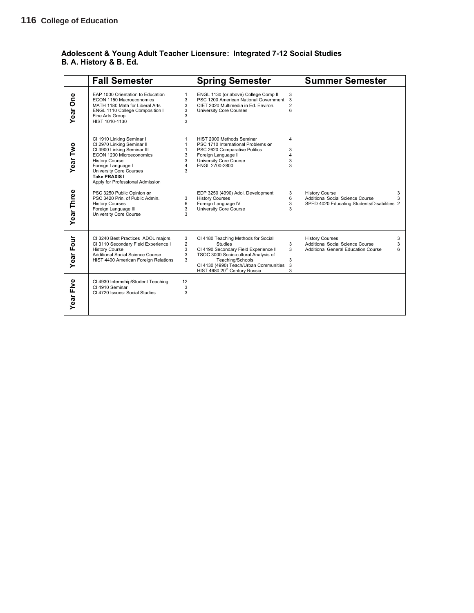### **Adolescent & Young Adult Teacher Licensure: Integrated 7-12 Social Studies B. A. History & B. Ed.**

|             | <b>Fall Semester</b>                                                                                                                                                                                                                                     |                                            | <b>Spring Semester</b>                                                                                                                                                                                                                            |                               | <b>Summer Semester</b>                                                                                                         |
|-------------|----------------------------------------------------------------------------------------------------------------------------------------------------------------------------------------------------------------------------------------------------------|--------------------------------------------|---------------------------------------------------------------------------------------------------------------------------------------------------------------------------------------------------------------------------------------------------|-------------------------------|--------------------------------------------------------------------------------------------------------------------------------|
| One<br>Year | EAP 1000 Orientation to Education<br>ECON 1150 Macroeconomics<br>MATH 1180 Math for Liberal Arts<br>ENGL 1110 College Composition I<br>Fine Arts Group<br>HIST 1010-1130                                                                                 | 1<br>3<br>3<br>3<br>3<br>3                 | ENGL 1130 (or above) College Comp II<br>PSC 1200 American National Government<br>CIET 2020 Multimedia in Ed. Environ.<br><b>University Core Courses</b>                                                                                           | 3<br>3<br>$\overline{2}$<br>6 |                                                                                                                                |
| Year Two    | CI 1910 Linking Seminar I<br>CI 2970 Linking Seminar II<br>CI 3900 Linking Seminar III<br>ECON 1200 Microeconomics<br><b>History Course</b><br>Foreign Language I<br><b>University Core Courses</b><br>Take PRAXIS I<br>Apply for Professional Admission | 1<br>$\mathbf{1}$<br>1<br>3<br>3<br>4<br>3 | HIST 2000 Methods Seminar<br>PSC 1710 International Problems or<br>PSC 2620 Comparative Politics<br>Foreign Language II<br><b>University Core Course</b><br>ENGL 2700-2800                                                                        | 4<br>3<br>4<br>3<br>3         |                                                                                                                                |
| Year Three  | PSC 3250 Public Opinion or<br>PSC 3420 Prin. of Public Admin.<br><b>History Courses</b><br>Foreign Language III<br>University Core Course                                                                                                                | 3<br>6<br>3<br>3                           | EDP 3250 (4990) Adol. Development<br><b>History Courses</b><br>Foreign Language IV<br><b>University Core Course</b>                                                                                                                               | 3<br>6<br>3<br>3              | <b>History Course</b><br>3<br>Additional Social Science Course<br>3<br>SPED 4020 Educating Students/Disabilities 2             |
| Year Four   | CI 3240 Best Practices ADOL majors<br>CI 3110 Secondary Field Experience I<br><b>History Course</b><br><b>Additional Social Science Course</b><br>HIST 4400 American Foreign Relations                                                                   | 3<br>$\overline{2}$<br>3<br>3<br>3         | CI 4180 Teaching Methods for Social<br><b>Studies</b><br>CI 4190 Secondary Field Experience II<br>TSOC 3000 Socio-cultural Analysis of<br>Teaching/Schools<br>CI 4130 (4990) Teach/Urban Communities<br>HIST 4680 20 <sup>th</sup> Century Russia | 3<br>3<br>3<br>3<br>3         | <b>History Courses</b><br>3<br><b>Additional Social Science Course</b><br>3<br><b>Additional General Education Course</b><br>6 |
| Year Five   | CI 4930 Internship/Student Teaching<br>CI 4910 Seminar<br>CI 4720 Issues: Social Studies                                                                                                                                                                 | 12<br>3<br>3                               |                                                                                                                                                                                                                                                   |                               |                                                                                                                                |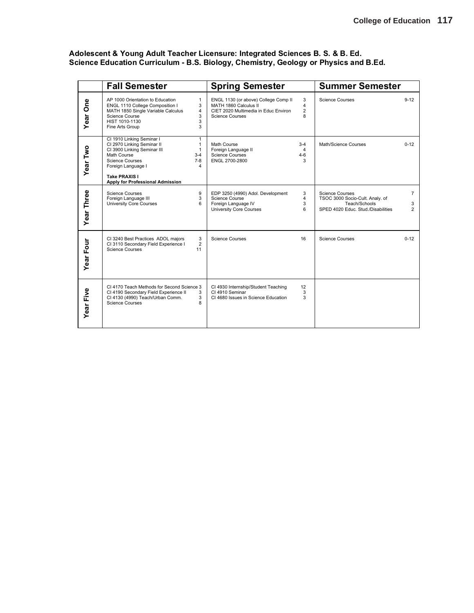|                         | <b>Fall Semester</b>                                                                                                                                                                                                                                                       | <b>Spring Semester</b>                                                                                                                                                                 | <b>Summer Semester</b>                                                                                                                                    |
|-------------------------|----------------------------------------------------------------------------------------------------------------------------------------------------------------------------------------------------------------------------------------------------------------------------|----------------------------------------------------------------------------------------------------------------------------------------------------------------------------------------|-----------------------------------------------------------------------------------------------------------------------------------------------------------|
| One<br>Year <sup></sup> | AP 1000 Orientation to Education<br>$\mathbf{1}$<br>ENGL 1110 College Composition I<br>3<br>MATH 1850 Single Variable Calculus<br>4<br>Science Course<br>3<br>HIST 1010-1130<br>3<br>3<br>Fine Arts Group                                                                  | 3<br>ENGL 1130 (or above) College Comp II<br>MATH 1860 Calculus II<br>$\overline{\mathbf{4}}$<br>CIET 2020 Multimedia in Educ Environ<br>$\overline{2}$<br>8<br><b>Science Courses</b> | <b>Science Courses</b><br>$9 - 12$                                                                                                                        |
| Year Two                | CI 1910 Linking Seminar I<br>$\mathbf{1}$<br>CI 2970 Linking Seminar II<br>$\mathbf{1}$<br>CI 3900 Linking Seminar III<br>$\mathbf{1}$<br>Math Course<br>$3-4$<br>Science Courses<br>$7-8$<br>Foreign Language I<br>4<br>Take PRAXIS I<br>Apply for Professional Admission | Math Course<br>$3-4$<br>Foreign Language II<br>4<br><b>Science Courses</b><br>4-6<br>ENGL 2700-2800<br>3                                                                               | Math/Science Courses<br>$0 - 12$                                                                                                                          |
| Year Three              | <b>Science Courses</b><br>9<br>3<br>Foreign Language III<br><b>University Core Courses</b><br>6                                                                                                                                                                            | EDP 3250 (4990) Adol. Development<br>3<br>$\overline{4}$<br>Science Course<br>Foreign Language IV<br>3<br>6<br><b>University Core Courses</b>                                          | <b>Science Courses</b><br>$\overline{7}$<br>TSOC 3000 Socio-Cult. Analy. of<br>Teach/Schools<br>3<br>SPED 4020 Educ. Stud./Disabilities<br>$\overline{2}$ |
| Year Four               | 3<br>CI 3240 Best Practices ADOL majors<br>$\overline{2}$<br>CI 3110 Secondary Field Experience I<br><b>Science Courses</b><br>11                                                                                                                                          | <b>Science Courses</b><br>16                                                                                                                                                           | <b>Science Courses</b><br>$0 - 12$                                                                                                                        |
| Year Five               | CI 4170 Teach Methods for Second Science 3<br>CI 4190 Secondary Field Experience II<br>3<br>CI 4130 (4990) Teach/Urban Comm.<br>3<br><b>Science Courses</b><br>8                                                                                                           | CI 4930 Internship/Student Teaching<br>12<br>CI 4910 Seminar<br>3<br>CI 4680 Issues in Science Education<br>3                                                                          |                                                                                                                                                           |

### **Adolescent & Young Adult Teacher Licensure: Integrated Sciences B. S. & B. Ed. Science Education Curriculum - B.S. Biology, Chemistry, Geology or Physics and B.Ed.**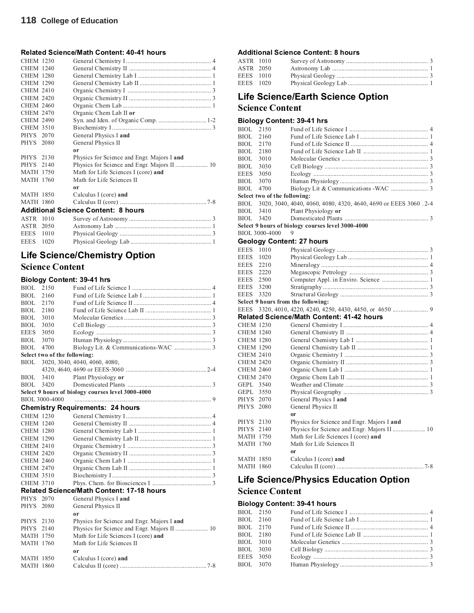### **Related Science/Math Content: 40-41 hours**

| <b>CHEM 1230</b> |      |                                            |
|------------------|------|--------------------------------------------|
| <b>CHEM 1240</b> |      |                                            |
| <b>CHEM 1280</b> |      |                                            |
| <b>CHEM 1290</b> |      |                                            |
| <b>CHEM 2410</b> |      |                                            |
| <b>CHEM 2420</b> |      |                                            |
| <b>CHEM 2460</b> |      |                                            |
| <b>CHEM 2470</b> |      | Organic Chem Lab II or                     |
| <b>CHEM 2490</b> |      |                                            |
| <b>CHEM 3510</b> |      |                                            |
| PHYS 2070        |      | General Physics I and                      |
| PHYS 2080        |      | General Physics II                         |
|                  |      | or                                         |
| PHYS 2130        |      | Physics for Science and Engr. Majors I and |
| PHYS 2140        |      |                                            |
| <b>MATH 1750</b> |      | Math for Life Sciences I (core) and        |
| <b>MATH 1760</b> |      | Math for Life Sciences II                  |
|                  |      | 0r                                         |
| <b>MATH 1850</b> |      | Calculus I (core) and                      |
| <b>MATH 1860</b> |      |                                            |
|                  |      | <b>Additional Science Content: 8 hours</b> |
|                  |      |                                            |
| ASTR 1010        |      |                                            |
| ASTR 2050        |      |                                            |
| <b>EEES</b>      | 1010 |                                            |

## **Life Science/Chemistry Option Science Content**

### **Biology Content: 39-41 hrs**

| <b>BIOL</b>      | 2150                         |                                                   |
|------------------|------------------------------|---------------------------------------------------|
| BIOL             | 2160                         |                                                   |
| BIOL.            | 2170                         |                                                   |
| BIOL.            | 2180                         |                                                   |
| <b>BIOL</b>      | 3010                         |                                                   |
| <b>BIOL</b>      | 3030                         |                                                   |
| <b>EEES</b>      | 3050                         |                                                   |
| BIOL.            | 3070                         |                                                   |
| <b>BIOL</b>      | 4700                         |                                                   |
|                  | Select two of the following: |                                                   |
| BIOL             |                              | 3020, 3040, 4040, 4060, 4080,                     |
|                  |                              |                                                   |
| BIOL             | 3410                         | Plant Physiology or                               |
| BIOL.            | 3420                         |                                                   |
|                  |                              | Select 9 hours of biology courses level 3000-4000 |
|                  | BIOL 3000-4000               |                                                   |
|                  |                              | <b>Chemistry Requirements: 24 hours</b>           |
| <b>CHEM 1230</b> |                              |                                                   |
| <b>CHEM 1240</b> |                              |                                                   |
| <b>CHEM 1280</b> |                              |                                                   |
| <b>CHEM 1290</b> |                              |                                                   |
| <b>CHEM 2410</b> |                              |                                                   |
| <b>CHEM 2420</b> |                              |                                                   |
| <b>CHEM 2460</b> |                              |                                                   |
| <b>CHEM 2470</b> |                              |                                                   |
| <b>CHEM 3510</b> |                              |                                                   |
| <b>CHEM 3710</b> |                              |                                                   |
|                  |                              | <b>Related Science/Math Content: 17-18 hours</b>  |
| PHYS 2070        |                              | General Physics I and                             |
| <b>PHYS</b>      | 2080                         | General Physics II                                |
|                  |                              | 0r                                                |
| <b>PHYS</b>      | 2130                         | Physics for Science and Engr. Majors I and        |
| <b>PHYS</b>      | 2140                         |                                                   |
| <b>MATH 1750</b> |                              | Math for Life Sciences I (core) and               |
| <b>MATH 1760</b> |                              | Math for Life Sciences II                         |
|                  |                              | 0r                                                |
| <b>MATH 1850</b> |                              | Calculus I (core) and                             |
| <b>MATH 1860</b> |                              |                                                   |

### **Additional Science Content: 8 hours**

| ASTR 1010 |  |  |
|-----------|--|--|
| ASTR 2050 |  |  |
| EEES 1010 |  |  |
| EEES 1020 |  |  |
|           |  |  |

## **Life Science/Earth Science Option**

### **Science Content**

### **Biology Content: 39-41 hrs**

| <b>BIOL</b>      | 2150 |                                                  |                                                                                                                                                                                                                                      |
|------------------|------|--------------------------------------------------|--------------------------------------------------------------------------------------------------------------------------------------------------------------------------------------------------------------------------------------|
| <b>BIOL</b>      | 2160 |                                                  |                                                                                                                                                                                                                                      |
| <b>BIOL</b>      | 2170 |                                                  |                                                                                                                                                                                                                                      |
| BIOL             | 2180 |                                                  |                                                                                                                                                                                                                                      |
| <b>BIOL</b>      | 3010 |                                                  |                                                                                                                                                                                                                                      |
| <b>BIOL</b>      | 3030 |                                                  |                                                                                                                                                                                                                                      |
| <b>EEES</b>      | 3050 |                                                  |                                                                                                                                                                                                                                      |
| <b>BIOL</b>      | 3070 |                                                  |                                                                                                                                                                                                                                      |
| <b>BIOL</b>      | 4700 |                                                  |                                                                                                                                                                                                                                      |
|                  |      |                                                  |                                                                                                                                                                                                                                      |
| BIOL             |      |                                                  |                                                                                                                                                                                                                                      |
| BIOL             | 3410 | Plant Physiology or                              |                                                                                                                                                                                                                                      |
| <b>BIOL</b>      | 3420 |                                                  |                                                                                                                                                                                                                                      |
|                  |      |                                                  |                                                                                                                                                                                                                                      |
|                  |      |                                                  |                                                                                                                                                                                                                                      |
|                  |      |                                                  |                                                                                                                                                                                                                                      |
| <b>EEES</b>      | 1010 |                                                  |                                                                                                                                                                                                                                      |
| <b>EEES</b>      | 1020 |                                                  |                                                                                                                                                                                                                                      |
| <b>EEES</b>      | 2210 |                                                  |                                                                                                                                                                                                                                      |
| <b>EEES</b>      | 2220 |                                                  |                                                                                                                                                                                                                                      |
| <b>EEES</b>      | 2500 |                                                  |                                                                                                                                                                                                                                      |
| EEES             | 3200 |                                                  |                                                                                                                                                                                                                                      |
| <b>EEES</b>      | 3320 |                                                  |                                                                                                                                                                                                                                      |
|                  |      |                                                  |                                                                                                                                                                                                                                      |
|                  |      |                                                  |                                                                                                                                                                                                                                      |
| EEES             |      |                                                  |                                                                                                                                                                                                                                      |
|                  |      | <b>Related Science/Math Content: 41-42 hours</b> |                                                                                                                                                                                                                                      |
| <b>CHEM 1230</b> |      |                                                  |                                                                                                                                                                                                                                      |
| <b>CHEM 1240</b> |      |                                                  |                                                                                                                                                                                                                                      |
| <b>CHEM 1280</b> |      |                                                  |                                                                                                                                                                                                                                      |
| CHEM 1290        |      |                                                  |                                                                                                                                                                                                                                      |
| <b>CHEM 2410</b> |      |                                                  |                                                                                                                                                                                                                                      |
| <b>CHEM 2420</b> |      |                                                  |                                                                                                                                                                                                                                      |
| <b>CHEM 2460</b> |      |                                                  |                                                                                                                                                                                                                                      |
| <b>CHEM 2470</b> |      |                                                  |                                                                                                                                                                                                                                      |
| GEPL 3540        |      |                                                  |                                                                                                                                                                                                                                      |
| GEPL 3550        |      |                                                  |                                                                                                                                                                                                                                      |
| <b>PHYS</b>      | 2070 | General Physics I and                            |                                                                                                                                                                                                                                      |
| <b>PHYS</b>      | 2080 | General Physics II                               |                                                                                                                                                                                                                                      |
|                  |      | 0r                                               |                                                                                                                                                                                                                                      |
| <b>PHYS</b>      | 2130 | Physics for Science and Engr. Majors I and       |                                                                                                                                                                                                                                      |
| PHYS 2140        |      | Physics for Science and Engr. Majors II  10      |                                                                                                                                                                                                                                      |
| <b>MATH 1750</b> |      | Math for Life Sciences I (core) and              |                                                                                                                                                                                                                                      |
| <b>MATH 1760</b> |      | Math for Life Sciences II                        |                                                                                                                                                                                                                                      |
|                  |      | <sub>or</sub>                                    |                                                                                                                                                                                                                                      |
| MATH 1850        |      | Calculus I (core) and                            |                                                                                                                                                                                                                                      |
|                  |      | BIOL 3000-4000                                   | Select two of the following:<br>3020, 3040, 4040, 4060, 4080, 4320, 4640, 4690 or EEES 3060 .2-4<br>Select 9 hours of biology courses level 3000-4000<br>9<br><b>Geology Content: 27 hours</b><br>Select 9 hours from the following: |

## **Life Science/Physics Education Option**

### **Science Content**

### **Biology Content: 39-41 hours**

|           | BIOL 2150 |  |
|-----------|-----------|--|
| BIOL 2160 |           |  |
| BIOL 2170 |           |  |
| BIOL 2180 |           |  |
| BIOL 3010 |           |  |
| BIOL 3030 |           |  |
| EEES 3050 |           |  |
|           | BIOL 3070 |  |
|           |           |  |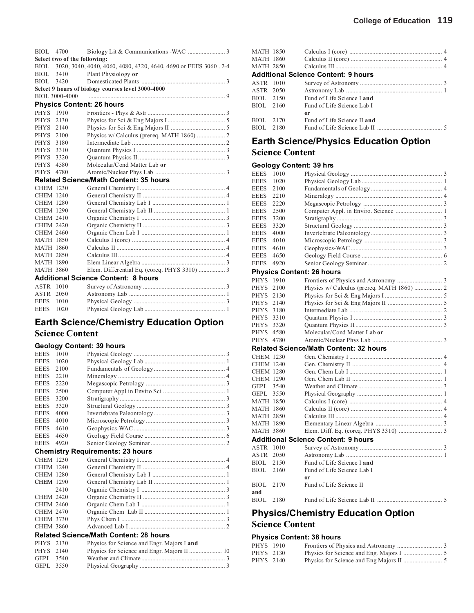|                  | BIOL 4700                    |                                                                       |
|------------------|------------------------------|-----------------------------------------------------------------------|
|                  | Select two of the following: |                                                                       |
|                  |                              | BIOL 3020, 3040, 4040, 4060, 4080, 4320, 4640, 4690 or EEES 3060 .2-4 |
| BIOL 3410        |                              | Plant Physiology or                                                   |
| BIOL 3420        |                              |                                                                       |
|                  |                              | Select 9 hours of biology courses level 3000-4000                     |
|                  | BIOL 3000-4000               |                                                                       |
|                  |                              | <b>Physics Content: 26 hours</b>                                      |
| PHYS 1910        |                              |                                                                       |
| PHYS 2130        |                              |                                                                       |
| PHYS 2140        |                              |                                                                       |
| PHYS 2100        |                              | Physics w/ Calculus (prereq. MATH 1860)  2                            |
| PHYS 3180        |                              |                                                                       |
| PHYS 3310        |                              |                                                                       |
| PHYS 3320        |                              |                                                                       |
| PHYS 4580        |                              | Molecular/Cond Matter Lab or                                          |
| PHYS 4780        |                              |                                                                       |
|                  |                              | <b>Related Science/Math Content: 35 hours</b>                         |
| <b>CHEM 1230</b> |                              |                                                                       |
| <b>CHEM 1240</b> |                              |                                                                       |
| <b>CHEM 1280</b> |                              |                                                                       |
| <b>CHEM 1290</b> |                              |                                                                       |
| <b>CHEM 2410</b> |                              |                                                                       |
| <b>CHEM 2420</b> |                              |                                                                       |
| <b>CHEM 2460</b> |                              |                                                                       |
| <b>MATH 1850</b> |                              |                                                                       |
| <b>MATH 1860</b> |                              |                                                                       |
| <b>MATH 2850</b> |                              |                                                                       |
| <b>MATH 1890</b> |                              |                                                                       |

### MATH 3860 Elem. Differential Eq. (coreq. PHYS 3310) ................. 3 **Additional Science Content: 8 hours**

| ASTR 1010 |  |  |
|-----------|--|--|
| ASTR 2050 |  |  |
| EEES 1010 |  |  |
| EEES 1020 |  |  |

## **Earth Science/Chemistry Education Option Science Content**

### **Geology Content: 39 hours**

| 1010 |                                         |
|------|-----------------------------------------|
| 1020 |                                         |
| 2100 |                                         |
| 2210 |                                         |
| 2220 |                                         |
| 2500 |                                         |
| 3200 |                                         |
| 3320 |                                         |
| 4000 |                                         |
| 4010 |                                         |
| 4610 |                                         |
| 4650 |                                         |
| 4920 |                                         |
|      |                                         |
|      | <b>Chemistry Requirements: 23 hours</b> |

### CHEM 1230 General Chemistry I....................................................... 4 CHEM 1240 General Chemistry II ..................................................... 4 CHEM 1280 General Chemistry Lab I ............................................... 1 CHEM 1290 General Chemistry Lab II CHEM .............................................. 1 2410 Organic Chemistry I ...................................................... 3 CHEM 2420 Organic Chemistry II ..................................................... 3 CHEM 2460 Organic Chem Lab I ...................................................... 1 CHEM 2470 Organic Chem Lab II .................................................... 1 CHEM 3730 Phys Chem I ................................................................... 3 CHEM 3860 Advanced Lab I .............................................................. 2 **Related Science/Math Content: 28 hours**

| PHYS 2130<br>PHYS 2140 | Physics for Science and Engr. Majors I and |  |
|------------------------|--------------------------------------------|--|
| GEPL 3540              |                                            |  |
| GEPL 3550              |                                            |  |

|           | MATH 1850 |                                            |  |
|-----------|-----------|--------------------------------------------|--|
|           | MATH 1860 |                                            |  |
| MATH 2850 |           |                                            |  |
|           |           | <b>Additional Science Content: 9 hours</b> |  |
| ASTR 1010 |           |                                            |  |
| ASTR 2050 |           |                                            |  |
|           | BIOL 2150 | Fund of Life Science Land                  |  |
|           | BIOL 2160 | Fund of Life Science Lab I                 |  |
|           |           | or                                         |  |
| BIOL 2170 |           | Fund of Life Science II and                |  |
| BIOL 2180 |           |                                            |  |
|           |           |                                            |  |

### **Earth Science/Physics Education Option Science Content**

|                  | <b>Geology Content: 39 hrs</b> |                                               |  |
|------------------|--------------------------------|-----------------------------------------------|--|
| <b>EEES</b>      | 1010                           |                                               |  |
| <b>EEES</b>      | 1020                           |                                               |  |
| <b>EEES</b>      | 2100                           |                                               |  |
| <b>EEES</b>      | 2210                           |                                               |  |
| <b>EEES</b>      | 2220                           |                                               |  |
| <b>EEES</b>      | 2500                           | Computer Appl. in Enviro. Science  1          |  |
| <b>EEES</b>      | 3200                           |                                               |  |
| <b>EEES</b>      | 3320                           |                                               |  |
| <b>EEES</b>      | 4000                           |                                               |  |
| EEES             | 4010                           |                                               |  |
| <b>EEES</b>      | 4610                           |                                               |  |
| <b>EEES</b>      | 4650                           |                                               |  |
| <b>EEES</b>      | 4920                           |                                               |  |
|                  |                                | <b>Physics Content: 26 hours</b>              |  |
| <b>PHYS</b>      | 1910                           |                                               |  |
| <b>PHYS</b>      | 2100                           | Physics w/ Calculus (prereq. MATH 1860)  2    |  |
| <b>PHYS</b>      | 2130                           |                                               |  |
| <b>PHYS</b>      | 2140                           |                                               |  |
| <b>PHYS</b>      | 3180                           |                                               |  |
| <b>PHYS</b>      | 3310                           |                                               |  |
| <b>PHYS</b>      | 3320                           |                                               |  |
| <b>PHYS</b>      | 4580                           | Molecular/Cond Matter Lab or                  |  |
| <b>PHYS</b>      | 4780                           |                                               |  |
|                  |                                | <b>Related Science/Math Content: 32 hours</b> |  |
| <b>CHEM 1230</b> |                                |                                               |  |
| <b>CHEM 1240</b> |                                |                                               |  |
| <b>CHEM 1280</b> |                                |                                               |  |
| <b>CHEM 1290</b> |                                |                                               |  |
| <b>GEPL</b>      | 3540                           |                                               |  |
| GEPL             | 3550                           |                                               |  |
| <b>MATH 1850</b> |                                |                                               |  |
| <b>MATH 1860</b> |                                |                                               |  |
| <b>MATH 2850</b> |                                |                                               |  |
| <b>MATH 1890</b> |                                |                                               |  |
| <b>MATH 3860</b> |                                |                                               |  |
|                  |                                | <b>Additional Science Content: 9 hours</b>    |  |
| <b>ASTR</b>      | 1010                           |                                               |  |
| ASTR             | 2050                           |                                               |  |
| BIOL             | 2150                           | Fund of Life Science I and                    |  |
| <b>BIOL</b>      | 2160                           | Fund of Life Science Lab I                    |  |
|                  |                                | <sub>or</sub>                                 |  |
| <b>BIOL</b>      | 2170                           | Fund of Life Science II                       |  |
| and              |                                |                                               |  |
| <b>BIOL</b>      | 2180                           |                                               |  |
|                  |                                |                                               |  |

## **Physics/Chemistry Education Option Science Content**

### **Physics Content: 38 hours**

| PHYS 1910 |  |
|-----------|--|
| PHYS 2130 |  |
| PHYS 2140 |  |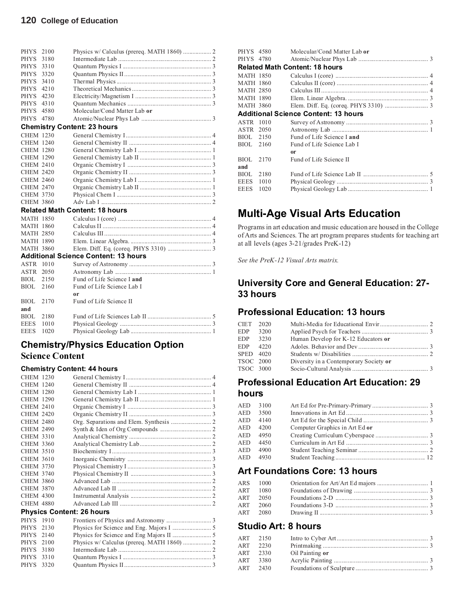| <b>PHYS</b>      | 2100 |                                       |  |
|------------------|------|---------------------------------------|--|
| <b>PHYS</b>      | 3180 |                                       |  |
| <b>PHYS</b>      | 3310 |                                       |  |
| <b>PHYS</b>      | 3320 |                                       |  |
| <b>PHYS</b>      | 3410 |                                       |  |
| <b>PHYS</b>      | 4210 |                                       |  |
| <b>PHYS</b>      | 4230 |                                       |  |
| <b>PHYS</b>      | 4310 |                                       |  |
| <b>PHYS</b>      | 4580 | Molecular/Cond Matter Lab or          |  |
| <b>PHYS</b>      | 4780 |                                       |  |
|                  |      | <b>Chemistry Content: 23 hours</b>    |  |
| <b>CHEM 1230</b> |      |                                       |  |
| <b>CHEM 1240</b> |      |                                       |  |
| <b>CHEM 1280</b> |      |                                       |  |
| <b>CHEM 1290</b> |      |                                       |  |
| <b>CHEM 2410</b> |      |                                       |  |
| <b>CHEM 2420</b> |      |                                       |  |
| <b>CHEM 2460</b> |      |                                       |  |
| <b>CHEM 2470</b> |      |                                       |  |
| <b>CHEM 3730</b> |      |                                       |  |
| <b>CHEM 3860</b> |      |                                       |  |
|                  |      | <b>Related Math Content: 18 hours</b> |  |
| <b>MATH 1850</b> |      |                                       |  |

|           | <b>Additional Science Content: 13 hours</b> |  |
|-----------|---------------------------------------------|--|
| ASTR 1010 |                                             |  |
| ASTR 2050 |                                             |  |
| BIOL 2150 | Fund of Life Science Land                   |  |
| BIOL 2160 | Fund of Life Science Lab I                  |  |
|           | or                                          |  |
| BIOL 2170 | Fund of Life Science II                     |  |
| and       |                                             |  |
| BIOL 2180 |                                             |  |
| EEES 1010 |                                             |  |
| EEES 1020 |                                             |  |

## **Chemistry/Physics Education Option Science Content**

### **Chemistry Content: 44 hours**

| <b>CHEM 1230</b> |      |                                  |  |
|------------------|------|----------------------------------|--|
| <b>CHEM 1240</b> |      |                                  |  |
| <b>CHEM 1280</b> |      |                                  |  |
| <b>CHEM 1290</b> |      |                                  |  |
| <b>CHEM 2410</b> |      |                                  |  |
| <b>CHEM 2420</b> |      |                                  |  |
| <b>CHEM 2480</b> |      |                                  |  |
| <b>CHEM 2490</b> |      |                                  |  |
| <b>CHEM 3310</b> |      |                                  |  |
| <b>CHEM 3360</b> |      |                                  |  |
| <b>CHEM 3510</b> |      |                                  |  |
| <b>CHEM 3610</b> |      |                                  |  |
| <b>CHEM 3730</b> |      |                                  |  |
| <b>CHEM 3740</b> |      |                                  |  |
| <b>CHEM 3860</b> |      |                                  |  |
| <b>CHEM 3870</b> |      |                                  |  |
| <b>CHEM 4300</b> |      |                                  |  |
| <b>CHEM 4880</b> |      |                                  |  |
|                  |      | <b>Physics Content: 26 hours</b> |  |
| <b>PHYS</b>      | 1910 |                                  |  |
| <b>PHYS</b>      | 2130 |                                  |  |
| PHYS 2140        |      |                                  |  |
| PHYS 2100        |      |                                  |  |
| PHYS 3180        |      |                                  |  |
| <b>PHYS</b>      | 3310 |                                  |  |
| <b>PHYS</b>      | 3320 |                                  |  |
|                  |      |                                  |  |

| PHYS 4580        |           | Molecular/Cond Matter Lab or                |  |
|------------------|-----------|---------------------------------------------|--|
|                  | PHYS 4780 |                                             |  |
|                  |           | <b>Related Math Content: 18 hours</b>       |  |
| <b>MATH 1850</b> |           |                                             |  |
| <b>MATH 1860</b> |           |                                             |  |
| <b>MATH 2850</b> |           |                                             |  |
| <b>MATH 1890</b> |           |                                             |  |
| <b>MATH 3860</b> |           |                                             |  |
|                  |           | <b>Additional Science Content: 13 hours</b> |  |
| ASTR 1010        |           |                                             |  |
| <b>ASTR 2050</b> |           |                                             |  |
| BIOL 2150        |           | Fund of Life Science I and                  |  |
| BIOL 2160        |           | Fund of Life Science Lab I                  |  |
|                  |           | 0r                                          |  |
| BIOL             | 2170      | Fund of Life Science II                     |  |
| and              |           |                                             |  |
| BIOL             | 2180      |                                             |  |
| EEES             | 1010      |                                             |  |
| <b>EEES</b>      | 1020      |                                             |  |
|                  |           |                                             |  |

## **Multi-Age Visual Arts Education**

Programs in art education and music education are housed in the College of Arts and Sciences. The art program prepares students for teaching art at all levels (ages 3-21/grades PreK-12)

*See the PreK-12 Visual Arts matrix.*

## **University Core and General Education: 27- 33 hours**

## **Professional Education: 13 hours**

| CIET 2020 |      |                                        |  |
|-----------|------|----------------------------------------|--|
|           |      |                                        |  |
| EDP       | 3200 |                                        |  |
| EDP       | 3230 | Human Develop for K-12 Educators or    |  |
| EDP       | 4220 |                                        |  |
| SPED 4020 |      |                                        |  |
| TSOC 2000 |      | Diversity in a Contemporary Society or |  |
| TSOC 3000 |      |                                        |  |
|           |      |                                        |  |

## **Professional Education Art Education: 29 hours**

| AED        | 3100 |                                |  |
|------------|------|--------------------------------|--|
| AED        | 3500 |                                |  |
| <b>AED</b> | 4140 |                                |  |
| AED        | 4200 | Computer Graphics in Art Ed or |  |
| <b>AED</b> | 4950 |                                |  |
| AED        | 4450 |                                |  |
| <b>AED</b> | 4900 |                                |  |
| AED        | 4930 |                                |  |
|            |      |                                |  |

## **Art Foundations Core: 13 hours**

| ARS 1000 |  |
|----------|--|
| ART 1080 |  |
| ART 2050 |  |
| ART 2060 |  |
| ART 2080 |  |

## **Studio Art: 8 hours**

|     | ART 2150 |                 |  |
|-----|----------|-----------------|--|
| ART | 2230     |                 |  |
| ART | 2330     | Oil Painting or |  |
| ART | 3380     |                 |  |
| ART | 2430     |                 |  |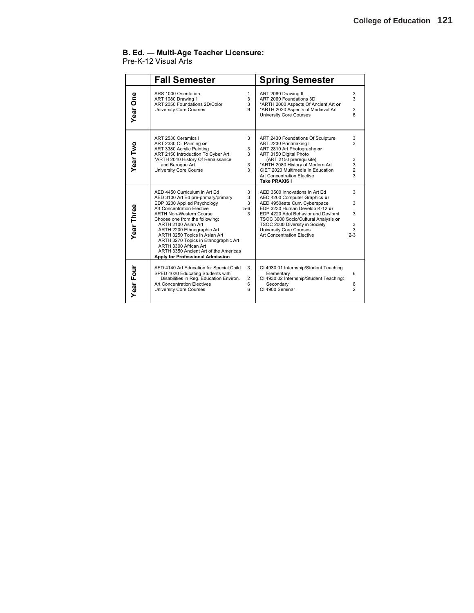### **B. Ed. — Multi-Age Teacher Licensure:**

### Pre-K-12 Visual Arts

|            | <b>Fall Semester</b>                                                                                                                                                                                                                                                                                                                                                                                                                      |                               | <b>Spring Semester</b>                                                                                                                                                                                                                                                                                                    |                                   |
|------------|-------------------------------------------------------------------------------------------------------------------------------------------------------------------------------------------------------------------------------------------------------------------------------------------------------------------------------------------------------------------------------------------------------------------------------------------|-------------------------------|---------------------------------------------------------------------------------------------------------------------------------------------------------------------------------------------------------------------------------------------------------------------------------------------------------------------------|-----------------------------------|
| Year One   | ARS 1000 Orientation<br>ART 1080 Drawing 1<br>ART 2050 Foundations 2D/Color<br><b>University Core Courses</b>                                                                                                                                                                                                                                                                                                                             | 1<br>3<br>3<br>9              | ART 2080 Drawing II<br>ART 2060 Foundations 3D<br>*ARTH 2000 Aspects Of Ancient Art or<br>*ARTH 2020 Aspects of Medieval Art<br><b>University Core Courses</b>                                                                                                                                                            | 3<br>3<br>3<br>6                  |
| Year Two   | ART 2530 Ceramics I<br>ART 2330 Oil Painting or<br>ART 3380 Acrylic Painting<br>ART 2150 Introduction To Cyber Art<br>*ARTH 2040 History Of Renaissance<br>and Baroque Art<br>University Core Course                                                                                                                                                                                                                                      | 3<br>3<br>3<br>3<br>3         | ART 2430 Foundations Of Sculpture<br>ART 2230 Printmaking I<br>ART 2810 Art Photography or<br>ART 3150 Digital Photo<br>(ART 2150 prerequisite)<br>*ARTH 2080 History of Modern Art<br>CIET 2020 Multimedia In Education<br><b>Art Concentration Elective</b><br>Take PRAXIS I                                            | 3<br>3<br>3<br>$\frac{3}{2}$<br>3 |
| Year Three | AED 4450 Curriculum in Art Ed<br>AED 3100 Art Ed pre-primary/primary<br>EDP 3200 Applied Psychology<br>Art Concentration Flective<br><b>ARTH Non-Western Course</b><br>Choose one from the following:<br>ARTH 2100 Asian Art<br>ARTH 2200 Ethnographic Art<br>ARTH 3250 Topics in Asian Art<br>ARTH 3270 Topics in Ethnographic Art<br>ARTH 3300 African Art<br>ARTH 3350 Ancient Art of the Americas<br>Apply for Professional Admission | 3<br>3<br>3<br>$5-6$<br>3     | AED 3500 Innovations In Art Ed<br>AED 4200 Computer Graphics or<br>AED 4950eate Curr. Cyberspace<br>EDP 3230 Human Develop K-12 or<br>EDP 4220 Adol Behavior and Devlpmt<br>TSOC 3000 Socio/Cultural Analysis or<br>TSOC 2000 Diversity in Society<br><b>University Core Courses</b><br><b>Art Concentration Elective</b> | 3<br>3<br>3<br>3<br>3<br>$2 - 3$  |
| Year Four  | AED 4140 Art Education for Special Child<br>SPED 4020 Educating Students with<br>Disabilities in Reg. Education Environ.<br><b>Art Concentration Electives</b><br><b>University Core Courses</b>                                                                                                                                                                                                                                          | 3<br>$\overline{2}$<br>6<br>6 | CI 4930:01 Internship/Student Teaching<br>Elementary<br>CI 4930:02 Internship/Student Teaching:<br>Secondary<br>CI 4900 Seminar                                                                                                                                                                                           | 6<br>6<br>$\overline{a}$          |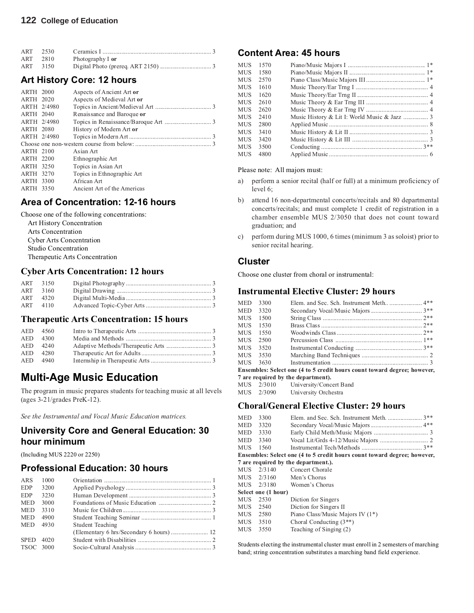| ART 2530 |      |                  |  |
|----------|------|------------------|--|
| ART 2810 |      | Photography I or |  |
| ART      | 3150 |                  |  |

## **Art History Core: 12 hours**

| <b>ARTH 2000</b> | Aspects of Ancient Art or   |
|------------------|-----------------------------|
| ARTH 2020        | Aspects of Medieval Art or  |
| ARTH 2/4980      |                             |
| <b>ARTH 2040</b> | Renaissance and Baroque or  |
| ARTH 2/4980      |                             |
| <b>ARTH 2080</b> | History of Modern Art or    |
| ARTH 2/4980      |                             |
|                  |                             |
| ARTH 2100        | Asian Art                   |
| ARTH 2200        | Ethnographic Art            |
| <b>ARTH 3250</b> | Topics in Asian Art         |
| <b>ARTH 3270</b> | Topics in Ethnographic Art  |
| ARTH 3300        | African Art                 |
| ARTH 3350        | Ancient Art of the Americas |

## **Area of Concentration: 12-16 hours**

Choose one of the following concentrations: Art History Concentration Arts Concentration Cyber Arts Concentration Studio Concentration Therapeutic Arts Concentration

### **Cyber Arts Concentration: 12 hours**

| ART 3150 |  |
|----------|--|
| ART 3160 |  |
| ART 4320 |  |
| ART 4110 |  |

### **Therapeutic Arts Concentration: 15 hours**

| AED 4560 |  |
|----------|--|
| AED 4300 |  |
| AED 4240 |  |
| AED 4280 |  |
| AED 4940 |  |

## **Multi-Age Music Education**

The program in music prepares students for teaching music at all levels (ages 3-21/grades PreK-12).

*See the Instrumental and Vocal Music Education matrices.*

## **University Core and General Education: 30 hour minimum**

(Including MUS 2220 or 2250)

## **Professional Education: 30 hours**

| ARS         | 1000 |                         |
|-------------|------|-------------------------|
| <b>EDP</b>  | 3200 |                         |
| <b>EDP</b>  | 3230 |                         |
| <b>MED</b>  | 3000 |                         |
| <b>MED</b>  | 3310 |                         |
| <b>MED</b>  | 4900 |                         |
| <b>MED</b>  | 4930 | <b>Student Teaching</b> |
|             |      |                         |
| <b>SPED</b> | 4020 |                         |
| TSOC 3000   |      |                         |
|             |      |                         |

## **Content Area: 45 hours**

| <b>MUS</b> | 1570 |                                              |  |
|------------|------|----------------------------------------------|--|
| MUS        | 1580 |                                              |  |
| <b>MUS</b> | 2570 |                                              |  |
| MUS        | 1610 |                                              |  |
| MUS        | 1620 |                                              |  |
| MUS.       | 2610 |                                              |  |
| MUS        | 2620 |                                              |  |
| MUS.       | 2410 | Music History & Lit I: World Music & Jazz  3 |  |
| MUS.       | 2800 |                                              |  |
| MUS.       | 3410 |                                              |  |
| MUS.       | 3420 |                                              |  |
| MUS        | 3500 |                                              |  |
| MUS        | 4800 |                                              |  |
|            |      |                                              |  |

### Please note: All majors must:

- a) perform a senior recital (half or full) at a minimum proficiency of level 6;
- b) attend 16 non-departmental concerts/recitals and 80 departmental concerts/recitals; and must complete 1 credit of registration in a chamber ensemble MUS 2/3050 that does not count toward graduation; and
- c) perform during MUS 1000, 6 times (minimum 3 as soloist) prior to senior recital hearing.

### **Cluster**

Choose one cluster from choral or instrumental:

### **Instrumental Elective Cluster: 29 hours**

| <b>MED</b> | 3300 |                                                                          |  |
|------------|------|--------------------------------------------------------------------------|--|
| MED        | 3320 |                                                                          |  |
| MUS.       | 1500 |                                                                          |  |
| MUS        | 1530 |                                                                          |  |
| MUS        | 1550 |                                                                          |  |
| <b>MUS</b> | 2500 |                                                                          |  |
| MUS.       | 3520 |                                                                          |  |
| <b>MUS</b> | 3530 |                                                                          |  |
| MUS        | 3630 |                                                                          |  |
|            |      | Ensembles: Select one (4 to 5 credit hours count toward degree; however, |  |
|            |      | 7 are required by the department).                                       |  |
|            |      |                                                                          |  |

| MUS   | 2/3010 | University/Concert Band |
|-------|--------|-------------------------|
| 5.577 | 0.0000 |                         |

## MUS 2/3090 University Orchestra

### **Choral/General Elective Cluster: 29 hours**

|                                                                          | MED 3300 |                                     |  |  |  |  |
|--------------------------------------------------------------------------|----------|-------------------------------------|--|--|--|--|
|                                                                          | MED 3320 |                                     |  |  |  |  |
|                                                                          | MED 3330 |                                     |  |  |  |  |
|                                                                          | MED 3340 |                                     |  |  |  |  |
|                                                                          |          |                                     |  |  |  |  |
| Ensembles: Select one (4 to 5 credit hours count toward degree; however, |          |                                     |  |  |  |  |
|                                                                          |          | 7 are required by the department.). |  |  |  |  |
|                                                                          |          | MUS 2/3140 Concert Chorale          |  |  |  |  |
|                                                                          |          |                                     |  |  |  |  |

| MUS 2/3160          | Men's Chorus                     |
|---------------------|----------------------------------|
|                     |                                  |
| MUS 2/3180          | Women's Chorus                   |
| Select one (1 hour) |                                  |
| MUS<br>2530         | Diction for Singers              |
| MUS<br>2540         | Diction for Singers II           |
| MUS<br>2580         | Piano Class/Music Majors IV (1*) |
| MUS<br>3510         | Choral Conducting $(3^{**})$     |
| MUS<br>3550         | Teaching of Singing (2)          |

Students electing the instrumental cluster must enroll in 2 semesters of marching band; string concentration substitutes a marching band field experience.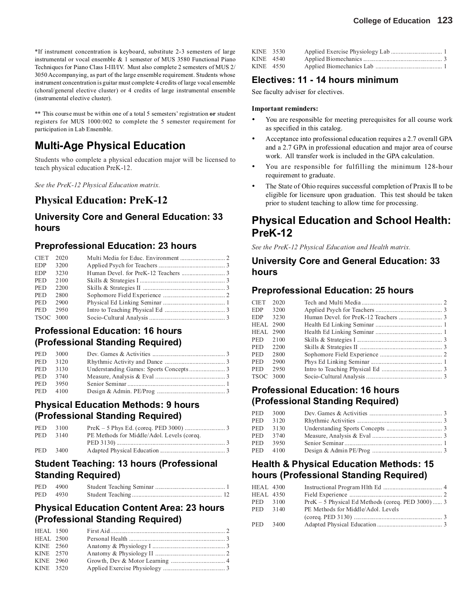\*\* This course must be within one of a total 5 semesters' registration **or** student registers for MUS 1000:002 to complete the 5 semester requirement for participation in Lab Ensemble.

## **Multi-Age Physical Education**

Students who complete a physical education major will be licensed to teach physical education PreK-12.

*See the PreK-12 Physical Education matrix.*

## **Physical Education: PreK-12**

## **University Core and General Education: 33 hours**

## **Preprofessional Education: 23 hours**

| <b>CIET</b>      | 2020 |  |
|------------------|------|--|
| <b>EDP</b>       | 3200 |  |
| EDP              | 3230 |  |
| <b>PED</b>       | 2100 |  |
| <b>PED</b>       | 2200 |  |
| PED              | 2800 |  |
| <b>PED</b>       | 2900 |  |
| <b>PED</b>       | 2950 |  |
| <b>TSOC 3000</b> |      |  |

## **Professional Education: 16 hours (Professional Standing Required)**

|            | PED 3000 |  |
|------------|----------|--|
| <b>PED</b> | 3120     |  |
|            | PED 3130 |  |
|            | PED 3740 |  |
|            | PED 3950 |  |
|            | PED 4100 |  |

## **Physical Education Methods: 9 hours (Professional Standing Required)**

|            | PED 3100 |                                            |  |
|------------|----------|--------------------------------------------|--|
|            | PED 3140 | PE Methods for Middle/Adol. Levels (coreq. |  |
|            |          |                                            |  |
| <b>PED</b> | 3400     |                                            |  |

## **Student Teaching: 13 hours (Professional Standing Required)**

| PED 4900 |  |
|----------|--|
| PED 4930 |  |

## **Physical Education Content Area: 23 hours (Professional Standing Required)**

| <b>HEAL</b> 1500 |  |  |
|------------------|--|--|
| <b>HEAL 2500</b> |  |  |
| KINE 2560        |  |  |
| KINE 2570        |  |  |
| KINE 2960        |  |  |
| KINE 3520        |  |  |
|                  |  |  |

| KINE 3530 |  |  |
|-----------|--|--|
| KINE 4540 |  |  |
| KINE 4550 |  |  |

## **Electives: 11 - 14 hours minimum**

See faculty adviser for electives.

### **Important reminders:**

- You are responsible for meeting prerequisites for all course work as specified in this catalog.
- Acceptance into professional education requires a 2.7 overall GPA and a 2.7 GPA in professional education and major area of course work. All transfer work is included in the GPA calculation.
- You are responsible for fulfilling the minimum 128-hour requirement to graduate.
- The State of Ohio requires successful completion of Praxis II to be eligible for licensure upon graduation. This test should be taken prior to student teaching to allow time for processing.

## **Physical Education and School Health: PreK-12**

*See the PreK-12 Physical Education and Health matrix.*

## **University Core and General Education: 33 hours**

## **Preprofessional Education: 25 hours**

| <b>CIET</b>      | 2020 |  |
|------------------|------|--|
| <b>EDP</b>       | 3200 |  |
| <b>EDP</b>       | 3230 |  |
| <b>HEAL</b> 2900 |      |  |
| <b>HEAL</b> 2900 |      |  |
| <b>PED</b>       | 2100 |  |
| PED.             | 2200 |  |
| <b>PED</b>       | 2800 |  |
| <b>PED</b>       | 2900 |  |
| <b>PED</b>       | 2950 |  |
| TSOC 3000        |      |  |
|                  |      |  |

## **Professional Education: 16 hours (Professional Standing Required)**

| <b>PED</b> | 3000 |  |
|------------|------|--|
| <b>PED</b> | 3120 |  |
| <b>PED</b> | 3130 |  |
| PED.       | 3740 |  |
| PED.       | 3950 |  |
| PED        | 4100 |  |

## **Health & Physical Education Methods: 15 hours (Professional Standing Required)**

| <b>HEAL 4300</b> |      |                                                     |  |
|------------------|------|-----------------------------------------------------|--|
| <b>HEAL 4350</b> |      |                                                     |  |
| PED 3100         |      | $PreK - 5$ Physical Ed Methods (coreg. PED 3000)  3 |  |
| PED              | 3140 | PE Methods for Middle/Adol. Levels                  |  |
|                  |      |                                                     |  |
| PED 3400         |      |                                                     |  |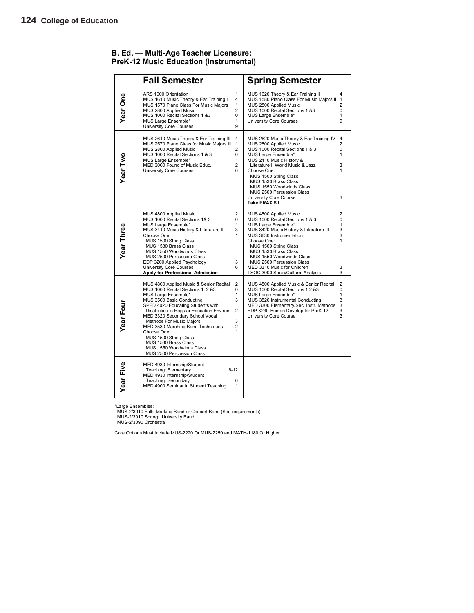|            | <b>Fall Semester</b>                                                                                                                                                                                                                                                                                                                                                                                                                                                                                                            | <b>Spring Semester</b>                                                                                                                                                                                                                                                                                                                                                                                               |
|------------|---------------------------------------------------------------------------------------------------------------------------------------------------------------------------------------------------------------------------------------------------------------------------------------------------------------------------------------------------------------------------------------------------------------------------------------------------------------------------------------------------------------------------------|----------------------------------------------------------------------------------------------------------------------------------------------------------------------------------------------------------------------------------------------------------------------------------------------------------------------------------------------------------------------------------------------------------------------|
| Year One   | ARS 1000 Orientation<br>1<br>MUS 1610 Music Theory & Ear Training I<br>4<br>MUS 1570 Piano Class For Music Majors I<br>1<br>MUS 2800 Applied Music<br>$\overline{2}$<br>MUS 1000 Recital Sections 1 &3<br>0<br>MUS Large Ensemble*<br>1<br><b>University Core Courses</b><br>9                                                                                                                                                                                                                                                  | MUS 1620 Theory & Ear Training II<br>4<br>MUS 1580 Piano Class For Music Majors II<br>$\mathbf{1}$<br>MUS 2800 Applied Music<br>$\overline{2}$<br>MUS 1000 Recital Sections 1 &3<br>0<br>MUS Large Ensemble*<br>$\mathbf{1}$<br>University Core Courses<br>9                                                                                                                                                         |
| Year Two   | MUS 2610 Music Theory & Ear Training III<br>4<br>MUS 2570 Piano Class for Music Majors III<br>$\mathbf{1}$<br>MUS 2800 Applied Music<br>2<br>MUS 1000 Recital Sections 1 & 3<br>$\Omega$<br>MUS Large Ensemble*<br>1<br>MED 3000 Found of Music Educ.<br>$\overline{2}$<br><b>University Core Courses</b><br>6                                                                                                                                                                                                                  | 4<br>MUS 2620 Music Theory & Ear Training IV<br>MUS 2800 Applied Music<br>$\overline{2}$<br>MUS 1000 Recital Sections 1 & 3<br>0<br>1<br>MUS Large Ensemble*<br>MUS 2410 Music History &<br>Literature I: World Music & Jazz<br>3<br>1<br>Choose One:<br>MUS 1500 String Class<br>MUS 1530 Brass Class<br>MUS 1550 Woodwinds Class<br>MUS 2500 Percussion Class<br>3<br>University Core Course<br>Take PRAXIS I      |
| Year Three | $\overline{2}$<br>MUS 4800 Applied Music<br>MUS 1000 Recital Sections 1& 3<br>0<br>MUS Large Ensemble*<br>1<br>MUS 3410 Music History & Literature II<br>3<br>1<br>Choose One:<br>MUS 1500 String Class<br>MUS 1530 Brass Class<br>MUS 1550 Woodwinds Class<br>MUS 2500 Percussion Class<br>EDP 3200 Applied Psychology<br>3<br><b>University Core Courses</b><br>6<br>Apply for Professional Admission                                                                                                                         | $\overline{2}$<br>MUS 4800 Applied Music<br>MUS 1000 Recital Sections 1 & 3<br>0<br>$\mathbf{1}$<br>MUS Large Ensemble*<br>MUS 3420 Music History & Literature III<br>3<br>MUS 3630 Instrumentation<br>3<br>Choose One:<br>1<br>MUS 1500 String Class<br>MUS 1530 Brass Class<br>MUS 1550 Woodwinds Class<br>MUS 2500 Percussion Class<br>MED 3310 Music for Children<br>3<br>TSOC 3000 Socio/Cultural Analysis<br>3 |
| Year Four  | $\overline{2}$<br>MUS 4800 Applied Music & Senior Recital<br>MUS 1000 Recital Sections 1, 2 &3<br>0<br>MUS Large Ensemble*<br>1<br>3<br>MUS 3500 Basic Conducting<br>SPED 4020 Educating Students with<br>Disabilities in Regular Education Environ.<br>$\overline{2}$<br>MED 3320 Secondary School Vocal<br>Methods For Music Majors<br>3<br>MED 3530 Marching Band Techniques<br>$\overline{2}$<br>Choose One:<br>1<br>MUS 1500 String Class<br>MUS 1530 Brass Class<br>MUS 1550 Woodwinds Class<br>MUS 2500 Percussion Class | 2<br>MUS 4800 Applied Music & Senior Recital<br>0<br>MUS 1000 Recital Sections 1 2 &3<br>$\mathbf{1}$<br>MUS Large Ensemble*<br>MUS 3520 Instrumental Conducting<br>3<br>MED 3300 Elementary/Sec. Instr. Methods<br>3<br>EDP 3230 Human Develop for PreK-12<br>3<br>3<br>University Core Course                                                                                                                      |
| Year Five  | MED 4930 Internship/Student<br>Teaching: Elementary<br>$6 - 12$<br>MED 4930 Internship/Student<br>Teaching: Secondary<br>6<br>MED 4900 Seminar in Student Teaching                                                                                                                                                                                                                                                                                                                                                              | 1                                                                                                                                                                                                                                                                                                                                                                                                                    |

### **B. Ed. — Multi-Age Teacher Licensure: PreK-12 Music Education (Instrumental)**

\*Large Ensembles: MUS-2/3010 Fall: Marking Band or Concert Band (See requirements) MUS-2/3010 Spring: University Band MUS-2/3090 Orchestra

Core Options Must Include MUS-2220 Or MUS-2250 and MATH-1180 Or Higher.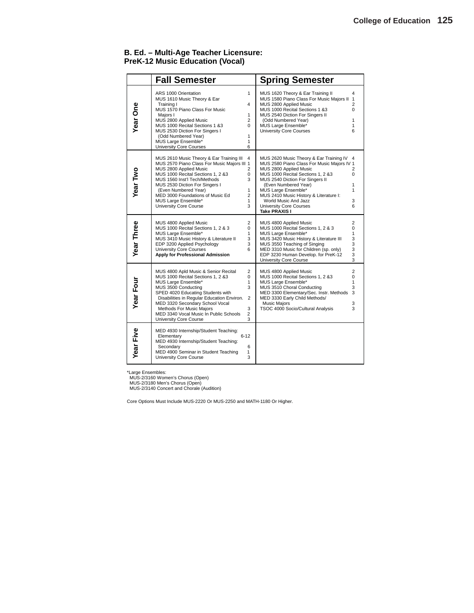### **B. Ed. – Multi-Age Teacher Licensure: PreK-12 Music Education (Vocal)**

|                  | <b>Fall Semester</b>                                                                                                                                                                                                                                                                                                                          |                                                                              | <b>Spring Semester</b>                                                                                                                                                                                                                                                                                                                               |                                                                                    |
|------------------|-----------------------------------------------------------------------------------------------------------------------------------------------------------------------------------------------------------------------------------------------------------------------------------------------------------------------------------------------|------------------------------------------------------------------------------|------------------------------------------------------------------------------------------------------------------------------------------------------------------------------------------------------------------------------------------------------------------------------------------------------------------------------------------------------|------------------------------------------------------------------------------------|
| Year One         | ARS 1000 Orientation<br>MUS 1610 Music Theory & Ear<br>Training I<br>MUS 1570 Piano Class For Music<br>Maiors I<br>MUS 2800 Applied Music<br>MUS 1000 Recital Sections 1 &3<br>MUS 2530 Diction For Singers I<br>(Odd Numbered Year)<br>MUS Large Ensemble*<br><b>University Core Courses</b>                                                 | $\mathbf{1}$<br>4<br>$\mathbf{1}$<br>2<br>$\Omega$<br>1<br>$\mathbf{1}$<br>6 | MUS 1620 Theory & Ear Training II<br>MUS 1580 Piano Class For Music Majors II 1<br>MUS 2800 Applied Music<br>MUS 1000 Recital Sections 1 &3<br>MUS 2540 Diction For Singers II<br>(Odd Numbered Year)<br>MUS Large Ensemble*<br><b>University Core Courses</b>                                                                                       | 4<br>$\overline{2}$<br>$\Omega$<br>$\mathbf{1}$<br>1<br>6                          |
| Year Two         | MUS 2610 Music Theory & Ear Training III<br>MUS 2570 Piano Class For Music Majors III 1<br>MUS 2800 Applied Music<br>MUS 1000 Recital Sections 1, 2 &3<br>MUS 1560 Inst'l Tech/Methods<br>MUS 2530 Diction For Singers I<br>(Even Numbered Year)<br>MED 3000 Foundations of Music Ed<br>MUS Large Ensemble*<br>University Core Course         | 4<br>2<br>0<br>3<br>$\mathbf{1}$<br>2<br>$\mathbf{1}$<br>3                   | MUS 2620 Music Theory & Ear Training IV<br>MUS 2580 Piano Class For Music Majors IV 1<br>MUS 2800 Applied Music<br>MUS 1000 Recital Sections 1, 2 &3<br>MUS 2540 Diction For Singers II<br>(Even Numbered Year)<br>MUS Large Ensemble*<br>MUS 2410 Music History & Literature I:<br>World Music And Jazz<br>University Core Courses<br>Take PRAXIS I | 2<br>$\Omega$<br>1<br>1<br>3<br>6                                                  |
| Year Three       | MUS 4800 Applied Music<br>MUS 1000 Recital Sections 1, 2 & 3<br>MUS Large Ensemble*<br>MUS 3410 Music History & Literature II<br>EDP 3200 Applied Psychology<br><b>University Core Courses</b><br>Apply for Professional Admission                                                                                                            | $\overline{2}$<br>0<br>1<br>3<br>3<br>6                                      | MUS 4800 Applied Music<br>MUS 1000 Recital Sections 1, 2 & 3<br>MUS Large Ensemble*<br>MUS 3420 Music History & Literature III<br>MUS 3550 Teaching of Singing<br>MED 3310 Music for Children (sp. only)<br>EDP 3230 Human Develop. for PreK-12<br>University Core Course                                                                            | $\overline{2}$<br>$\Omega$<br>1<br>$\begin{array}{c} 3 \\ 3 \\ 3 \end{array}$<br>3 |
| Year Four        | MUS 4800 Apld Music & Senior Recital<br>MUS 1000 Recital Sections 1, 2 &3<br>MUS Large Ensemble*<br>MUS 3500 Conducting<br>SPED 4020 Educating Students with<br>Disabilities in Regular Education Environ.<br>MED 3320 Secondary School Vocal<br>Methods For Music Majors<br>MED 3340 Vocal Music In Public Schools<br>University Core Course | $\overline{2}$<br>0<br>1<br>3<br>2<br>3<br>2<br>3                            | MUS 4800 Applied Music<br>MUS 1000 Recital Sections 1, 2 &3<br>MUS Large Ensemble*<br>MUS 3510 Choral Conducting<br>MED 3300 Elementary/Sec. Instr. Methods<br>MED 3330 Early Child Methods/<br><b>Music Majors</b><br>TSOC 4000 Socio/Cultural Analysis                                                                                             | $\overline{2}$<br>0<br>$\mathbf{1}$<br>3<br>3<br>3<br>3                            |
| <b>Year Five</b> | MED 4930 Internship/Student Teaching:<br>Elementary<br>$6 - 12$<br>MED 4930 Internship/Student Teaching:<br>Secondary<br>MED 4900 Seminar in Student Teaching<br>University Core Course                                                                                                                                                       | 6<br>1<br>3                                                                  |                                                                                                                                                                                                                                                                                                                                                      |                                                                                    |

\*Large Ensembles: MUS-2/3160 Women's Chorus (Open) MUS-2/3180 Men's Chorus (Open) MUS-2/3140 Concert and Chorale (Audition)

Core Options Must Include MUS-2220 Or MUS-2250 and MATH-1180 Or Higher.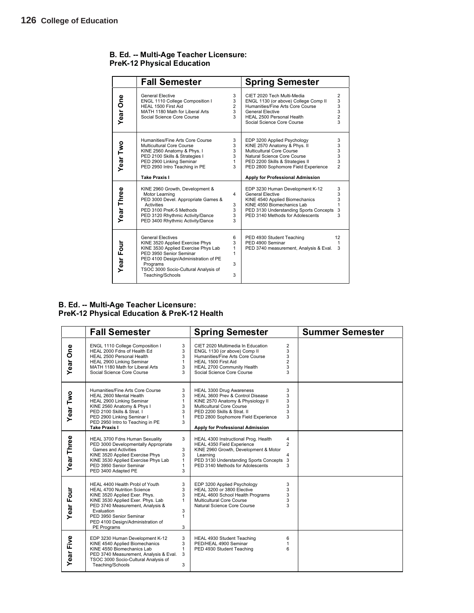|              | <b>Fall Semester</b>                                                                                                                                                                                                                          |                                       | <b>Spring Semester</b>                                                                                                                                                                                                                |                                                      |
|--------------|-----------------------------------------------------------------------------------------------------------------------------------------------------------------------------------------------------------------------------------------------|---------------------------------------|---------------------------------------------------------------------------------------------------------------------------------------------------------------------------------------------------------------------------------------|------------------------------------------------------|
| Year One     | <b>General Elective</b><br>ENGL 1110 College Composition I<br>HEAL 1500 First Aid<br>MATH 1180 Math for Liberal Arts<br>Social Science Core Course                                                                                            | 3<br>3<br>$\overline{2}$<br>3<br>3    | CIET 2020 Tech Multi-Media<br>ENGL 1130 (or above) College Comp II<br>Humanities/Fine Arts Core Course<br>General Flective<br>HEAL 2500 Personal Health<br>Social Science Core Course                                                 | $\overline{2}$<br>3<br>3<br>3<br>$\overline{2}$<br>3 |
| Year Two     | Humanities/Fine Arts Core Course<br>Multicultural Core Course<br>KINE 2560 Anatomy & Phys. I<br>PED 2100 Skills & Strategies I<br>PED 2900 Linking Seminar<br>PED 2950 Intro Teaching in PE<br><b>Take Praxis I</b>                           | 3<br>3<br>3<br>3<br>$\mathbf{1}$<br>3 | EDP 3200 Applied Psychology<br>KINE 2570 Anatomy & Phys. II<br>Multicultural Core Course<br>Natural Science Core Course<br>PED 2200 Skills & Strategies II<br>PED 2800 Sophomore Field Experience<br>Apply for Professional Admission | 3<br>3<br>3<br>3<br>3<br>2                           |
| Year Three   | KINE 2960 Growth, Development &<br>Motor Learning<br>PED 3000 Devel. Appropriate Games &<br><b>Activities</b><br>PED 3100 PreK-5 Methods<br>PED 3120 Rhythmic Activity/Dance<br>PED 3400 Rhythmic Activity/Dance                              | 4<br>3<br>3<br>3<br>3                 | EDP 3230 Human Development K-12<br><b>General Elective</b><br>KINE 4540 Applied Biomechanics<br>KINE 4550 Biomechanics Lab<br>PED 3130 Understanding Sports Concepts<br>PED 3140 Methods for Adolescents                              | 3<br>3<br>3<br>3<br>3                                |
| Four<br>Year | <b>General Electives</b><br>KINE 3520 Applied Exercise Phys<br>KINE 3530 Applied Exercise Phys Lab<br>PED 3950 Senior Seminar<br>PED 4100 Design/Administration of PE<br>Programs<br>TSOC 3000 Socio-Cultural Analysis of<br>Teaching/Schools | 6<br>3<br>1<br>1<br>3<br>3            | PED 4930 Student Teaching<br>PED 4900 Seminar<br>PED 3740 measurement, Analysis & Eval.                                                                                                                                               | 12<br>1<br>3                                         |

### **B. Ed. -- Multi-Age Teacher Licensure: PreK-12 Physical Education**

### **B. Ed. -- Multi-Age Teacher Licensure: PreK-12 Physical Education & PreK-12 Health**

|                  | <b>Fall Semester</b>                                                                                                                                                                                                                                                         |                                                       | <b>Spring Semester</b>                                                                                                                                                                                                                   |                                                      | <b>Summer Semester</b> |
|------------------|------------------------------------------------------------------------------------------------------------------------------------------------------------------------------------------------------------------------------------------------------------------------------|-------------------------------------------------------|------------------------------------------------------------------------------------------------------------------------------------------------------------------------------------------------------------------------------------------|------------------------------------------------------|------------------------|
| Year One         | ENGL 1110 College Composition I<br>HEAL 2000 Fdns of Health Ed<br>HEAL 2500 Personal Health<br>HEAL 2900 Linking Seminar<br>MATH 1180 Math for Liberal Arts<br>Social Science Core Course                                                                                    | 3<br>3<br>3<br>$\mathbf{1}$<br>3<br>3                 | CIET 2020 Multimedia In Education<br>ENGL 1130 (or above) Comp II<br>Humanities/Fine Arts Core Course<br>HEAL 1500 First Aid<br>HEAL 2700 Community Health<br>Social Science Core Course                                                 | $\overline{2}$<br>3<br>3<br>$\overline{2}$<br>3<br>3 |                        |
| Year Two         | Humanities/Fine Arts Core Course<br>HEAL 2600 Mental Health<br>HEAL 2900 Linking Seminar<br>KINE 2560 Anatomy & Phys I<br>PED 2100 Skills & Strat. I<br>PED 2900 Linking Seminar I<br>PED 2950 Intro to Teaching in PE<br><b>Take Praxis I</b>                               | 3<br>3<br>$\mathbf{1}$<br>3<br>3<br>$\mathbf{1}$<br>3 | HEAL 3300 Drug Awareness<br>HEAL 3600 Prev & Control Disease<br>KINE 2570 Anatomy & Physiology II<br>Multicultural Core Course<br>PED 2200 Skills & Strat. II<br>PED 2800 Sophomore Field Experience<br>Apply for Professional Admission | 3<br>3<br>3<br>3<br>3<br>3                           |                        |
| Year Three       | HEAL 3700 Fdns Human Sexuality<br>PED 3000 Developmentally Appropriate<br><b>Games and Activities</b><br>KINE 3520 Applied Exercise Phys<br>KINE 3530 Applied Exercise Phys Lab<br>PED 3950 Senior Seminar<br>PED 3400 Adapted PE                                            | 3<br>3<br>3<br>$\mathbf{1}$<br>$\mathbf{1}$<br>3      | HEAL 4300 Instructional Prog. Health<br>HEAL 4350 Field Experience<br>KINE 2960 Growth, Development & Motor<br>Learning<br>PED 3130 Understanding Sports Concepts 3<br>PED 3140 Methods for Adolescents                                  | 4<br>$\overline{2}$<br>4<br>3                        |                        |
| <b>Year Four</b> | HEAL 4400 Health Probl of Youth<br><b>HEAL 4700 Nutrition Science</b><br>KINE 3520 Applied Exer. Phys.<br>KINE 3530 Applied Exer. Phys. Lab<br>PED 3740 Measurement, Analysis &<br>Evaluation<br>PED 3950 Senior Seminar<br>PED 4100 Design/Administration of<br>PE Programs | 3<br>3<br>3<br>1<br>3<br>$\mathbf{1}$<br>3            | EDP 3200 Applied Psychology<br>HEAL 3200 or 3800 Elective<br>HEAL 4600 School Health Programs<br><b>Multicultural Core Course</b><br>Natural Science Core Course                                                                         | 3<br>3<br>3<br>3<br>3                                |                        |
| Year Five        | EDP 3230 Human Development K-12<br>KINE 4540 Applied Biomechanics<br>KINE 4550 Biomechanics Lab<br>PED 3740 Measurement, Analysis & Eval.<br>TSOC 3000 Socio-Cultural Analysis of<br>Teaching/Schools                                                                        | 3<br>3<br>$\mathbf{1}$<br>3<br>3                      | HEAL 4930 Student Teaching<br>PED/HEAL 4900 Seminar<br>PED 4930 Student Teaching                                                                                                                                                         | 6<br>1<br>6                                          |                        |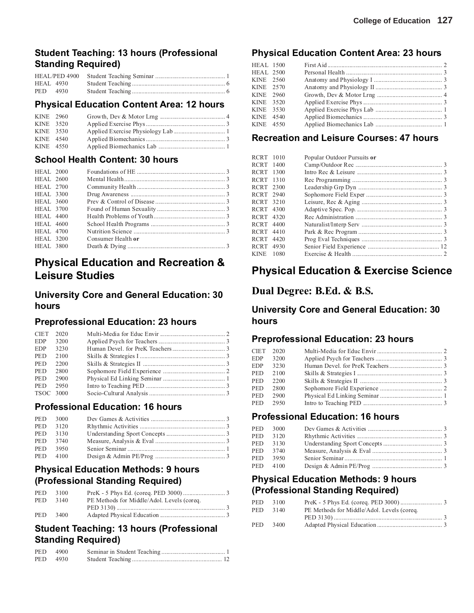## **Student Teaching: 13 hours (Professional Standing Required)**

| PED 4930 |  |
|----------|--|

### **Physical Education Content Area: 12 hours**

| KINE 2960 |  |  |
|-----------|--|--|
|           |  |  |
| KINE 3520 |  |  |
| KINE 3530 |  |  |
| KINE 4540 |  |  |
| KINE 4550 |  |  |

## **School Health Content: 30 hours**

| <b>HEAL</b> 2000 |                    |  |
|------------------|--------------------|--|
| HEAL 2600        |                    |  |
| HEAL 2700        |                    |  |
| <b>HEAL</b> 3300 |                    |  |
| <b>HEAL</b> 3600 |                    |  |
| <b>HEAL 3700</b> |                    |  |
| <b>HEAL</b> 4400 |                    |  |
| HEAL 4600        |                    |  |
| <b>HEAL 4700</b> |                    |  |
| <b>HEAL 3200</b> | Consumer Health or |  |
| <b>HEAL 3800</b> |                    |  |
|                  |                    |  |

## **Physical Education and Recreation & Leisure Studies**

## **University Core and General Education: 30 hours**

## **Preprofessional Education: 23 hours**

| <b>CIET</b> | 2020 |  |
|-------------|------|--|
| <b>EDP</b>  | 3200 |  |
| <b>EDP</b>  | 3230 |  |
| <b>PED</b>  | 2100 |  |
| <b>PED</b>  | 2200 |  |
| <b>PED</b>  | 2800 |  |
| <b>PED</b>  | 2900 |  |
| <b>PED</b>  | 2950 |  |
| TSOC 3000   |      |  |

### **Professional Education: 16 hours**

| PED 3000 |  |
|----------|--|
| PED 3120 |  |
| PED 3130 |  |
| PED 3740 |  |
| PED 3950 |  |
| PED 4100 |  |

## **Physical Education Methods: 9 hours (Professional Standing Required)**

| <b>PED</b> | 3100 |                                            |  |
|------------|------|--------------------------------------------|--|
| PED.       | 3140 | PE Methods for Middle/Adol. Levels (coreq. |  |
|            |      |                                            |  |
| <b>PED</b> | 3400 |                                            |  |

## **Student Teaching: 13 hours (Professional Standing Required)**

| PED 4900 |  |
|----------|--|
| PED 4930 |  |

## **Physical Education Content Area: 23 hours**

| <b>HEAL 1500</b> |  |  |
|------------------|--|--|
| <b>HEAL 2500</b> |  |  |
| KINE 2560        |  |  |
| KINE 2570        |  |  |
| KINE 2960        |  |  |
| KINE 3520        |  |  |
| KINE 3530        |  |  |
| KINE 4540        |  |  |
| KINE 4550        |  |  |
|                  |  |  |

## **Recreation and Leisure Courses: 47 hours**

| RCRT 1010 |      | Popular Outdoor Pursuits or |  |
|-----------|------|-----------------------------|--|
| RCRT 1400 |      |                             |  |
| RCRT 1300 |      |                             |  |
| RCRT 1310 |      |                             |  |
| RCRT 2300 |      |                             |  |
| RCRT 2940 |      |                             |  |
| RCRT 3210 |      |                             |  |
| RCRT 4300 |      |                             |  |
| RCRT 4320 |      |                             |  |
| RCRT 4400 |      |                             |  |
| RCRT      | 4410 |                             |  |
| RCRT      | 4420 |                             |  |
| RCRT 4930 |      |                             |  |
| KINE.     | 1080 |                             |  |
|           |      |                             |  |

## **Physical Education & Exercise Science**

## **Dual Degree: B.Ed. & B.S.**

## **University Core and General Education: 30 hours**

### **Preprofessional Education: 23 hours**

|            | CIET 2020 |  |
|------------|-----------|--|
| EDP.       | 3200      |  |
| EDP        | 3230      |  |
| <b>PED</b> | 2100      |  |
| <b>PED</b> | 2200      |  |
| PED        | 2800      |  |
| PED.       | 2900      |  |
|            | PED 2950  |  |
|            |           |  |

## **Professional Education: 16 hours**

|      | PED 3000 |  |
|------|----------|--|
| PED. | 3120     |  |
|      | PED 3130 |  |
|      | PED 3740 |  |
| PED  | 3950     |  |
|      | PED 4100 |  |
|      |          |  |

## **Physical Education Methods: 9 hours (Professional Standing Required)**

| <b>PED</b> | 3100 |                                            |  |
|------------|------|--------------------------------------------|--|
| PED.       | 3140 | PE Methods for Middle/Adol. Levels (coreq. |  |
|            |      |                                            |  |
| PED.       | 3400 |                                            |  |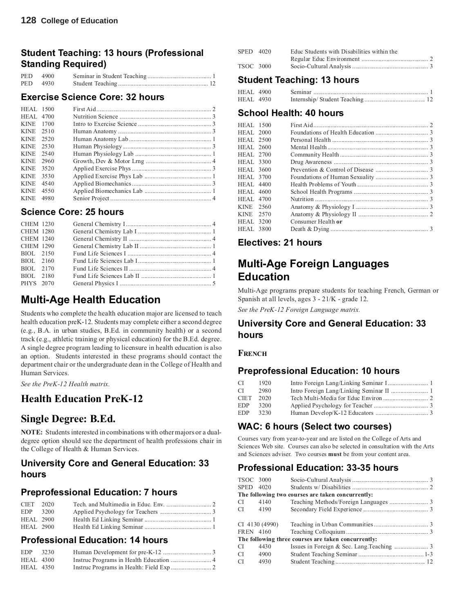## **Student Teaching: 13 hours (Professional Standing Required)**

|            | PED 4900 |  |
|------------|----------|--|
| <b>PED</b> | 4930     |  |

### **Exercise Science Core: 32 hours**

| <b>HEAL</b> 1500 |      |  |
|------------------|------|--|
| <b>HEAL 4700</b> |      |  |
| <b>KINE</b>      | 1700 |  |
| <b>KINE</b>      | 2510 |  |
| <b>KINE</b>      | 2520 |  |
| <b>KINE</b>      | 2530 |  |
| <b>KINE</b>      | 2540 |  |
| <b>KINE</b>      | 2960 |  |
| <b>KINE</b>      | 3520 |  |
| <b>KINE</b>      | 3530 |  |
| <b>KINE</b>      | 4540 |  |
| <b>KINE</b>      | 4550 |  |
| <b>KINE</b>      | 4980 |  |
|                  |      |  |

## **Science Core: 25 hours**

| <b>CHEM 1230</b> |  |  |
|------------------|--|--|
| <b>CHEM 1280</b> |  |  |
| <b>CHEM 1240</b> |  |  |
| <b>CHEM 1290</b> |  |  |
| BIOL 2150        |  |  |
| BIOL 2160        |  |  |
| BIOL 2170        |  |  |
| BIOL 2180        |  |  |
| PHYS 2070        |  |  |
|                  |  |  |

## **Multi-Age Health Education**

Students who complete the health education major are licensed to teach health education preK-12. Students may complete either a second degree (e.g., B.A. in urban studies, B.Ed. in community health) or a second track (e.g., athletic training or physical education) for the B.Ed. degree. A single degree program leading to licensure in health education is also an option. Students interested in these programs should contact the department chair or the undergraduate dean in the College of Health and Human Services.

*See the PreK-12 Health matrix.*

## **Health Education PreK-12**

## **Single Degree: B.Ed.**

**NOTE:** Students interested in combinations with other majors or a dualdegree option should see the department of health professions chair in the College of Health & Human Services.

### **University Core and General Education: 33 hours**

## **Preprofessional Education: 7 hours**

| $CIFT$ 2020      |  |  |
|------------------|--|--|
| EDP 3200         |  |  |
| <b>HEAL</b> 2900 |  |  |
| <b>HEAL</b> 2900 |  |  |

## **Professional Education: 14 hours**

| <b>EDP</b>       | 3230 |  |
|------------------|------|--|
| <b>HEAL</b> 4300 |      |  |
| <b>HEAL 4350</b> |      |  |

| SPED 4020 | Educ Students with Disabilities within the |  |
|-----------|--------------------------------------------|--|
|           |                                            |  |
| TSOC 3000 |                                            |  |

## **Student Teaching: 13 hours**

| <b>HEAL 4900</b> |  |  |
|------------------|--|--|
| HEAL 4930        |  |  |

## **School Health: 40 hours**

| <b>HEAL 1500</b> |                    |  |
|------------------|--------------------|--|
| <b>HEAL 2000</b> |                    |  |
| <b>HEAL 2500</b> |                    |  |
| <b>HEAL 2600</b> |                    |  |
| <b>HEAL 2700</b> |                    |  |
| HEAL 3300        |                    |  |
| <b>HEAL 3600</b> |                    |  |
| <b>HEAL 3700</b> |                    |  |
| <b>HEAL 4400</b> |                    |  |
| <b>HEAL 4600</b> |                    |  |
| <b>HEAL 4700</b> |                    |  |
| KINE 2560        |                    |  |
| KINE 2570        |                    |  |
| <b>HEAL 3200</b> | Consumer Health or |  |
| <b>HEAL 3800</b> |                    |  |
|                  |                    |  |

### **Electives: 21 hours**

## **Multi-Age Foreign Languages Education**

Multi-Age programs prepare students for teaching French, German or Spanish at all levels, ages 3 - 21/K - grade 12.

*See the PreK-12 Foreign Language matrix.*

### **University Core and General Education: 33 hours**

### **FRENCH**

### **Preprofessional Education: 10 hours**

| СI         | 1920 |  |
|------------|------|--|
| СI         | 2980 |  |
| CIET       | 2020 |  |
| <b>EDP</b> | 3200 |  |
| <b>EDP</b> | 3230 |  |

## **WAC: 6 hours (Select two courses)**

Courses vary from year-to-year and are listed on the College of Arts and Sciences Web site. Courses can also be selected in consultation with the Arts and Sciences adviser. Two courses **must** be from your content area.

## **Professional Education: 33-35 hours**

| TSOC 3000 |                |                                                     |  |
|-----------|----------------|-----------------------------------------------------|--|
| SPED 4020 |                |                                                     |  |
|           |                | The following two courses are taken concurrently:   |  |
| CI        | 4140           |                                                     |  |
| CI 4190   |                |                                                     |  |
|           |                |                                                     |  |
|           | CI 4130 (4990) |                                                     |  |
|           | FREN 4160      |                                                     |  |
|           |                | The following three courses are taken concurrently: |  |
| CI.       | 4430           |                                                     |  |
| CI.       | 4900           |                                                     |  |
| CI.       | 4930           |                                                     |  |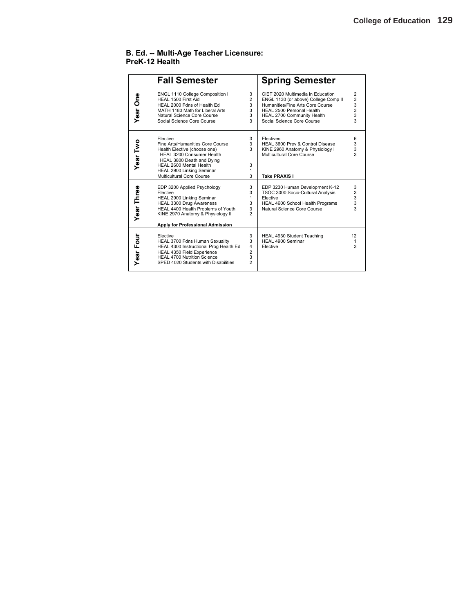### **B. Ed. -- Multi-Age Teacher Licensure: PreK-12 Health**

|              | <b>Fall Semester</b>                                                                                                                                                                                                        |                                                      | <b>Spring Semester</b>                                                                                                                                                                                 |                                                               |
|--------------|-----------------------------------------------------------------------------------------------------------------------------------------------------------------------------------------------------------------------------|------------------------------------------------------|--------------------------------------------------------------------------------------------------------------------------------------------------------------------------------------------------------|---------------------------------------------------------------|
| δe<br>Year   | ENGL 1110 College Composition I<br>HEAL 1500 First Aid<br>HEAL 2000 Fdns of Health Ed<br>MATH 1180 Math for Liberal Arts<br>Natural Science Core Course<br>Social Science Core Course                                       | 3<br>$\overline{2}$<br>3<br>3<br>3<br>3              | CIET 2020 Multimedia in Education<br>ENGL 1130 (or above) College Comp II<br>Humanities/Fine Arts Core Course<br>HEAL 2500 Personal Health<br>HEAL 2700 Community Health<br>Social Science Core Course | $\overline{2}$<br>3<br>3<br>3<br>3<br>$\overline{\mathbf{3}}$ |
| Year Two     | Flective<br>Fine Arts/Humanities Core Course<br>Health Elective (choose one)<br>HEAL 3200 Consumer Health<br>HEAL 3800 Death and Dving<br>HEAL 2600 Mental Health<br>HEAL 2900 Linking Seminar<br>Multicultural Core Course | 3<br>3<br>3<br>3<br>1<br>3                           | Electives<br>HEAL 3600 Prev & Control Disease<br>KINE 2960 Anatomy & Physiology I<br>Multicultural Core Course<br><b>Take PRAXIS I</b>                                                                 | 6<br>3<br>3<br>3                                              |
| Year Three   | EDP 3200 Applied Psychology<br>Elective<br>HEAL 2900 Linking Seminar<br>HEAL 3300 Drug Awareness<br>HEAL 4400 Health Problems of Youth<br>KINE 2970 Anatomy & Physiology II<br>Apply for Professional Admission             | 3<br>3<br>1<br>3<br>3<br>2                           | EDP 3230 Human Development K-12<br>TSOC 3000 Socio-Cultural Analysis<br>Elective<br>HEAL 4600 School Health Programs<br>Natural Science Core Course                                                    | 3<br>3<br>3<br>3<br>3                                         |
| Four<br>Year | Elective<br>HEAL 3700 Fdns Human Sexuality<br>HEAL 4300 Instructional Prog Health Ed<br><b>HEAL 4350 Field Experience</b><br><b>HEAL 4700 Nutrition Science</b><br>SPED 4020 Students with Disabilities                     | 3<br>3<br>$\overline{4}$<br>2<br>3<br>$\overline{c}$ | HEAL 4930 Student Teaching<br>HEAL 4900 Seminar<br>Elective                                                                                                                                            | 12<br>1<br>3                                                  |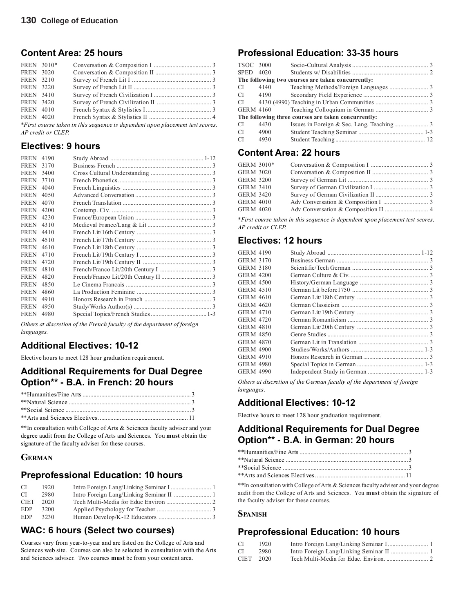## **Content Area: 25 hours**

| FREN 3010*                                                                    |  |  |  |  |  |
|-------------------------------------------------------------------------------|--|--|--|--|--|
| <b>FREN</b> 3020                                                              |  |  |  |  |  |
| <b>FREN</b> 3210                                                              |  |  |  |  |  |
| <b>FREN</b> 3220                                                              |  |  |  |  |  |
| <b>FREN</b> 3410                                                              |  |  |  |  |  |
| <b>FREN</b> 3420                                                              |  |  |  |  |  |
| <b>FREN</b> 4010                                                              |  |  |  |  |  |
| <b>FREN</b> 4020                                                              |  |  |  |  |  |
| *First course taken in this sequence is dependent upon placement test scores, |  |  |  |  |  |
| AP credit or CLEP.                                                            |  |  |  |  |  |

## **Electives: 9 hours**

| <b>FREN</b> | 4190 |  |
|-------------|------|--|
| <b>FREN</b> | 3170 |  |
| <b>FREN</b> | 3400 |  |
| <b>FREN</b> | 3710 |  |
| <b>FREN</b> | 4040 |  |
| <b>FREN</b> | 4050 |  |
| <b>FREN</b> | 4070 |  |
| <b>FREN</b> | 4200 |  |
| <b>FREN</b> | 4230 |  |
| <b>FREN</b> | 4310 |  |
| <b>FREN</b> | 4410 |  |
| <b>FREN</b> | 4510 |  |
| <b>FREN</b> | 4610 |  |
| <b>FREN</b> | 4710 |  |
| <b>FREN</b> | 4720 |  |
| <b>FREN</b> | 4810 |  |
| <b>FREN</b> | 4820 |  |
| <b>FREN</b> | 4850 |  |
| <b>FREN</b> | 4860 |  |
| <b>FREN</b> | 4910 |  |
| <b>FREN</b> | 4950 |  |
| <b>FREN</b> | 4980 |  |
|             |      |  |

*Others at discretion of the French faculty of the department of foreign languages.*

## **Additional Electives: 10-12**

Elective hours to meet 128 hour graduation requirement.

### **Additional Requirements for Dual Degree Option\*\* - B.A. in French: 20 hours**

\*\*In consultation with College of Arts & Sciences faculty adviser and your degree audit from the College of Arts and Sciences. You **must** obtain the signature of the faculty adviser for these courses.

### **GERMAN**

## **Preprofessional Education: 10 hours**

| CI.         | 1920 |  |
|-------------|------|--|
| CI.         | 2980 |  |
| <b>CIET</b> | 2020 |  |
| EDP         | 3200 |  |
| EDP         | 3230 |  |

## **WAC: 6 hours (Select two courses)**

Courses vary from year-to-year and are listed on the College of Arts and Sciences web site. Courses can also be selected in consultation with the Arts and Sciences adviser. Two courses **must** be from your content area.

## **Professional Education: 33-35 hours**

| TSOC 3000     |           |                                                     |  |
|---------------|-----------|-----------------------------------------------------|--|
| SPED 4020     |           |                                                     |  |
|               |           | The following two courses are taken concurrently:   |  |
| CI.           | 4140      |                                                     |  |
| CI.           | 4190      |                                                     |  |
| CI.           |           |                                                     |  |
|               | GERM 4160 |                                                     |  |
|               |           | The following three courses are taken concurrently: |  |
| CI.           | 4430      |                                                     |  |
| CI.           | 4900      |                                                     |  |
| <sup>CI</sup> | 4930      |                                                     |  |
|               |           |                                                     |  |

## **Content Area: 22 hours**

| GERM 3010*       |           |  |
|------------------|-----------|--|
| <b>GERM 3020</b> |           |  |
| GERM 3200        |           |  |
| GERM 3410        |           |  |
| <b>GERM 3420</b> |           |  |
| GERM 4010        |           |  |
|                  | GERM 4020 |  |
|                  |           |  |

*\*First course taken in this sequence is dependent upon placement test scores, AP credit or CLEP.*

## **Electives: 12 hours**

| <b>GERM 4190</b> |  |
|------------------|--|
| <b>GERM 3170</b> |  |
| <b>GERM 3180</b> |  |
| <b>GERM 4200</b> |  |
| <b>GERM 4500</b> |  |
| <b>GERM 4510</b> |  |
| <b>GERM 4610</b> |  |
| <b>GERM 4620</b> |  |
| <b>GERM 4710</b> |  |
| <b>GERM 4720</b> |  |
| <b>GERM 4810</b> |  |
| <b>GERM 4850</b> |  |
| <b>GERM 4870</b> |  |
| <b>GERM 4900</b> |  |
| <b>GERM 4910</b> |  |
| <b>GERM 4980</b> |  |
| <b>GERM 4990</b> |  |
|                  |  |

*Others at discretion of the German faculty of the department of foreign languages.*

## **Additional Electives: 10-12**

Elective hours to meet 128 hour graduation requirement.

## **Additional Requirements for Dual Degree Option\*\* - B.A. in German: 20 hours**

\*\*In consultation with College of Arts & Sciences faculty adviser and your degree audit from the College of Arts and Sciences. You **must** obtain the signature of the faculty adviser for these courses.

### **SPANISH**

## **Preprofessional Education: 10 hours**

| - CI      | 1920 |  |
|-----------|------|--|
| - CI      | 2980 |  |
| CIET 2020 |      |  |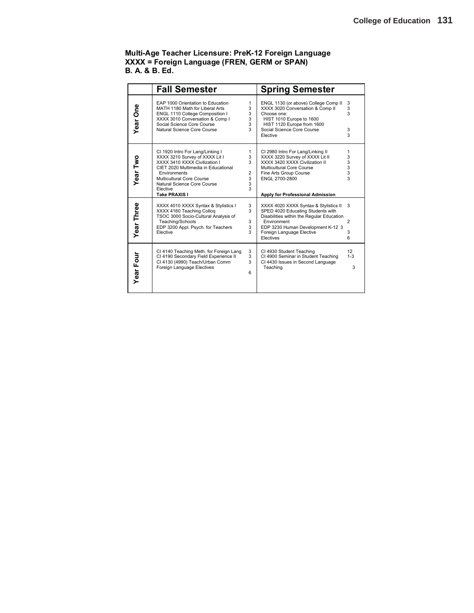### **Multi-Age Teacher Licensure: PreK-12 Foreign Language XXXX = Foreign Language (FREN, GERM or SPAN) B. A. & B. Ed.**

|                   | <b>Fall Semester</b>                                                                                                                                                                                                                                |                                                         | <b>Spring Semester</b>                                                                                                                                                                                                |                               |
|-------------------|-----------------------------------------------------------------------------------------------------------------------------------------------------------------------------------------------------------------------------------------------------|---------------------------------------------------------|-----------------------------------------------------------------------------------------------------------------------------------------------------------------------------------------------------------------------|-------------------------------|
| Year One          | EAP 1000 Orientation to Education<br>MATH 1180 Math for Liberal Arts<br>ENGL 1110 College Composition I<br>XXXX 3010 Conversation & Comp I<br>Social Science Core Course<br>Natural Science Core Course                                             | 1<br>3<br>3<br>3<br>3<br>3                              | ENGL 1130 (or above) College Comp II<br>XXXX 3020 Conversation & Comp II<br>Choose one:<br>HIST 1010 Europe to 1600<br>HIST 1120 Europe from 1600<br>Social Science Core Course<br>Elective                           | 3<br>3<br>3<br>3<br>3         |
| Year Two          | CI 1920 Intro For Lang/Linking I<br>XXXX 3210 Survey of XXXX Lit I<br>XXXX 3410 XXXX Civilization I<br>CIET 2020 Multimedia in Educational<br>Environments<br>Multicultural Core Course<br>Natural Science Core Course<br>Elective<br>Take PRAXIS I | $\mathbf{1}$<br>3<br>3<br>$\overline{2}$<br>3<br>3<br>3 | CI 2980 Intro For Lang/Linking II<br>XXXX 3220 Survey of XXXX Lit II<br>XXXX 3420 XXXX Civilization II<br>Multicultural Core Course<br>Fine Arts Group Course<br>ENGL 2700-2800<br>Apply for Professional Admission   | 1<br>3<br>3<br>3<br>3<br>3    |
| <b>Year Three</b> | XXXX 4010 XXXX Syntax & Stylistics I<br>XXXX 4160 Teaching Colloq<br>TSOC 3000 Socio-Cultural Analysis of<br>Teaching/Schools<br>EDP 3200 Appl. Psych. for Teachers<br>Elective                                                                     | 3<br>3<br>3<br>3<br>3                                   | XXXX 4020 XXXX Syntax & Stylistics II<br>SPED 4020 Educating Students with<br>Disabilities within the Regular Education<br>Environment<br>EDP 3230 Human Development K-12 3<br>Foreign Language Elective<br>Electives | 3<br>$\overline{2}$<br>3<br>6 |
| <b>Year Four</b>  | CI 4140 Teaching Meth. for Foreign Lang<br>CI 4190 Secondary Field Experience II<br>Cl 4130 (4990) Teach/Urban Comm<br>Foreign Language Electives                                                                                                   | 3<br>3<br>3<br>6                                        | CI 4930 Student Teaching<br>CI 4900 Seminar in Student Teaching<br>CI 4430 Issues in Second Language<br>Teaching                                                                                                      | 12<br>$1 - 3$<br>3            |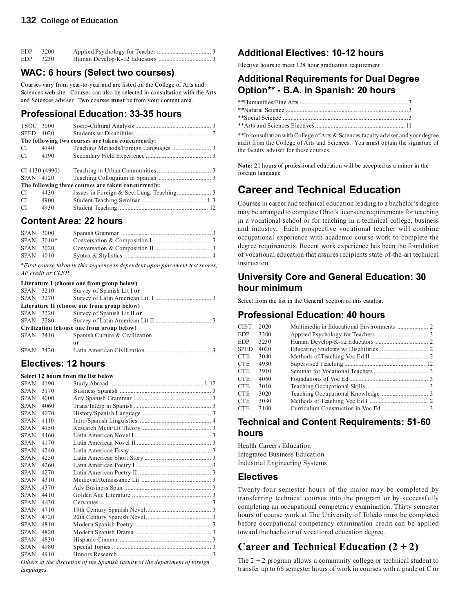### **132 College of Education**

| EDP | 3200 |  |
|-----|------|--|
| EDP | 3230 |  |

## **WAC: 6 hours (Select two courses)**

Courses vary from year-to-year and are listed on the College of Arts and Sciences web site. Courses can also be selected in consultation with the Arts and Sciences adviser. Two courses **must** be from your content area.

## **Professional Education: 33-35 hours**

| TSOC 3000     |                |                                                     |  |
|---------------|----------------|-----------------------------------------------------|--|
| <b>SPED</b>   | 4020           |                                                     |  |
|               |                | The following two courses are taken concurrently:   |  |
| <sup>CI</sup> | 4140           |                                                     |  |
| CI.           | 4190           |                                                     |  |
|               |                |                                                     |  |
|               | CI 4130 (4990) |                                                     |  |
| SPAN 4120     |                |                                                     |  |
|               |                | The following three courses are taken concurrently: |  |
| <b>CI</b>     | 4430           |                                                     |  |
| CI.           | 4900           |                                                     |  |
| <sup>CI</sup> | 4930           |                                                     |  |
|               |                |                                                     |  |

## **Content Area: 22 hours**

| SPAN 3000 |              |                                                                              |  |
|-----------|--------------|------------------------------------------------------------------------------|--|
|           | $SPAN$ 3010* |                                                                              |  |
| SPAN 3020 |              |                                                                              |  |
| SPAN 4010 |              |                                                                              |  |
|           |              | *First course taken in this sequence is dependent upon placement test scores |  |

*\*First course taken in this sequence is dependent upon placement test scores, AP credit or CLEP.*

### **Literature I (choose one from group below)**

| SPAN 3210                                   |           | Survey of Spanish Lit I or     |  |  |  |
|---------------------------------------------|-----------|--------------------------------|--|--|--|
| SPAN 3270                                   |           |                                |  |  |  |
| Literature II (choose one from group below) |           |                                |  |  |  |
| SPAN 3220                                   |           | Survey of Spanish Lit II or    |  |  |  |
|                                             | SPAN 3280 |                                |  |  |  |
| Civilization (choose one from group below)  |           |                                |  |  |  |
| SPAN 3410                                   |           | Spanish Culture & Civilization |  |  |  |
|                                             |           | 0r                             |  |  |  |
| SPAN 3420                                   |           |                                |  |  |  |

### **Electives: 12 hours Select 12 hours from the list below**

|             |      | Select 12 nours from the list below |  |
|-------------|------|-------------------------------------|--|
| <b>SPAN</b> | 4190 |                                     |  |
| <b>SPAN</b> | 3170 |                                     |  |
| <b>SPAN</b> | 4000 |                                     |  |
| <b>SPAN</b> | 4060 |                                     |  |
| <b>SPAN</b> | 4070 |                                     |  |
| <b>SPAN</b> | 4110 |                                     |  |
| <b>SPAN</b> | 4150 |                                     |  |
| <b>SPAN</b> | 4160 |                                     |  |
| <b>SPAN</b> | 4170 |                                     |  |
| <b>SPAN</b> | 4240 |                                     |  |
| <b>SPAN</b> | 4250 |                                     |  |
| <b>SPAN</b> | 4260 |                                     |  |
| <b>SPAN</b> | 4270 |                                     |  |
| <b>SPAN</b> | 4310 |                                     |  |
| <b>SPAN</b> | 4370 |                                     |  |
| <b>SPAN</b> | 4410 |                                     |  |
| <b>SPAN</b> | 4430 |                                     |  |
| <b>SPAN</b> | 4710 |                                     |  |
| <b>SPAN</b> | 4720 |                                     |  |
| <b>SPAN</b> | 4810 |                                     |  |
| SPAN        | 4820 |                                     |  |
| SPAN        | 4830 |                                     |  |
| <b>SPAN</b> | 4980 |                                     |  |
| <b>SPAN</b> | 4910 |                                     |  |
|             |      |                                     |  |

*Others at the discretion of the Spanish faculty of the department of foreign languages.*

## **Additional Electives: 10-12 hours**

Elective hours to meet 128 hour graduation requirement

## **Additional Requirements for Dual Degree Option\*\* - B.A. in Spanish: 20 hours**

\*\*In consultation with College of Arts & Sciences faculty adviser and your degree audit from the College of Arts and Sciences. You **must** obtain the signature of the faculty adviser for these courses.

**Note:** 21 hours of professional education will be accepted as a minor in the foreign language

## **Career and Technical Education**

Courses in career and technical education leading to a bachelor's degree may be arranged to complete Ohio's licensure requirements for teaching in a vocational school or for teaching in a technical college, business and industry. Each prospective vocational teacher will combine occupational experience with academic course work to complete the degree requirements. Recent work experience has been the foundation of vocational education that assures recipients state-of-the-art technical instruction.

## **University Core and General Education: 30 hour minimum**

Select from the list in the General Section of this catalog.

## **Professional Education: 40 hours**

| <b>CIET</b> | 2020 |  |
|-------------|------|--|
| EDP.        | 3200 |  |
| EDP         | 3230 |  |
| SPED        | 4020 |  |
| CTE.        | 3040 |  |
| CTE.        | 4930 |  |
| CTE.        | 3910 |  |
| CTE.        | 4060 |  |
| CTE.        | 3010 |  |
| CTE.        | 3020 |  |
| CTE.        | 3030 |  |
| CTE         | 3100 |  |
|             |      |  |

### **Technical and Content Requirements: 51-60 hours**

Health Careers Education Integrated Business Education Industrial Engineering Systems

### **Electives**

Twenty-four semester hours of the major may be completed by transferring technical courses into the program or by successfully completing an occupational competency examination. Thirty semester hours of course work at The University of Toledo must be completed before occupational competency examination credit can be applied toward the bachelor of vocational education degree.

## **Career and Technical Education (2 + 2)**

The  $2 + 2$  program allows a community college or technical student to transfer up to 66 semester hours of work in courses with a grade of C or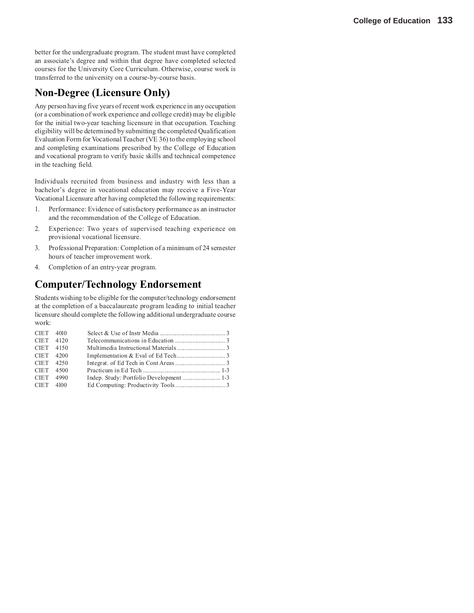better for the undergraduate program. The student must have completed an associate's degree and within that degree have completed selected courses for the University Core Curriculum. Otherwise, course work is transferred to the university on a course-by-course basis.

## **Non-Degree (Licensure Only)**

Any person having five years of recent work experience in any occupation (or a combination of work experience and college credit) may be eligible for the initial two-year teaching licensure in that occupation. Teaching eligibility will be determined by submitting the completed Qualification Evaluation Form for Vocational Teacher (VE 36) to the employing school and completing examinations prescribed by the College of Education and vocational program to verify basic skills and technical competence in the teaching field.

Individuals recruited from business and industry with less than a bachelor's degree in vocational education may receive a Five-Year Vocational Licensure after having completed the following requirements:

- 1. Performance: Evidence of satisfactory performance as an instructor and the recommendation of the College of Education.
- 2. Experience: Two years of supervised teaching experience on provisional vocational licensure.
- 3. Professional Preparation: Completion of a minimum of 24 semester hours of teacher improvement work.
- 4. Completion of an entry-year program.

## **Computer/Technology Endorsement**

Students wishing to be eligible for the computer/technology endorsement at the completion of a baccalaureate program leading to initial teacher licensure should complete the following additional undergraduate course work:

| CIET 4010   |  |  |
|-------------|--|--|
| CIET 4120   |  |  |
| CIET 4150   |  |  |
| CIET 4200   |  |  |
| $CIFT$ 4250 |  |  |
| CIET 4500   |  |  |
| CIET 4990   |  |  |
| CIET 4100   |  |  |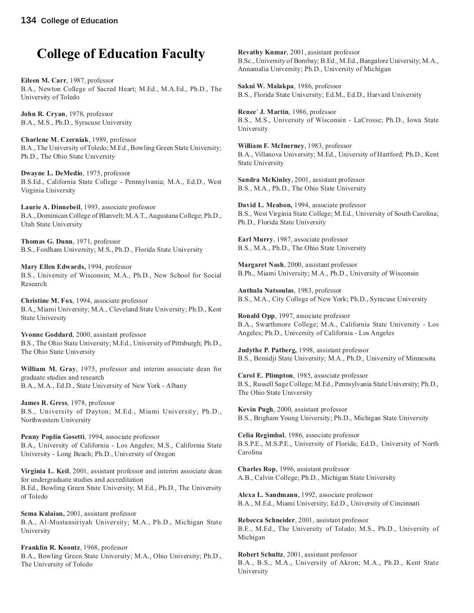# **College of Education Faculty**

**Eileen M. Carr**, 1987, professor B.A., Newton College of Sacred Heart; M.Ed., M.A.Ed., Ph.D., The University of Toledo

**John R. Cryan**, 1978, professor B.A., M.S., Ph.D., Syracuse University

**Charlene M. Czerniak**, 1989, professor B.A., The University of Toledo; M.Ed., Bowling Green State University; Ph.D., The Ohio State University

**Dwayne L. DeMedio**, 1975, professor B.S.Ed., California State College - Pennsylvania; M.A., Ed.D., West Virginia University

**Laurie A. Dinnebeil**, 1993, associate professor B.A., Dominican College of Blanvelt; M.A.T., Augustana College; Ph.D., Utah State University

**Thomas G. Dunn**, 1971, professor B.S., Fordham University; M.S., Ph.D., Florida State University

**Mary Ellen Edwards,** 1994, professor B.S., University of Wisconsin; M.A., Ph.D., New School for Social Research

**Christine M. Fox**, 1994, associate professor B.A., Miami University; M.A., Cleveland State University; Ph.D., Kent State University

**Yvonne Goddard**, 2000, assistant professor B.S., The Ohio State University; M.Ed., University of Pittsburgh; Ph.D., The Ohio State University

**William M. Gray**, 1975, professor and interim associate dean for graduate studies and research B.A., M.A., Ed.D., State University of New York - Albany

**James R. Gress**, 1978, professor B.S., University of Dayton; M.Ed., Miami University; Ph.D., Northwestern University

**Penny Poplin Gosetti**, 1994, associate professor B.A., University of California - Los Angeles; M.S., California State University - Long Beach; Ph.D., University of Oregon

**Virginia L. Keil**, 2001, assistant professor and interim associate dean for undergraduate studies and accreditation B.Ed., Bowling Green State University; M.Ed., Ph.D., The University of Toledo

**Sema Kalaian,** 2001, assistant professor B.A., Al-Mustansiriyah University; M.A., Ph.D., Michigan State University

**Franklin R. Koontz**, 1968, professor B.A., Bowling Green State University; M.A., Ohio University; Ph.D., The University of Toledo

**Revathy Kumar**, 2001, assistant professor B.Sc., University of Bombay; B.Ed., M.Ed., Bangalore University; M.A., Annamalia University; Ph.D., University of Michigan

**Sakui W. Malakpa**, 1986, professor B.S., Florida State University; Ed.M., Ed.D., Harvard University

**Renee**′ **J. Martin**, 1986, professor B.S., M.S., University of Wisconsin - LaCrosse; Ph.D., Iowa State University

**William F. McInerney**, 1983, professor B.A., Villanova University; M.Ed., University of Hartford; Ph.D., Kent State University

**Sandra McKinley**, 2001, assistant professor B.S., M.A., Ph.D., The Ohio State University

**David L. Meabon,** 1994, associate professor B.S., West Virginia State College; M.Ed., University of South Carolina; Ph.D., Florida State University

**Earl Murry**, 1987, associate professor B.S., M.A., Ph.D., The Ohio State University

**Margaret Nash**, 2000, assistant professor B.Ph., Miami University; M.A., Ph.D., University of Wisconsin

**Anthula Natsoulas**, 1983, professor B.S., M.A., City College of New York; Ph.D., Syracuse University

**Ronald Opp**, 1997, associate professor B.A., Swarthmore College; M.A., California State University - Los Angeles; Ph.D., University of California - Los Angeles

**Judythe P. Patberg,** 1998, assistant professor B.S., Bemidji State University; M.A., Ph.D., University of Minnesota

**Carol E. Plimpton**, 1985, associate professor B.S., Russell Sage College; M.Ed., Pennsylvania State University; Ph.D., The Ohio State University

**Kevin Pugh**, 2000, assistant professor B.S., Brigham Young University; Ph.D., Michigan State University

**Celia Regimbal**, 1986, associate professor B.S.P.E., M.S.P.E., University of Florida; Ed.D., University of North Carolina

**Charles Rop**, 1996, assistant professor A.B., Calvin College; Ph.D., Michigan State University

**Alexa L. Sandmann**, 1992, associate professor B.A., M.Ed., Miami University; Ed.D., University of Cincinnati

**Rebecca Schneider**, 2001, assistant professor B.E., M.Ed., The University of Toledo; M.S., Ph.D., University of Michigan

**Robert Schultz**, 2001, assistant professor B.A., B.S., M.A., University of Akron; M.A., Ph.D., Kent State University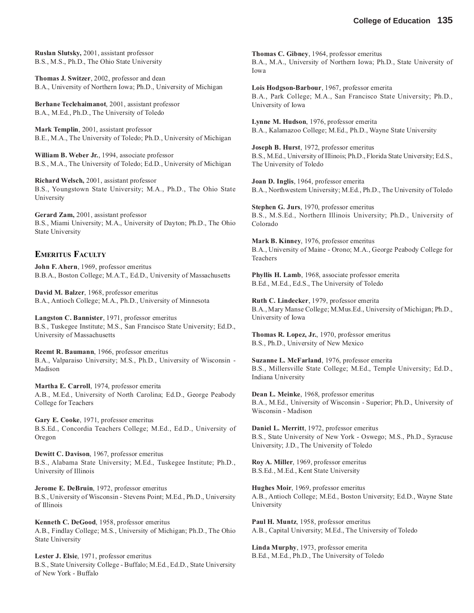**Ruslan Slutsky,** 2001, assistant professor B.S., M.S., Ph.D., The Ohio State University

**Thomas J. Switzer**, 2002, professor and dean B.A., University of Northern Iowa; Ph.D., University of Michigan

**Berhane Teclehaimanot**, 2001, assistant professor B.A., M.Ed., Ph.D., The University of Toledo

**Mark Templin**, 2001, assistant professor B.E., M.A., The University of Toledo; Ph.D., University of Michigan

**William B. Weber Jr.**, 1994, associate professor B.S., M.A., The University of Toledo; Ed.D., University of Michigan

**Richard Welsch,** 2001, assistant professor B.S., Youngstown State University; M.A., Ph.D., The Ohio State University

**Gerard Zam,** 2001, assistant professor B.S., Miami University; M.A., University of Dayton; Ph.D., The Ohio State University

### **EMERITUS FACULTY**

**John F. Ahern**, 1969, professor emeritus B.B.A., Boston College; M.A.T., Ed.D., University of Massachusetts

**David M. Balzer**, 1968, professor emeritus B.A., Antioch College; M.A., Ph.D., University of Minnesota

**Langston C. Bannister**, 1971, professor emeritus B.S., Tuskegee Institute; M.S., San Francisco State University; Ed.D., University of Massachusetts

**Reemt R. Baumann**, 1966, professor emeritus B.A., Valparaiso University; M.S., Ph.D., University of Wisconsin - Madison

**Martha E. Carroll**, 1974, professor emerita A.B., M.Ed., University of North Carolina; Ed.D., George Peabody College for Teachers

**Gary E. Cooke**, 1971, professor emeritus B.S.Ed., Concordia Teachers College; M.Ed., Ed.D., University of Oregon

**Dewitt C. Davison**, 1967, professor emeritus B.S., Alabama State University; M.Ed., Tuskegee Institute; Ph.D., University of Illinois

**Jerome E. DeBruin**, 1972, professor emeritus B.S., University of Wisconsin - Stevens Point; M.Ed., Ph.D., University of Illinois

**Kenneth C. DeGood**, 1958, professor emeritus A.B., Findlay College; M.S., University of Michigan; Ph.D., The Ohio State University

**Lester J. Elsie**, 1971, professor emeritus B.S., State University College - Buffalo; M.Ed., Ed.D., State University of New York - Buffalo

**Thomas C. Gibney**, 1964, professor emeritus B.A., M.A., University of Northern Iowa; Ph.D., State University of Iowa

**Lois Hodgson-Barbour**, 1967, professor emerita B.A., Park College; M.A., San Francisco State University; Ph.D., University of Iowa

**Lynne M. Hudson**, 1976, professor emerita B.A., Kalamazoo College; M.Ed., Ph.D., Wayne State University

**Joseph B. Hurst**, 1972, professor emeritus B.S., M.Ed., University of Illinois; Ph.D., Florida State University; Ed.S., The University of Toledo

**Joan D. Inglis**, 1964, professor emerita B.A., Northwestern University; M.Ed., Ph.D., The University of Toledo

**Stephen G. Jurs**, 1970, professor emeritus B.S., M.S.Ed., Northern Illinois University; Ph.D., University of Colorado

**Mark B. Kinney**, 1976, professor emeritus B.A., University of Maine - Orono; M.A., George Peabody College for Teachers

**Phyllis H. Lamb**, 1968, associate professor emerita B.Ed., M.Ed., Ed.S., The University of Toledo

**Ruth C. Lindecker**, 1979, professor emerita B.A., Mary Manse College; M.Mus.Ed., University of Michigan; Ph.D., University of Iowa

**Thomas R. Lopez, Jr.**, 1970, professor emeritus B.S., Ph.D., University of New Mexico

**Suzanne L. McFarland**, 1976, professor emerita B.S., Millersville State College; M.Ed., Temple University; Ed.D., Indiana University

**Dean L. Meinke**, 1968, professor emeritus B.A., M.Ed., University of Wisconsin - Superior; Ph.D., University of Wisconsin - Madison

**Daniel L. Merritt**, 1972, professor emeritus B.S., State University of New York - Oswego; M.S., Ph.D., Syracuse University; J.D., The University of Toledo

**Roy A. Miller**, 1969, professor emeritus B.S.Ed., M.Ed., Kent State University

**Hughes Moir**, 1969, professor emeritus A.B., Antioch College; M.Ed., Boston University; Ed.D., Wayne State University

**Paul H. Muntz**, 1958, professor emeritus A.B., Capital University; M.Ed., The University of Toledo

**Linda Murphy**, 1973, professor emerita B.Ed., M.Ed., Ph.D., The University of Toledo